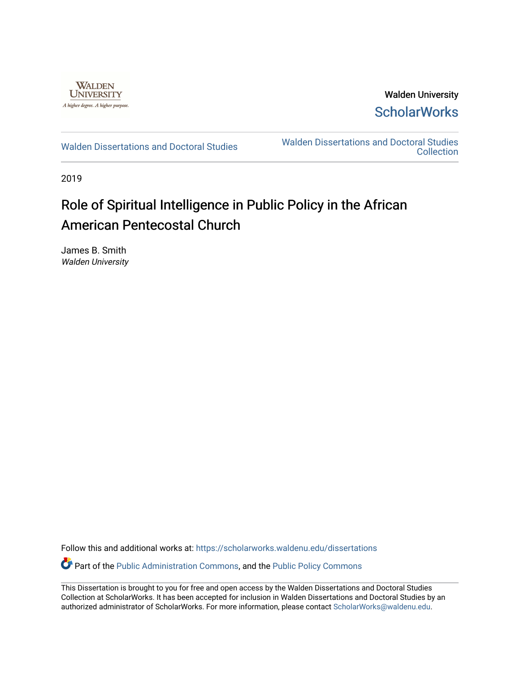

Walden University **ScholarWorks** 

[Walden Dissertations and Doctoral Studies](https://scholarworks.waldenu.edu/dissertations) Walden Dissertations and Doctoral Studies **Collection** 

2019

# Role of Spiritual Intelligence in Public Policy in the African American Pentecostal Church

James B. Smith Walden University

Follow this and additional works at: [https://scholarworks.waldenu.edu/dissertations](https://scholarworks.waldenu.edu/dissertations?utm_source=scholarworks.waldenu.edu%2Fdissertations%2F7749&utm_medium=PDF&utm_campaign=PDFCoverPages)

Part of the [Public Administration Commons](http://network.bepress.com/hgg/discipline/398?utm_source=scholarworks.waldenu.edu%2Fdissertations%2F7749&utm_medium=PDF&utm_campaign=PDFCoverPages), and the [Public Policy Commons](http://network.bepress.com/hgg/discipline/400?utm_source=scholarworks.waldenu.edu%2Fdissertations%2F7749&utm_medium=PDF&utm_campaign=PDFCoverPages) 

This Dissertation is brought to you for free and open access by the Walden Dissertations and Doctoral Studies Collection at ScholarWorks. It has been accepted for inclusion in Walden Dissertations and Doctoral Studies by an authorized administrator of ScholarWorks. For more information, please contact [ScholarWorks@waldenu.edu](mailto:ScholarWorks@waldenu.edu).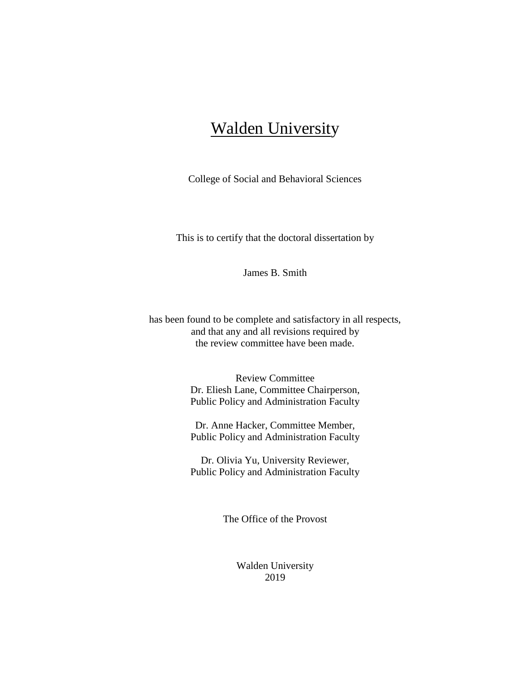# **Walden University**

College of Social and Behavioral Sciences

This is to certify that the doctoral dissertation by

James B. Smith

has been found to be complete and satisfactory in all respects, and that any and all revisions required by the review committee have been made.

> Review Committee Dr. Eliesh Lane, Committee Chairperson, Public Policy and Administration Faculty

> Dr. Anne Hacker, Committee Member, Public Policy and Administration Faculty

> Dr. Olivia Yu, University Reviewer, Public Policy and Administration Faculty

> > The Office of the Provost

Walden University 2019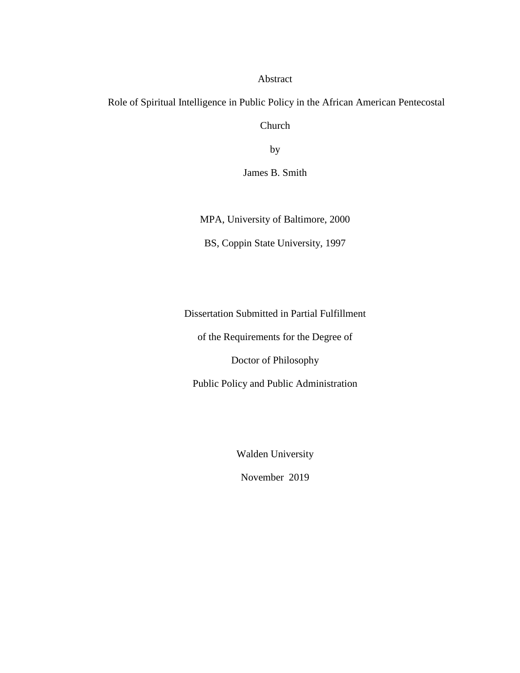# Abstract

Role of Spiritual Intelligence in Public Policy in the African American Pentecostal

Church

by

James B. Smith

MPA, University of Baltimore, 2000

BS, Coppin State University, 1997

Dissertation Submitted in Partial Fulfillment

of the Requirements for the Degree of

Doctor of Philosophy

Public Policy and Public Administration

Walden University

November 2019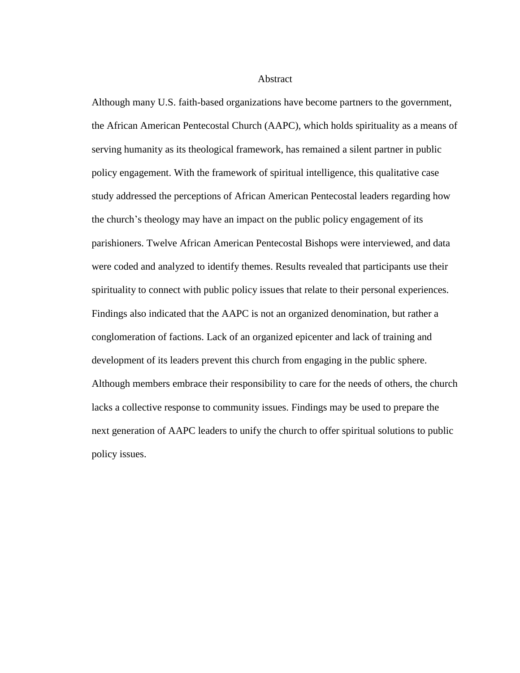**Abstract** 

Although many U.S. faith-based organizations have become partners to the government, the African American Pentecostal Church (AAPC), which holds spirituality as a means of serving humanity as its theological framework, has remained a silent partner in public policy engagement. With the framework of spiritual intelligence, this qualitative case study addressed the perceptions of African American Pentecostal leaders regarding how the church's theology may have an impact on the public policy engagement of its parishioners. Twelve African American Pentecostal Bishops were interviewed, and data were coded and analyzed to identify themes. Results revealed that participants use their spirituality to connect with public policy issues that relate to their personal experiences. Findings also indicated that the AAPC is not an organized denomination, but rather a conglomeration of factions. Lack of an organized epicenter and lack of training and development of its leaders prevent this church from engaging in the public sphere. Although members embrace their responsibility to care for the needs of others, the church lacks a collective response to community issues. Findings may be used to prepare the next generation of AAPC leaders to unify the church to offer spiritual solutions to public policy issues.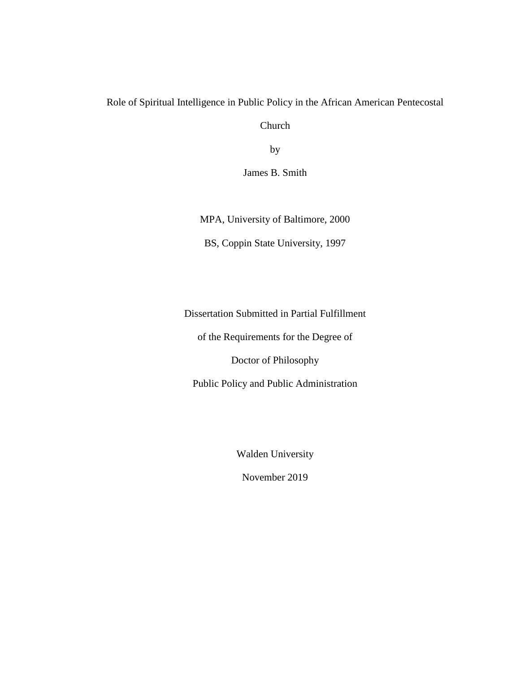# Role of Spiritual Intelligence in Public Policy in the African American Pentecostal

Church

by

James B. Smith

MPA, University of Baltimore, 2000

BS, Coppin State University, 1997

Dissertation Submitted in Partial Fulfillment

of the Requirements for the Degree of

Doctor of Philosophy

Public Policy and Public Administration

Walden University

November 2019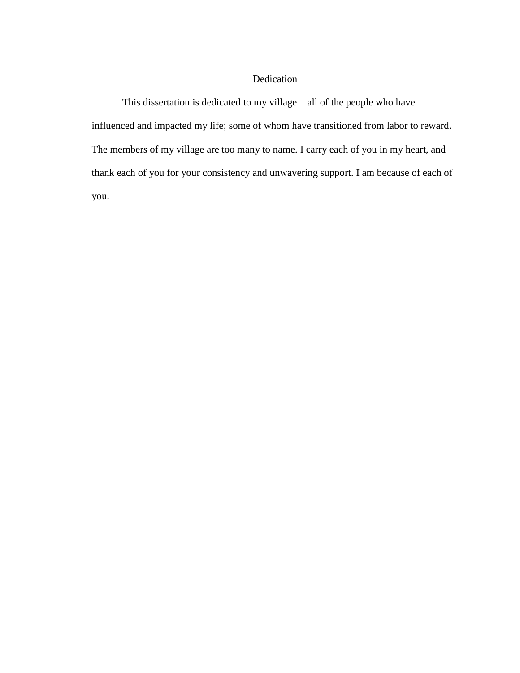# Dedication

This dissertation is dedicated to my village—all of the people who have influenced and impacted my life; some of whom have transitioned from labor to reward. The members of my village are too many to name. I carry each of you in my heart, and thank each of you for your consistency and unwavering support. I am because of each of you.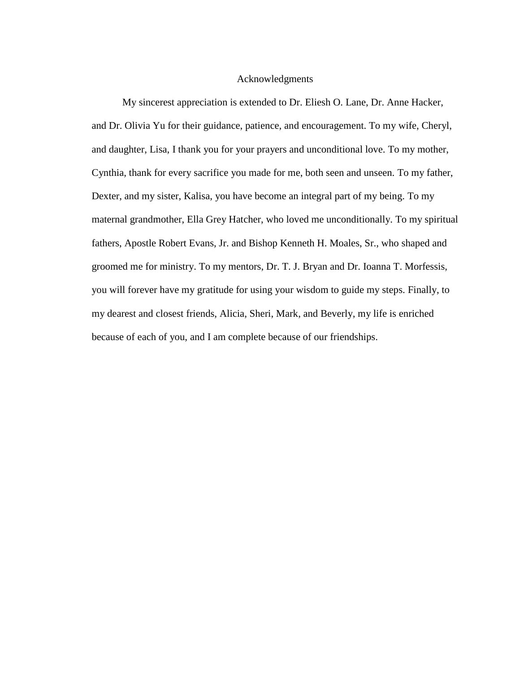# Acknowledgments

My sincerest appreciation is extended to Dr. Eliesh O. Lane, Dr. Anne Hacker, and Dr. Olivia Yu for their guidance, patience, and encouragement. To my wife, Cheryl, and daughter, Lisa, I thank you for your prayers and unconditional love. To my mother, Cynthia, thank for every sacrifice you made for me, both seen and unseen. To my father, Dexter, and my sister, Kalisa, you have become an integral part of my being. To my maternal grandmother, Ella Grey Hatcher, who loved me unconditionally. To my spiritual fathers, Apostle Robert Evans, Jr. and Bishop Kenneth H. Moales, Sr., who shaped and groomed me for ministry. To my mentors, Dr. T. J. Bryan and Dr. Ioanna T. Morfessis, you will forever have my gratitude for using your wisdom to guide my steps. Finally, to my dearest and closest friends, Alicia, Sheri, Mark, and Beverly, my life is enriched because of each of you, and I am complete because of our friendships.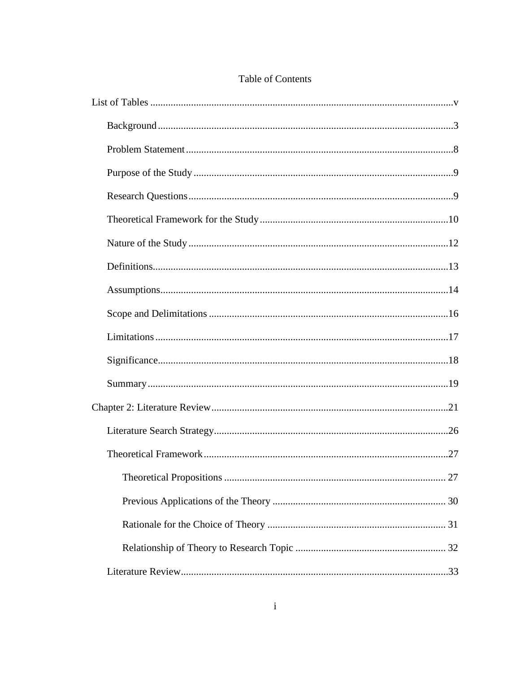# Table of Contents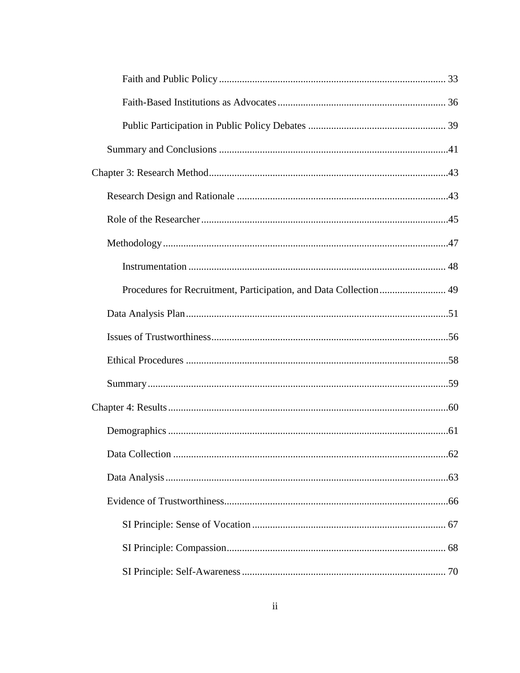| Procedures for Recruitment, Participation, and Data Collection  49 |  |
|--------------------------------------------------------------------|--|
|                                                                    |  |
|                                                                    |  |
|                                                                    |  |
|                                                                    |  |
|                                                                    |  |
|                                                                    |  |
|                                                                    |  |
|                                                                    |  |
|                                                                    |  |
|                                                                    |  |
|                                                                    |  |
|                                                                    |  |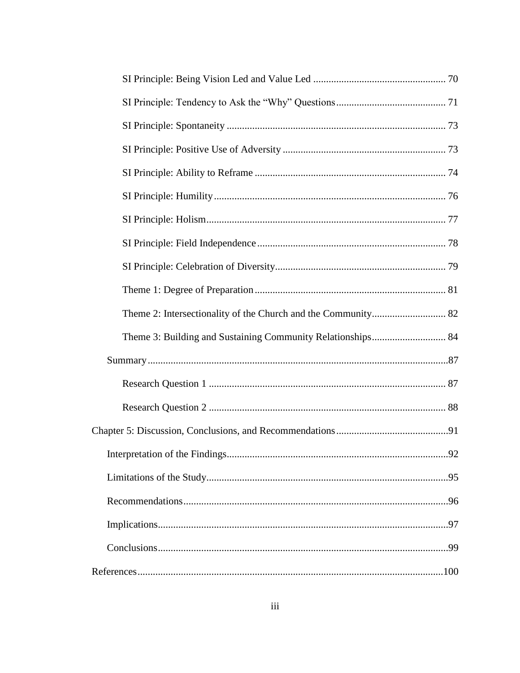| .92 |
|-----|
|     |
|     |
|     |
|     |
|     |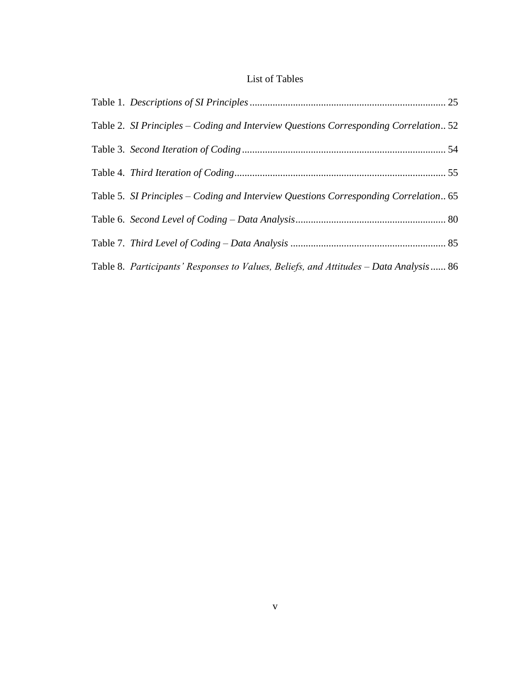# List of Tables

<span id="page-11-0"></span>

| Table 2. SI Principles – Coding and Interview Questions Corresponding Correlation 52   |  |
|----------------------------------------------------------------------------------------|--|
|                                                                                        |  |
|                                                                                        |  |
| Table 5. SI Principles – Coding and Interview Questions Corresponding Correlation 65   |  |
|                                                                                        |  |
|                                                                                        |  |
| Table 8. Participants' Responses to Values, Beliefs, and Attitudes – Data Analysis  86 |  |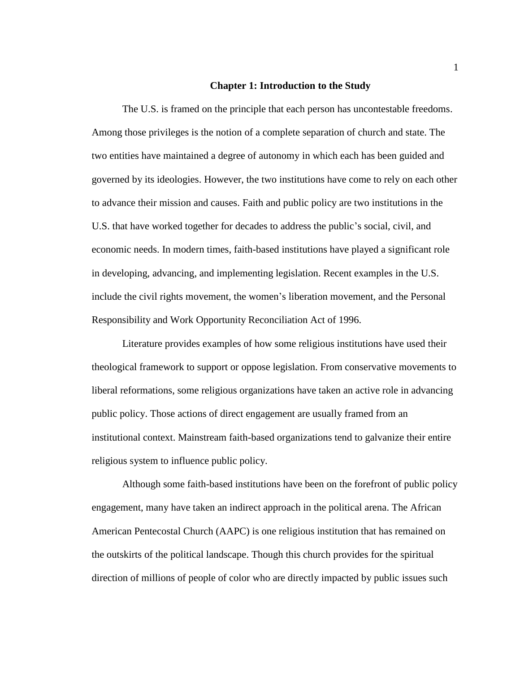#### **Chapter 1: Introduction to the Study**

The U.S. is framed on the principle that each person has uncontestable freedoms. Among those privileges is the notion of a complete separation of church and state. The two entities have maintained a degree of autonomy in which each has been guided and governed by its ideologies. However, the two institutions have come to rely on each other to advance their mission and causes. Faith and public policy are two institutions in the U.S. that have worked together for decades to address the public's social, civil, and economic needs. In modern times, faith-based institutions have played a significant role in developing, advancing, and implementing legislation. Recent examples in the U.S. include the civil rights movement, the women's liberation movement, and the Personal Responsibility and Work Opportunity Reconciliation Act of 1996.

Literature provides examples of how some religious institutions have used their theological framework to support or oppose legislation. From conservative movements to liberal reformations, some religious organizations have taken an active role in advancing public policy. Those actions of direct engagement are usually framed from an institutional context. Mainstream faith-based organizations tend to galvanize their entire religious system to influence public policy.

Although some faith-based institutions have been on the forefront of public policy engagement, many have taken an indirect approach in the political arena. The African American Pentecostal Church (AAPC) is one religious institution that has remained on the outskirts of the political landscape. Though this church provides for the spiritual direction of millions of people of color who are directly impacted by public issues such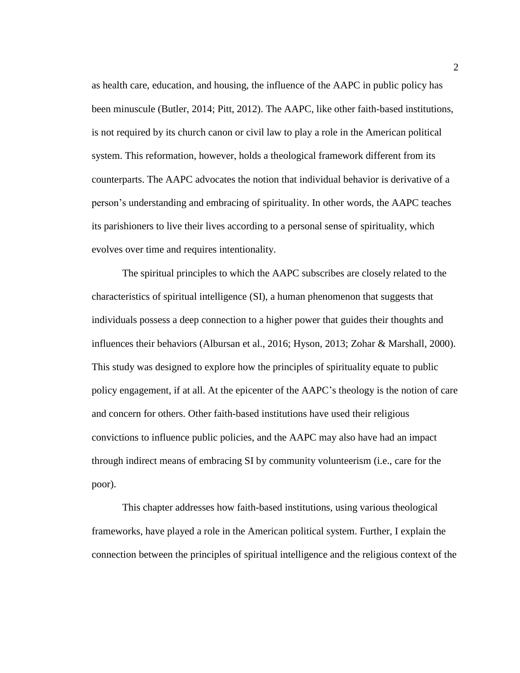as health care, education, and housing, the influence of the AAPC in public policy has been minuscule (Butler, 2014; Pitt, 2012). The AAPC, like other faith-based institutions, is not required by its church canon or civil law to play a role in the American political system. This reformation, however, holds a theological framework different from its counterparts. The AAPC advocates the notion that individual behavior is derivative of a person's understanding and embracing of spirituality. In other words, the AAPC teaches its parishioners to live their lives according to a personal sense of spirituality, which evolves over time and requires intentionality.

The spiritual principles to which the AAPC subscribes are closely related to the characteristics of spiritual intelligence (SI), a human phenomenon that suggests that individuals possess a deep connection to a higher power that guides their thoughts and influences their behaviors (Albursan et al., 2016; Hyson, 2013; Zohar & Marshall, 2000). This study was designed to explore how the principles of spirituality equate to public policy engagement, if at all. At the epicenter of the AAPC's theology is the notion of care and concern for others. Other faith-based institutions have used their religious convictions to influence public policies, and the AAPC may also have had an impact through indirect means of embracing SI by community volunteerism (i.e., care for the poor).

This chapter addresses how faith-based institutions, using various theological frameworks, have played a role in the American political system. Further, I explain the connection between the principles of spiritual intelligence and the religious context of the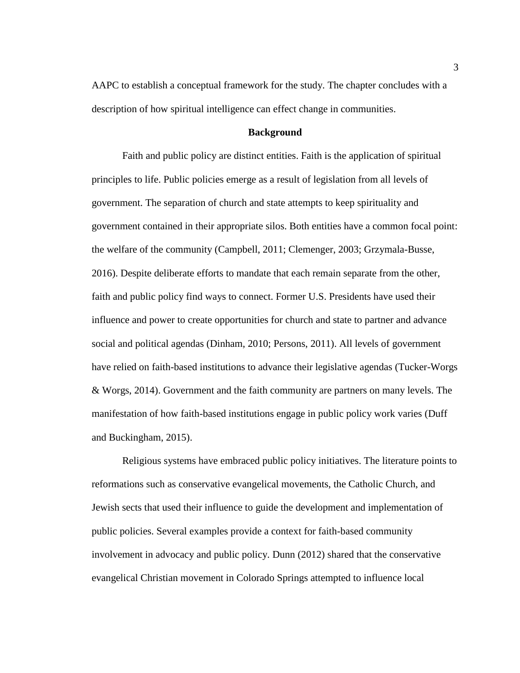AAPC to establish a conceptual framework for the study. The chapter concludes with a description of how spiritual intelligence can effect change in communities.

#### **Background**

<span id="page-14-0"></span>Faith and public policy are distinct entities. Faith is the application of spiritual principles to life. Public policies emerge as a result of legislation from all levels of government. The separation of church and state attempts to keep spirituality and government contained in their appropriate silos. Both entities have a common focal point: the welfare of the community (Campbell, 2011; Clemenger, 2003; Grzymala-Busse, 2016). Despite deliberate efforts to mandate that each remain separate from the other, faith and public policy find ways to connect. Former U.S. Presidents have used their influence and power to create opportunities for church and state to partner and advance social and political agendas (Dinham, 2010; Persons, 2011). All levels of government have relied on faith-based institutions to advance their legislative agendas (Tucker-Worgs & Worgs, 2014). Government and the faith community are partners on many levels. The manifestation of how faith-based institutions engage in public policy work varies (Duff and Buckingham, 2015).

Religious systems have embraced public policy initiatives. The literature points to reformations such as conservative evangelical movements, the Catholic Church, and Jewish sects that used their influence to guide the development and implementation of public policies. Several examples provide a context for faith-based community involvement in advocacy and public policy. Dunn (2012) shared that the conservative evangelical Christian movement in Colorado Springs attempted to influence local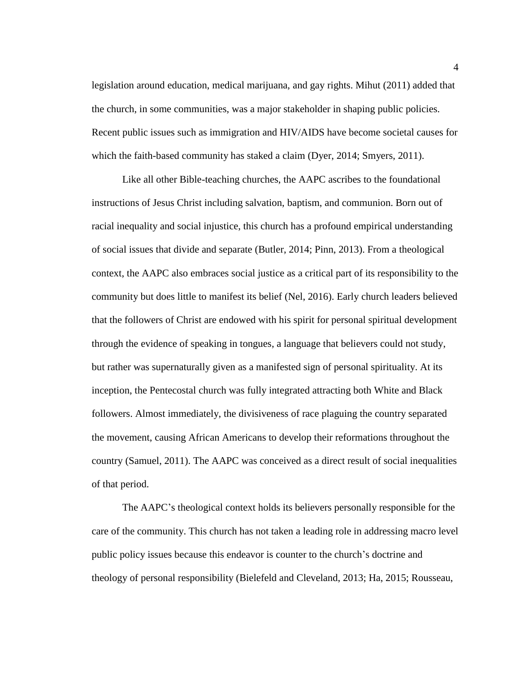legislation around education, medical marijuana, and gay rights. Mihut (2011) added that the church, in some communities, was a major stakeholder in shaping public policies. Recent public issues such as immigration and HIV/AIDS have become societal causes for which the faith-based community has staked a claim (Dyer, 2014; Smyers, 2011).

Like all other Bible-teaching churches, the AAPC ascribes to the foundational instructions of Jesus Christ including salvation, baptism, and communion. Born out of racial inequality and social injustice, this church has a profound empirical understanding of social issues that divide and separate (Butler, 2014; Pinn, 2013). From a theological context, the AAPC also embraces social justice as a critical part of its responsibility to the community but does little to manifest its belief (Nel, 2016). Early church leaders believed that the followers of Christ are endowed with his spirit for personal spiritual development through the evidence of speaking in tongues, a language that believers could not study, but rather was supernaturally given as a manifested sign of personal spirituality. At its inception, the Pentecostal church was fully integrated attracting both White and Black followers. Almost immediately, the divisiveness of race plaguing the country separated the movement, causing African Americans to develop their reformations throughout the country (Samuel, 2011). The AAPC was conceived as a direct result of social inequalities of that period.

The AAPC's theological context holds its believers personally responsible for the care of the community. This church has not taken a leading role in addressing macro level public policy issues because this endeavor is counter to the church's doctrine and theology of personal responsibility (Bielefeld and Cleveland, 2013; Ha, 2015; Rousseau,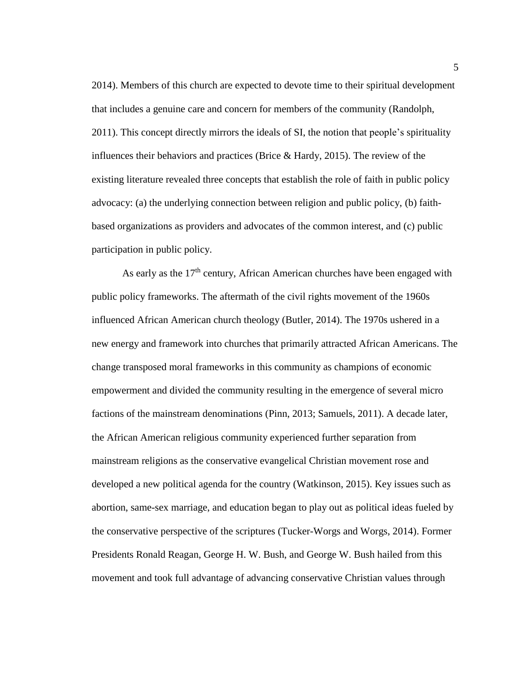2014). Members of this church are expected to devote time to their spiritual development that includes a genuine care and concern for members of the community (Randolph, 2011). This concept directly mirrors the ideals of SI, the notion that people's spirituality influences their behaviors and practices (Brice & Hardy, 2015). The review of the existing literature revealed three concepts that establish the role of faith in public policy advocacy: (a) the underlying connection between religion and public policy, (b) faithbased organizations as providers and advocates of the common interest, and (c) public participation in public policy.

As early as the  $17<sup>th</sup>$  century, African American churches have been engaged with public policy frameworks. The aftermath of the civil rights movement of the 1960s influenced African American church theology (Butler, 2014). The 1970s ushered in a new energy and framework into churches that primarily attracted African Americans. The change transposed moral frameworks in this community as champions of economic empowerment and divided the community resulting in the emergence of several micro factions of the mainstream denominations (Pinn, 2013; Samuels, 2011). A decade later, the African American religious community experienced further separation from mainstream religions as the conservative evangelical Christian movement rose and developed a new political agenda for the country (Watkinson, 2015). Key issues such as abortion, same-sex marriage, and education began to play out as political ideas fueled by the conservative perspective of the scriptures (Tucker-Worgs and Worgs, 2014). Former Presidents Ronald Reagan, George H. W. Bush, and George W. Bush hailed from this movement and took full advantage of advancing conservative Christian values through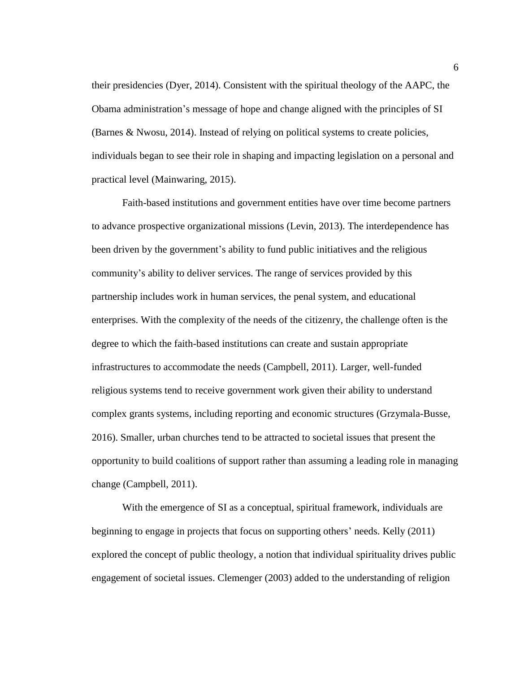their presidencies (Dyer, 2014). Consistent with the spiritual theology of the AAPC, the Obama administration's message of hope and change aligned with the principles of SI (Barnes & Nwosu, 2014). Instead of relying on political systems to create policies, individuals began to see their role in shaping and impacting legislation on a personal and practical level (Mainwaring, 2015).

Faith-based institutions and government entities have over time become partners to advance prospective organizational missions (Levin, 2013). The interdependence has been driven by the government's ability to fund public initiatives and the religious community's ability to deliver services. The range of services provided by this partnership includes work in human services, the penal system, and educational enterprises. With the complexity of the needs of the citizenry, the challenge often is the degree to which the faith-based institutions can create and sustain appropriate infrastructures to accommodate the needs (Campbell, 2011). Larger, well-funded religious systems tend to receive government work given their ability to understand complex grants systems, including reporting and economic structures (Grzymala-Busse, 2016). Smaller, urban churches tend to be attracted to societal issues that present the opportunity to build coalitions of support rather than assuming a leading role in managing change (Campbell, 2011).

With the emergence of SI as a conceptual, spiritual framework, individuals are beginning to engage in projects that focus on supporting others' needs. Kelly (2011) explored the concept of public theology, a notion that individual spirituality drives public engagement of societal issues. Clemenger (2003) added to the understanding of religion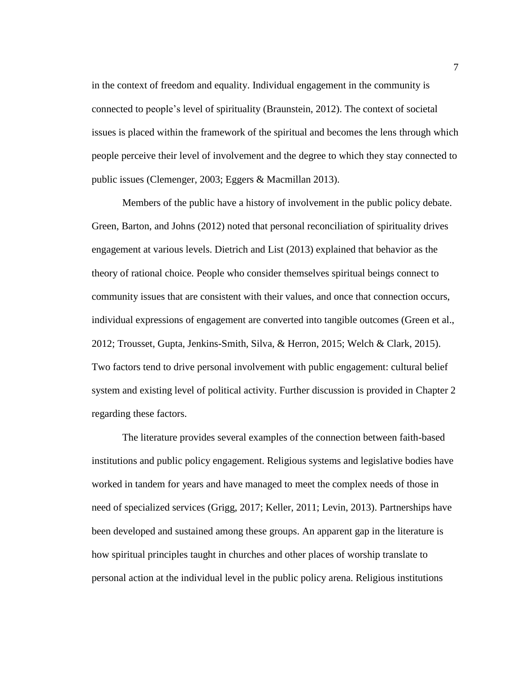in the context of freedom and equality. Individual engagement in the community is connected to people's level of spirituality (Braunstein, 2012). The context of societal issues is placed within the framework of the spiritual and becomes the lens through which people perceive their level of involvement and the degree to which they stay connected to public issues (Clemenger, 2003; Eggers & Macmillan 2013).

Members of the public have a history of involvement in the public policy debate. Green, Barton, and Johns (2012) noted that personal reconciliation of spirituality drives engagement at various levels. Dietrich and List (2013) explained that behavior as the theory of rational choice. People who consider themselves spiritual beings connect to community issues that are consistent with their values, and once that connection occurs, individual expressions of engagement are converted into tangible outcomes (Green et al., 2012; Trousset, Gupta, Jenkins-Smith, Silva, & Herron, 2015; Welch & Clark, 2015). Two factors tend to drive personal involvement with public engagement: cultural belief system and existing level of political activity. Further discussion is provided in Chapter 2 regarding these factors.

The literature provides several examples of the connection between faith-based institutions and public policy engagement. Religious systems and legislative bodies have worked in tandem for years and have managed to meet the complex needs of those in need of specialized services (Grigg, 2017; Keller, 2011; Levin, 2013). Partnerships have been developed and sustained among these groups. An apparent gap in the literature is how spiritual principles taught in churches and other places of worship translate to personal action at the individual level in the public policy arena. Religious institutions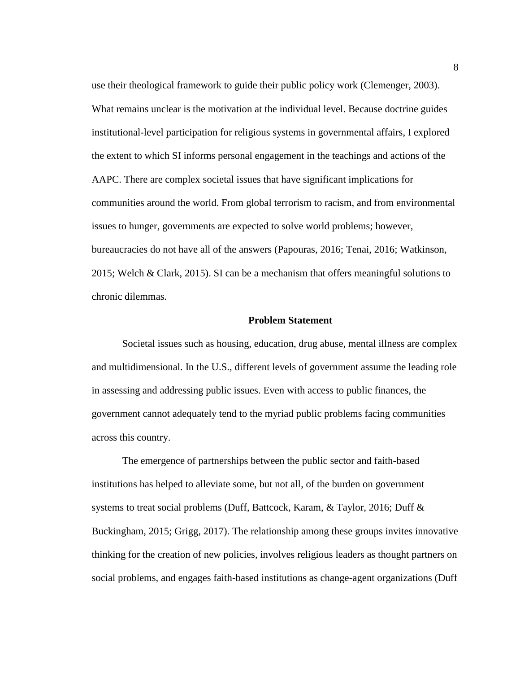use their theological framework to guide their public policy work (Clemenger, 2003). What remains unclear is the motivation at the individual level. Because doctrine guides institutional-level participation for religious systems in governmental affairs, I explored the extent to which SI informs personal engagement in the teachings and actions of the AAPC. There are complex societal issues that have significant implications for communities around the world. From global terrorism to racism, and from environmental issues to hunger, governments are expected to solve world problems; however, bureaucracies do not have all of the answers (Papouras, 2016; Tenai, 2016; Watkinson, 2015; Welch & Clark, 2015). SI can be a mechanism that offers meaningful solutions to chronic dilemmas.

### **Problem Statement**

<span id="page-19-0"></span>Societal issues such as housing, education, drug abuse, mental illness are complex and multidimensional. In the U.S., different levels of government assume the leading role in assessing and addressing public issues. Even with access to public finances, the government cannot adequately tend to the myriad public problems facing communities across this country.

The emergence of partnerships between the public sector and faith-based institutions has helped to alleviate some, but not all, of the burden on government systems to treat social problems (Duff, Battcock, Karam, & Taylor, 2016; Duff & Buckingham, 2015; Grigg, 2017). The relationship among these groups invites innovative thinking for the creation of new policies, involves religious leaders as thought partners on social problems, and engages faith-based institutions as change-agent organizations (Duff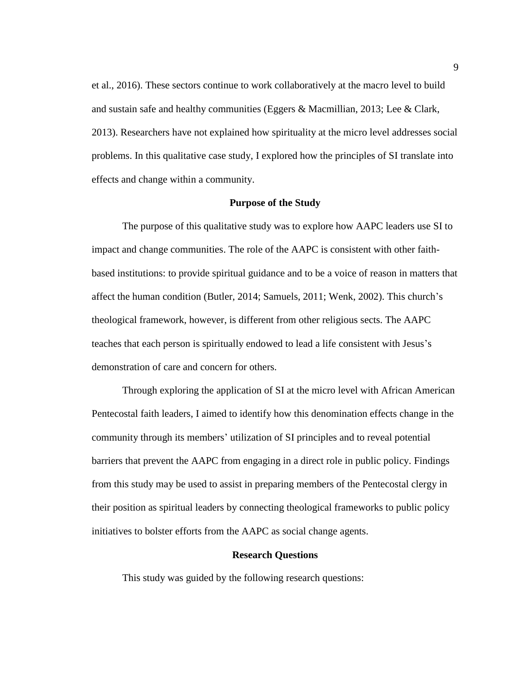et al., 2016). These sectors continue to work collaboratively at the macro level to build and sustain safe and healthy communities (Eggers & Macmillian, 2013; Lee & Clark, 2013). Researchers have not explained how spirituality at the micro level addresses social problems. In this qualitative case study, I explored how the principles of SI translate into effects and change within a community.

### **Purpose of the Study**

<span id="page-20-0"></span>The purpose of this qualitative study was to explore how AAPC leaders use SI to impact and change communities. The role of the AAPC is consistent with other faithbased institutions: to provide spiritual guidance and to be a voice of reason in matters that affect the human condition (Butler, 2014; Samuels, 2011; Wenk, 2002). This church's theological framework, however, is different from other religious sects. The AAPC teaches that each person is spiritually endowed to lead a life consistent with Jesus's demonstration of care and concern for others.

Through exploring the application of SI at the micro level with African American Pentecostal faith leaders, I aimed to identify how this denomination effects change in the community through its members' utilization of SI principles and to reveal potential barriers that prevent the AAPC from engaging in a direct role in public policy. Findings from this study may be used to assist in preparing members of the Pentecostal clergy in their position as spiritual leaders by connecting theological frameworks to public policy initiatives to bolster efforts from the AAPC as social change agents.

# **Research Questions**

<span id="page-20-1"></span>This study was guided by the following research questions: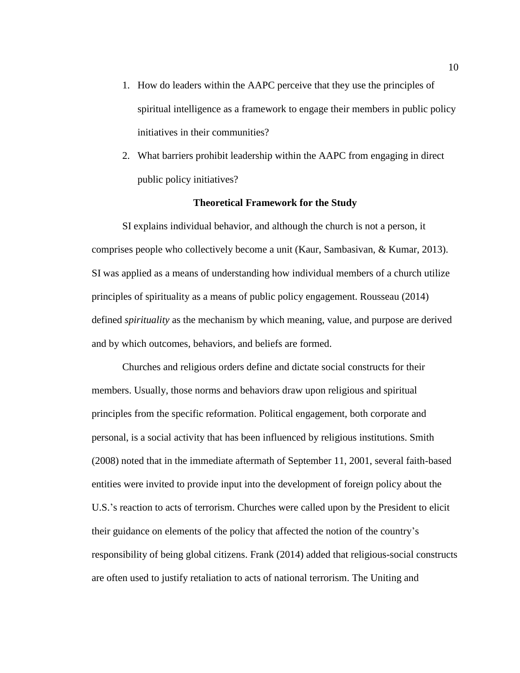- 1. How do leaders within the AAPC perceive that they use the principles of spiritual intelligence as a framework to engage their members in public policy initiatives in their communities?
- 2. What barriers prohibit leadership within the AAPC from engaging in direct public policy initiatives?

# **Theoretical Framework for the Study**

<span id="page-21-0"></span>SI explains individual behavior, and although the church is not a person, it comprises people who collectively become a unit (Kaur, Sambasivan, & Kumar, 2013). SI was applied as a means of understanding how individual members of a church utilize principles of spirituality as a means of public policy engagement. Rousseau (2014) defined *spirituality* as the mechanism by which meaning, value, and purpose are derived and by which outcomes, behaviors, and beliefs are formed.

Churches and religious orders define and dictate social constructs for their members. Usually, those norms and behaviors draw upon religious and spiritual principles from the specific reformation. Political engagement, both corporate and personal, is a social activity that has been influenced by religious institutions. Smith (2008) noted that in the immediate aftermath of September 11, 2001, several faith-based entities were invited to provide input into the development of foreign policy about the U.S.'s reaction to acts of terrorism. Churches were called upon by the President to elicit their guidance on elements of the policy that affected the notion of the country's responsibility of being global citizens. Frank (2014) added that religious-social constructs are often used to justify retaliation to acts of national terrorism. The Uniting and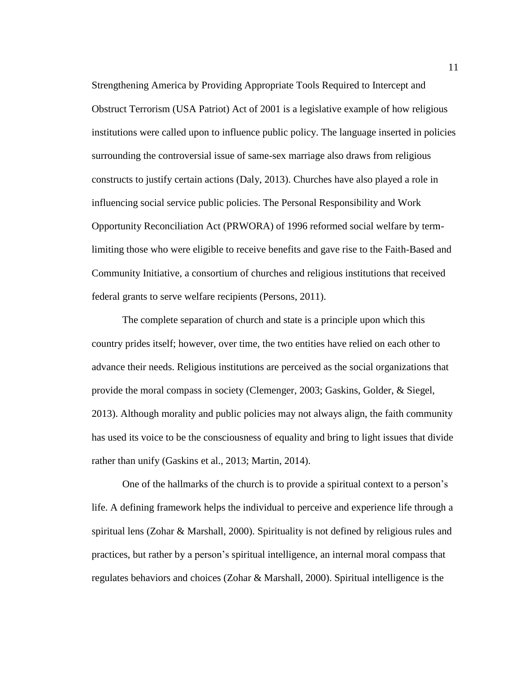Strengthening America by Providing Appropriate Tools Required to Intercept and Obstruct Terrorism (USA Patriot) Act of 2001 is a legislative example of how religious institutions were called upon to influence public policy. The language inserted in policies surrounding the controversial issue of same-sex marriage also draws from religious constructs to justify certain actions (Daly, 2013). Churches have also played a role in influencing social service public policies. The Personal Responsibility and Work Opportunity Reconciliation Act (PRWORA) of 1996 reformed social welfare by termlimiting those who were eligible to receive benefits and gave rise to the Faith-Based and Community Initiative, a consortium of churches and religious institutions that received federal grants to serve welfare recipients (Persons, 2011).

The complete separation of church and state is a principle upon which this country prides itself; however, over time, the two entities have relied on each other to advance their needs. Religious institutions are perceived as the social organizations that provide the moral compass in society (Clemenger, 2003; Gaskins, Golder, & Siegel, 2013). Although morality and public policies may not always align, the faith community has used its voice to be the consciousness of equality and bring to light issues that divide rather than unify (Gaskins et al., 2013; Martin, 2014).

One of the hallmarks of the church is to provide a spiritual context to a person's life. A defining framework helps the individual to perceive and experience life through a spiritual lens (Zohar & Marshall, 2000). Spirituality is not defined by religious rules and practices, but rather by a person's spiritual intelligence, an internal moral compass that regulates behaviors and choices (Zohar & Marshall, 2000). Spiritual intelligence is the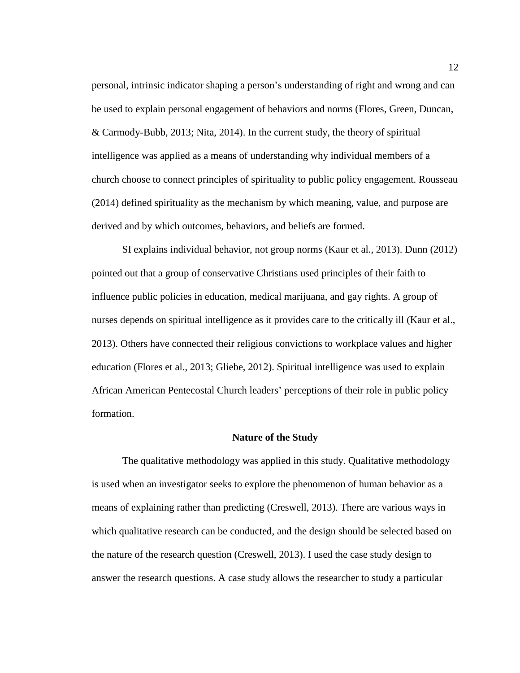personal, intrinsic indicator shaping a person's understanding of right and wrong and can be used to explain personal engagement of behaviors and norms (Flores, Green, Duncan, & Carmody-Bubb, 2013; Nita, 2014). In the current study, the theory of spiritual intelligence was applied as a means of understanding why individual members of a church choose to connect principles of spirituality to public policy engagement. Rousseau (2014) defined spirituality as the mechanism by which meaning, value, and purpose are derived and by which outcomes, behaviors, and beliefs are formed.

SI explains individual behavior, not group norms (Kaur et al., 2013). Dunn (2012) pointed out that a group of conservative Christians used principles of their faith to influence public policies in education, medical marijuana, and gay rights. A group of nurses depends on spiritual intelligence as it provides care to the critically ill (Kaur et al., 2013). Others have connected their religious convictions to workplace values and higher education (Flores et al., 2013; Gliebe, 2012). Spiritual intelligence was used to explain African American Pentecostal Church leaders' perceptions of their role in public policy formation.

# **Nature of the Study**

<span id="page-23-0"></span>The qualitative methodology was applied in this study. Qualitative methodology is used when an investigator seeks to explore the phenomenon of human behavior as a means of explaining rather than predicting (Creswell, 2013). There are various ways in which qualitative research can be conducted, and the design should be selected based on the nature of the research question (Creswell, 2013). I used the case study design to answer the research questions. A case study allows the researcher to study a particular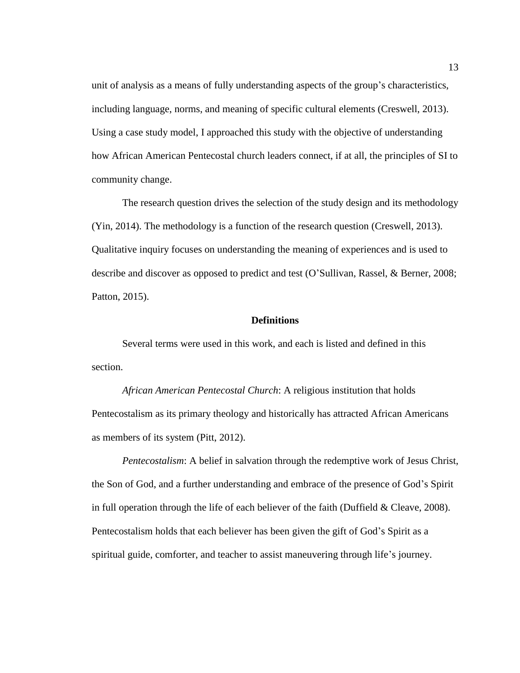unit of analysis as a means of fully understanding aspects of the group's characteristics, including language, norms, and meaning of specific cultural elements (Creswell, 2013). Using a case study model, I approached this study with the objective of understanding how African American Pentecostal church leaders connect, if at all, the principles of SI to community change.

The research question drives the selection of the study design and its methodology (Yin, 2014). The methodology is a function of the research question (Creswell, 2013). Qualitative inquiry focuses on understanding the meaning of experiences and is used to describe and discover as opposed to predict and test (O'Sullivan, Rassel, & Berner, 2008; Patton, 2015).

# **Definitions**

<span id="page-24-0"></span>Several terms were used in this work, and each is listed and defined in this section.

*African American Pentecostal Church*: A religious institution that holds Pentecostalism as its primary theology and historically has attracted African Americans as members of its system (Pitt, 2012).

*Pentecostalism*: A belief in salvation through the redemptive work of Jesus Christ, the Son of God, and a further understanding and embrace of the presence of God's Spirit in full operation through the life of each believer of the faith (Duffield & Cleave, 2008). Pentecostalism holds that each believer has been given the gift of God's Spirit as a spiritual guide, comforter, and teacher to assist maneuvering through life's journey.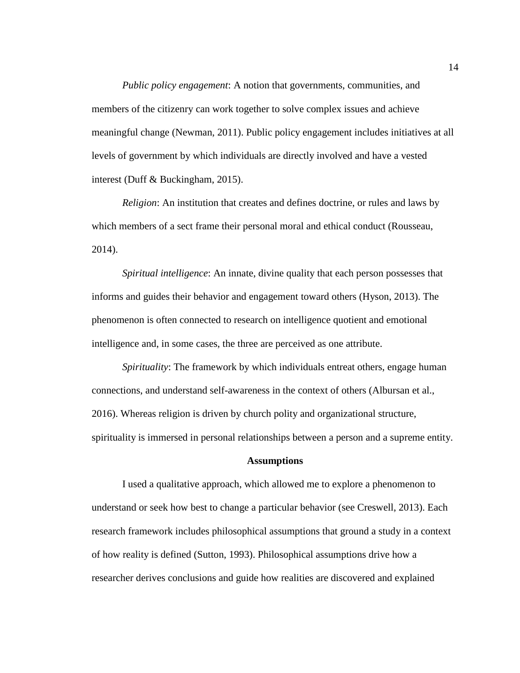*Public policy engagement*: A notion that governments, communities, and members of the citizenry can work together to solve complex issues and achieve meaningful change (Newman, 2011). Public policy engagement includes initiatives at all levels of government by which individuals are directly involved and have a vested interest (Duff & Buckingham, 2015).

*Religion*: An institution that creates and defines doctrine, or rules and laws by which members of a sect frame their personal moral and ethical conduct (Rousseau, 2014).

*Spiritual intelligence*: An innate, divine quality that each person possesses that informs and guides their behavior and engagement toward others (Hyson, 2013). The phenomenon is often connected to research on intelligence quotient and emotional intelligence and, in some cases, the three are perceived as one attribute.

*Spirituality*: The framework by which individuals entreat others, engage human connections, and understand self-awareness in the context of others (Albursan et al., 2016). Whereas religion is driven by church polity and organizational structure, spirituality is immersed in personal relationships between a person and a supreme entity.

#### **Assumptions**

<span id="page-25-0"></span>I used a qualitative approach, which allowed me to explore a phenomenon to understand or seek how best to change a particular behavior (see Creswell, 2013). Each research framework includes philosophical assumptions that ground a study in a context of how reality is defined (Sutton, 1993). Philosophical assumptions drive how a researcher derives conclusions and guide how realities are discovered and explained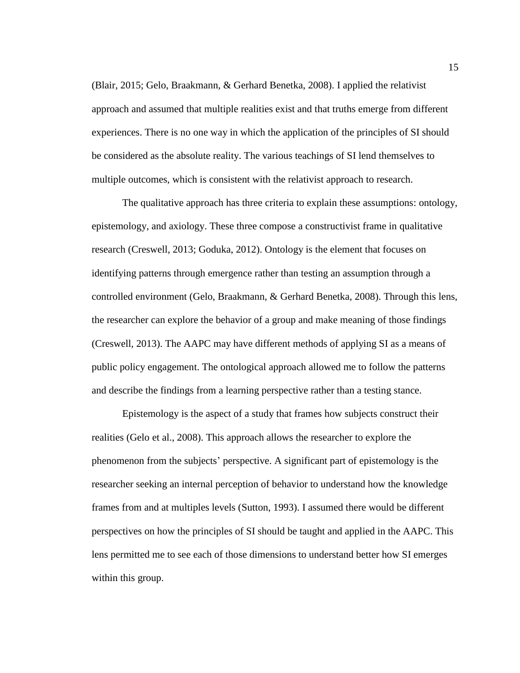(Blair, 2015; Gelo, Braakmann, & Gerhard Benetka, 2008). I applied the relativist approach and assumed that multiple realities exist and that truths emerge from different experiences. There is no one way in which the application of the principles of SI should be considered as the absolute reality. The various teachings of SI lend themselves to multiple outcomes, which is consistent with the relativist approach to research.

The qualitative approach has three criteria to explain these assumptions: ontology, epistemology, and axiology. These three compose a constructivist frame in qualitative research (Creswell, 2013; Goduka, 2012). Ontology is the element that focuses on identifying patterns through emergence rather than testing an assumption through a controlled environment (Gelo, Braakmann, & Gerhard Benetka, 2008). Through this lens, the researcher can explore the behavior of a group and make meaning of those findings (Creswell, 2013). The AAPC may have different methods of applying SI as a means of public policy engagement. The ontological approach allowed me to follow the patterns and describe the findings from a learning perspective rather than a testing stance.

Epistemology is the aspect of a study that frames how subjects construct their realities (Gelo et al., 2008). This approach allows the researcher to explore the phenomenon from the subjects' perspective. A significant part of epistemology is the researcher seeking an internal perception of behavior to understand how the knowledge frames from and at multiples levels (Sutton, 1993). I assumed there would be different perspectives on how the principles of SI should be taught and applied in the AAPC. This lens permitted me to see each of those dimensions to understand better how SI emerges within this group.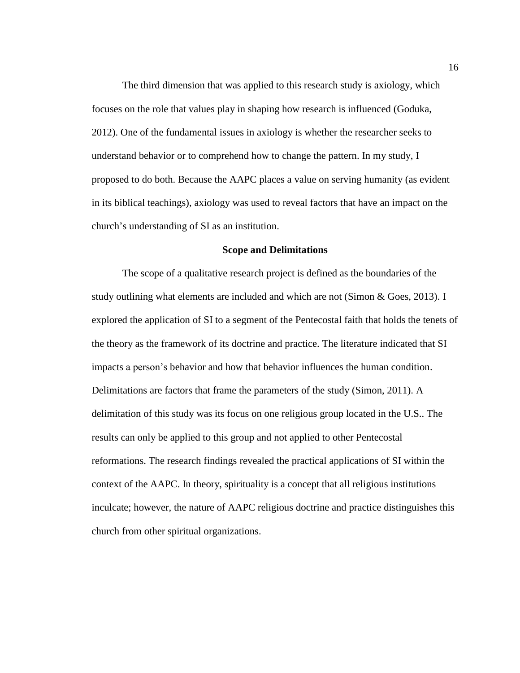The third dimension that was applied to this research study is axiology, which focuses on the role that values play in shaping how research is influenced (Goduka, 2012). One of the fundamental issues in axiology is whether the researcher seeks to understand behavior or to comprehend how to change the pattern. In my study, I proposed to do both. Because the AAPC places a value on serving humanity (as evident in its biblical teachings), axiology was used to reveal factors that have an impact on the church's understanding of SI as an institution.

### **Scope and Delimitations**

<span id="page-27-0"></span>The scope of a qualitative research project is defined as the boundaries of the study outlining what elements are included and which are not (Simon & Goes, 2013). I explored the application of SI to a segment of the Pentecostal faith that holds the tenets of the theory as the framework of its doctrine and practice. The literature indicated that SI impacts a person's behavior and how that behavior influences the human condition. Delimitations are factors that frame the parameters of the study (Simon, 2011). A delimitation of this study was its focus on one religious group located in the U.S.. The results can only be applied to this group and not applied to other Pentecostal reformations. The research findings revealed the practical applications of SI within the context of the AAPC. In theory, spirituality is a concept that all religious institutions inculcate; however, the nature of AAPC religious doctrine and practice distinguishes this church from other spiritual organizations.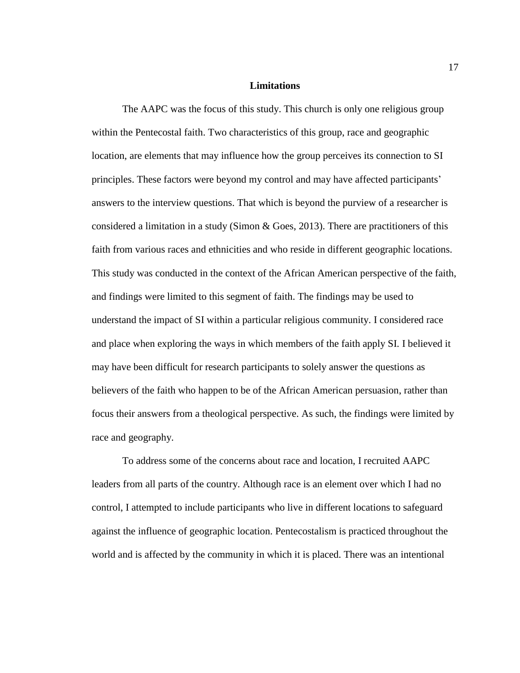#### **Limitations**

<span id="page-28-0"></span>The AAPC was the focus of this study. This church is only one religious group within the Pentecostal faith. Two characteristics of this group, race and geographic location, are elements that may influence how the group perceives its connection to SI principles. These factors were beyond my control and may have affected participants' answers to the interview questions. That which is beyond the purview of a researcher is considered a limitation in a study (Simon  $\&$  Goes, 2013). There are practitioners of this faith from various races and ethnicities and who reside in different geographic locations. This study was conducted in the context of the African American perspective of the faith, and findings were limited to this segment of faith. The findings may be used to understand the impact of SI within a particular religious community. I considered race and place when exploring the ways in which members of the faith apply SI. I believed it may have been difficult for research participants to solely answer the questions as believers of the faith who happen to be of the African American persuasion, rather than focus their answers from a theological perspective. As such, the findings were limited by race and geography.

To address some of the concerns about race and location, I recruited AAPC leaders from all parts of the country. Although race is an element over which I had no control, I attempted to include participants who live in different locations to safeguard against the influence of geographic location. Pentecostalism is practiced throughout the world and is affected by the community in which it is placed. There was an intentional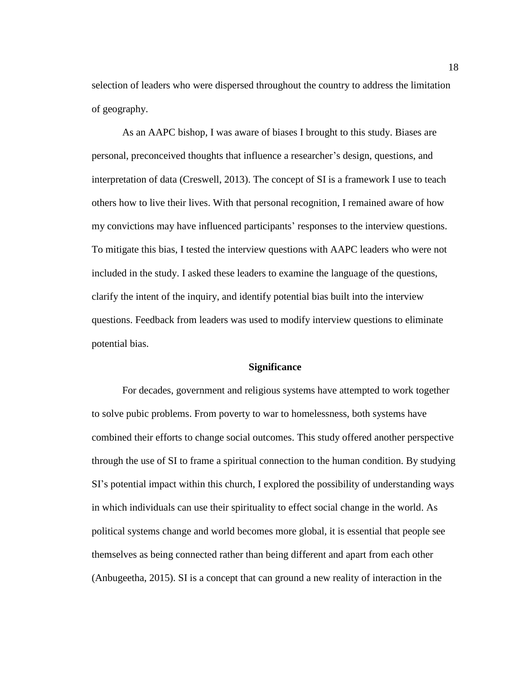selection of leaders who were dispersed throughout the country to address the limitation of geography.

As an AAPC bishop, I was aware of biases I brought to this study. Biases are personal, preconceived thoughts that influence a researcher's design, questions, and interpretation of data (Creswell, 2013). The concept of SI is a framework I use to teach others how to live their lives. With that personal recognition, I remained aware of how my convictions may have influenced participants' responses to the interview questions. To mitigate this bias, I tested the interview questions with AAPC leaders who were not included in the study. I asked these leaders to examine the language of the questions, clarify the intent of the inquiry, and identify potential bias built into the interview questions. Feedback from leaders was used to modify interview questions to eliminate potential bias.

# **Significance**

<span id="page-29-0"></span>For decades, government and religious systems have attempted to work together to solve pubic problems. From poverty to war to homelessness, both systems have combined their efforts to change social outcomes. This study offered another perspective through the use of SI to frame a spiritual connection to the human condition. By studying SI's potential impact within this church, I explored the possibility of understanding ways in which individuals can use their spirituality to effect social change in the world. As political systems change and world becomes more global, it is essential that people see themselves as being connected rather than being different and apart from each other (Anbugeetha, 2015). SI is a concept that can ground a new reality of interaction in the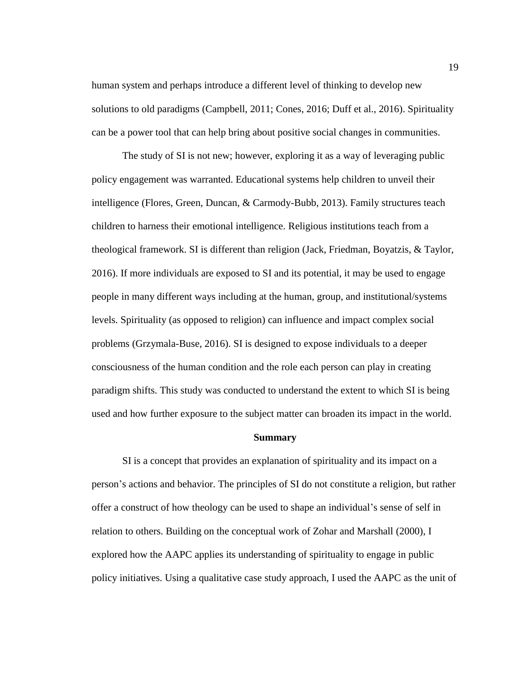human system and perhaps introduce a different level of thinking to develop new solutions to old paradigms (Campbell, 2011; Cones, 2016; Duff et al., 2016). Spirituality can be a power tool that can help bring about positive social changes in communities.

The study of SI is not new; however, exploring it as a way of leveraging public policy engagement was warranted. Educational systems help children to unveil their intelligence (Flores, Green, Duncan, & Carmody-Bubb, 2013). Family structures teach children to harness their emotional intelligence. Religious institutions teach from a theological framework. SI is different than religion (Jack, Friedman, Boyatzis, & Taylor, 2016). If more individuals are exposed to SI and its potential, it may be used to engage people in many different ways including at the human, group, and institutional/systems levels. Spirituality (as opposed to religion) can influence and impact complex social problems (Grzymala-Buse, 2016). SI is designed to expose individuals to a deeper consciousness of the human condition and the role each person can play in creating paradigm shifts. This study was conducted to understand the extent to which SI is being used and how further exposure to the subject matter can broaden its impact in the world.

#### **Summary**

<span id="page-30-0"></span>SI is a concept that provides an explanation of spirituality and its impact on a person's actions and behavior. The principles of SI do not constitute a religion, but rather offer a construct of how theology can be used to shape an individual's sense of self in relation to others. Building on the conceptual work of Zohar and Marshall (2000), I explored how the AAPC applies its understanding of spirituality to engage in public policy initiatives. Using a qualitative case study approach, I used the AAPC as the unit of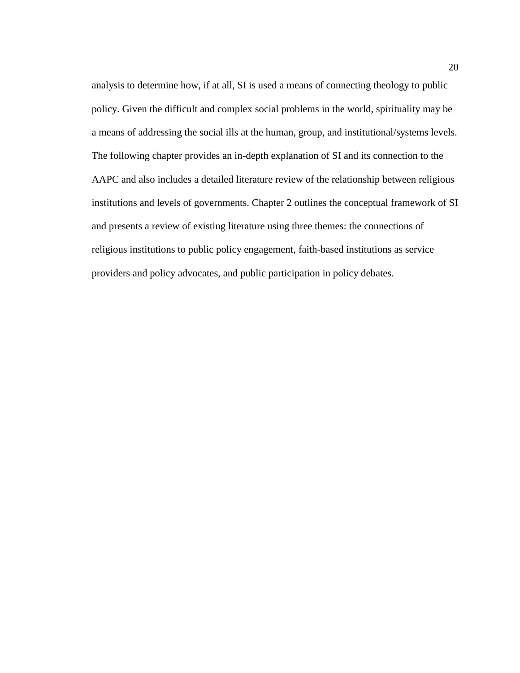analysis to determine how, if at all, SI is used a means of connecting theology to public policy. Given the difficult and complex social problems in the world, spirituality may be a means of addressing the social ills at the human, group, and institutional/systems levels. The following chapter provides an in-depth explanation of SI and its connection to the AAPC and also includes a detailed literature review of the relationship between religious institutions and levels of governments. Chapter 2 outlines the conceptual framework of SI and presents a review of existing literature using three themes: the connections of religious institutions to public policy engagement, faith-based institutions as service providers and policy advocates, and public participation in policy debates.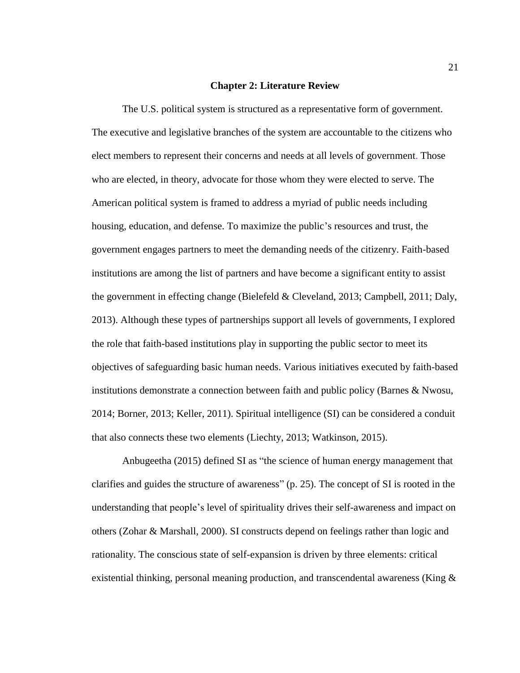#### **Chapter 2: Literature Review**

<span id="page-32-0"></span>The U.S. political system is structured as a representative form of government. The executive and legislative branches of the system are accountable to the citizens who elect members to represent their concerns and needs at all levels of government. Those who are elected, in theory, advocate for those whom they were elected to serve. The American political system is framed to address a myriad of public needs including housing, education, and defense. To maximize the public's resources and trust, the government engages partners to meet the demanding needs of the citizenry. Faith-based institutions are among the list of partners and have become a significant entity to assist the government in effecting change (Bielefeld & Cleveland, 2013; Campbell, 2011; Daly, 2013). Although these types of partnerships support all levels of governments, I explored the role that faith-based institutions play in supporting the public sector to meet its objectives of safeguarding basic human needs. Various initiatives executed by faith-based institutions demonstrate a connection between faith and public policy (Barnes & Nwosu, 2014; Borner, 2013; Keller, 2011). Spiritual intelligence (SI) can be considered a conduit that also connects these two elements (Liechty, 2013; Watkinson, 2015).

Anbugeetha (2015) defined SI as "the science of human energy management that clarifies and guides the structure of awareness" (p. 25). The concept of SI is rooted in the understanding that people's level of spirituality drives their self-awareness and impact on others (Zohar & Marshall, 2000). SI constructs depend on feelings rather than logic and rationality. The conscious state of self-expansion is driven by three elements: critical existential thinking, personal meaning production, and transcendental awareness (King  $\&$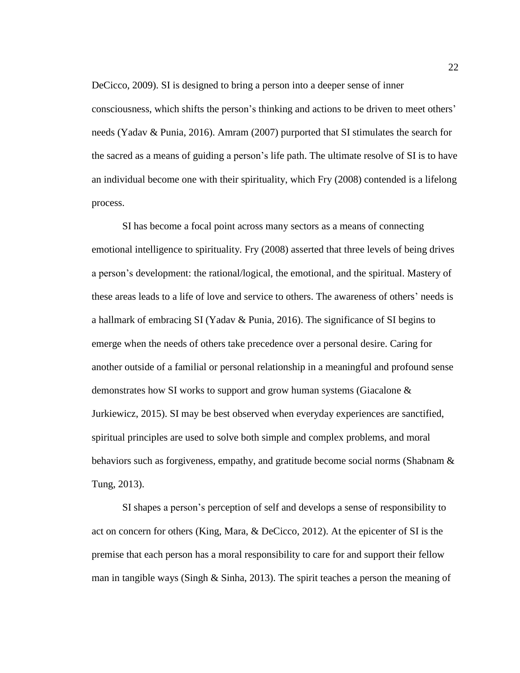DeCicco, 2009). SI is designed to bring a person into a deeper sense of inner consciousness, which shifts the person's thinking and actions to be driven to meet others' needs (Yadav & Punia, 2016). Amram (2007) purported that SI stimulates the search for the sacred as a means of guiding a person's life path. The ultimate resolve of SI is to have an individual become one with their spirituality, which Fry (2008) contended is a lifelong process.

SI has become a focal point across many sectors as a means of connecting emotional intelligence to spirituality. Fry (2008) asserted that three levels of being drives a person's development: the rational/logical, the emotional, and the spiritual. Mastery of these areas leads to a life of love and service to others. The awareness of others' needs is a hallmark of embracing SI (Yadav & Punia, 2016). The significance of SI begins to emerge when the needs of others take precedence over a personal desire. Caring for another outside of a familial or personal relationship in a meaningful and profound sense demonstrates how SI works to support and grow human systems (Giacalone & Jurkiewicz, 2015). SI may be best observed when everyday experiences are sanctified, spiritual principles are used to solve both simple and complex problems, and moral behaviors such as forgiveness, empathy, and gratitude become social norms (Shabnam & Tung, 2013).

SI shapes a person's perception of self and develops a sense of responsibility to act on concern for others (King, Mara, & DeCicco, 2012). At the epicenter of SI is the premise that each person has a moral responsibility to care for and support their fellow man in tangible ways (Singh & Sinha, 2013). The spirit teaches a person the meaning of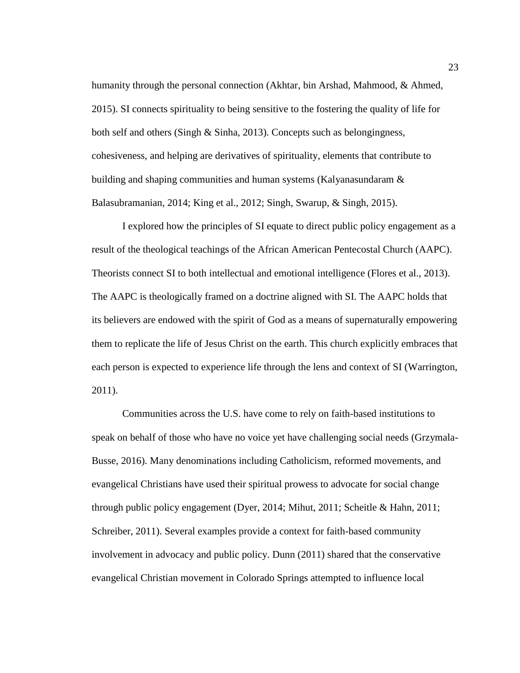humanity through the personal connection (Akhtar, bin Arshad, Mahmood, & Ahmed, 2015). SI connects spirituality to being sensitive to the fostering the quality of life for both self and others (Singh & Sinha, 2013). Concepts such as belongingness, cohesiveness, and helping are derivatives of spirituality, elements that contribute to building and shaping communities and human systems (Kalyanasundaram & Balasubramanian, 2014; King et al., 2012; Singh, Swarup, & Singh, 2015).

I explored how the principles of SI equate to direct public policy engagement as a result of the theological teachings of the African American Pentecostal Church (AAPC). Theorists connect SI to both intellectual and emotional intelligence (Flores et al., 2013). The AAPC is theologically framed on a doctrine aligned with SI. The AAPC holds that its believers are endowed with the spirit of God as a means of supernaturally empowering them to replicate the life of Jesus Christ on the earth. This church explicitly embraces that each person is expected to experience life through the lens and context of SI (Warrington, 2011).

Communities across the U.S. have come to rely on faith-based institutions to speak on behalf of those who have no voice yet have challenging social needs (Grzymala-Busse, 2016). Many denominations including Catholicism, reformed movements, and evangelical Christians have used their spiritual prowess to advocate for social change through public policy engagement (Dyer, 2014; Mihut, 2011; Scheitle & Hahn, 2011; Schreiber, 2011). Several examples provide a context for faith-based community involvement in advocacy and public policy. Dunn (2011) shared that the conservative evangelical Christian movement in Colorado Springs attempted to influence local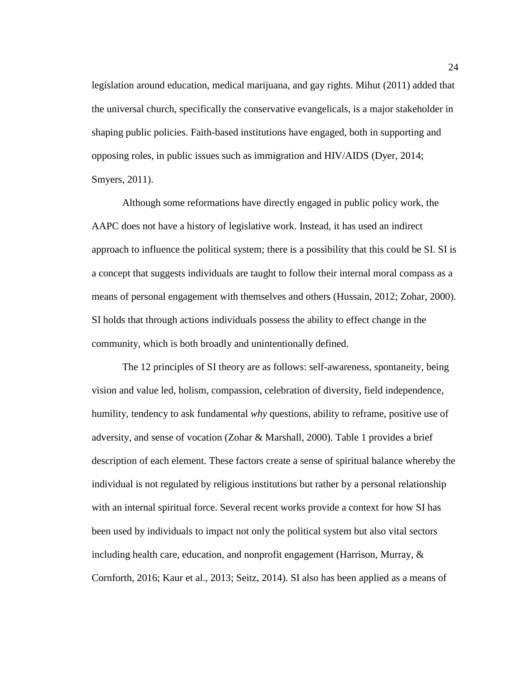legislation around education, medical marijuana, and gay rights. Mihut (2011) added that the universal church, specifically the conservative evangelicals, is a major stakeholder in shaping public policies. Faith-based institutions have engaged, both in supporting and opposing roles, in public issues such as immigration and HIV/AIDS (Dyer, 2014; Smyers, 2011).

Although some reformations have directly engaged in public policy work, the AAPC does not have a history of legislative work. Instead, it has used an indirect approach to influence the political system; there is a possibility that this could be SI. SI is a concept that suggests individuals are taught to follow their internal moral compass as a means of personal engagement with themselves and others (Hussain, 2012; Zohar, 2000). SI holds that through actions individuals possess the ability to effect change in the community, which is both broadly and unintentionally defined.

The 12 principles of SI theory are as follows: self-awareness, spontaneity, being vision and value led, holism, compassion, celebration of diversity, field independence, humility, tendency to ask fundamental *why* questions, ability to reframe, positive use of adversity, and sense of vocation (Zohar & Marshall, 2000). Table 1 provides a brief description of each element. These factors create a sense of spiritual balance whereby the individual is not regulated by religious institutions but rather by a personal relationship with an internal spiritual force. Several recent works provide a context for how SI has been used by individuals to impact not only the political system but also vital sectors including health care, education, and nonprofit engagement (Harrison, Murray, & Cornforth, 2016; Kaur et al., 2013; Seitz, 2014). SI also has been applied as a means of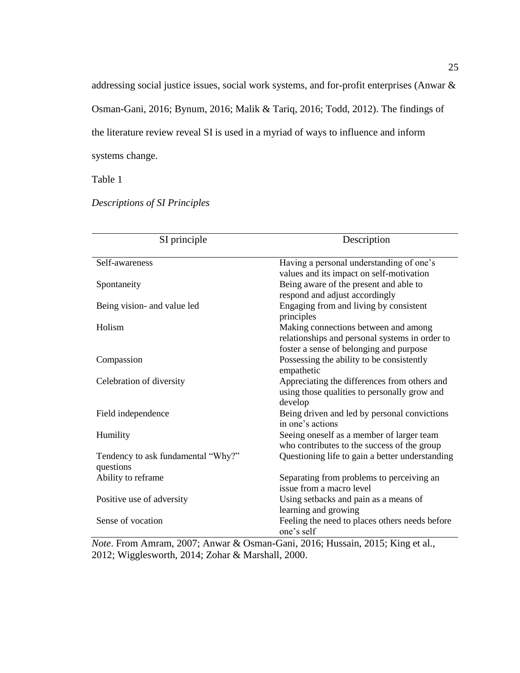addressing social justice issues, social work systems, and for-profit enterprises (Anwar & Osman-Gani, 2016; Bynum, 2016; Malik & Tariq, 2016; Todd, 2012). The findings of the literature review reveal SI is used in a myriad of ways to influence and inform systems change.

Table 1

*Descriptions of SI Principles*

| SI principle                                    | Description                                                                                                                       |
|-------------------------------------------------|-----------------------------------------------------------------------------------------------------------------------------------|
| Self-awareness                                  | Having a personal understanding of one's<br>values and its impact on self-motivation                                              |
| Spontaneity                                     | Being aware of the present and able to<br>respond and adjust accordingly                                                          |
| Being vision- and value led                     | Engaging from and living by consistent<br>principles                                                                              |
| Holism                                          | Making connections between and among<br>relationships and personal systems in order to<br>foster a sense of belonging and purpose |
| Compassion                                      | Possessing the ability to be consistently<br>empathetic                                                                           |
| Celebration of diversity                        | Appreciating the differences from others and<br>using those qualities to personally grow and<br>develop                           |
| Field independence                              | Being driven and led by personal convictions<br>in one's actions                                                                  |
| Humility                                        | Seeing oneself as a member of larger team<br>who contributes to the success of the group                                          |
| Tendency to ask fundamental "Why?"<br>questions | Questioning life to gain a better understanding                                                                                   |
| Ability to reframe                              | Separating from problems to perceiving an<br>issue from a macro level                                                             |
| Positive use of adversity                       | Using setbacks and pain as a means of<br>learning and growing                                                                     |
| Sense of vocation                               | Feeling the need to places others needs before<br>one's self                                                                      |

*Note*. From Amram, 2007; Anwar & Osman-Gani, 2016; Hussain, 2015; King et al., 2012; Wigglesworth, 2014; Zohar & Marshall, 2000.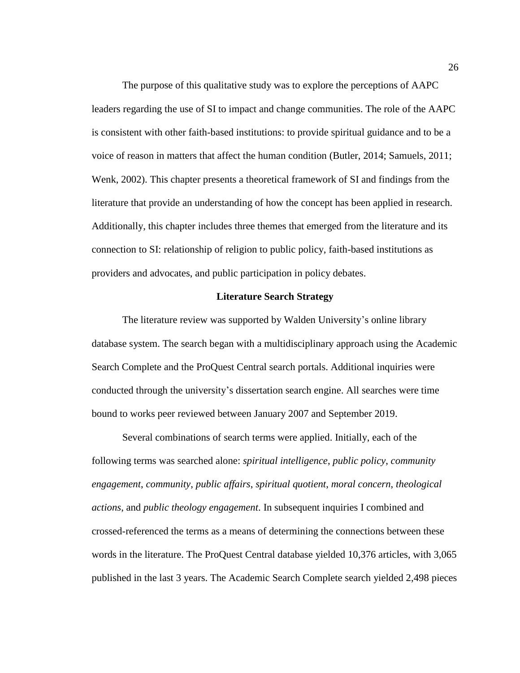The purpose of this qualitative study was to explore the perceptions of AAPC leaders regarding the use of SI to impact and change communities. The role of the AAPC is consistent with other faith-based institutions: to provide spiritual guidance and to be a voice of reason in matters that affect the human condition (Butler, 2014; Samuels, 2011; Wenk, 2002). This chapter presents a theoretical framework of SI and findings from the literature that provide an understanding of how the concept has been applied in research. Additionally, this chapter includes three themes that emerged from the literature and its connection to SI: relationship of religion to public policy, faith-based institutions as providers and advocates, and public participation in policy debates.

## **Literature Search Strategy**

The literature review was supported by Walden University's online library database system. The search began with a multidisciplinary approach using the Academic Search Complete and the ProQuest Central search portals. Additional inquiries were conducted through the university's dissertation search engine. All searches were time bound to works peer reviewed between January 2007 and September 2019.

Several combinations of search terms were applied. Initially, each of the following terms was searched alone: *spiritual intelligence*, *public policy*, *community engagement*, *community*, *public affairs*, *spiritual quotient*, *moral concern*, *theological actions*, and *public theology engagement*. In subsequent inquiries I combined and crossed-referenced the terms as a means of determining the connections between these words in the literature. The ProQuest Central database yielded 10,376 articles, with 3,065 published in the last 3 years. The Academic Search Complete search yielded 2,498 pieces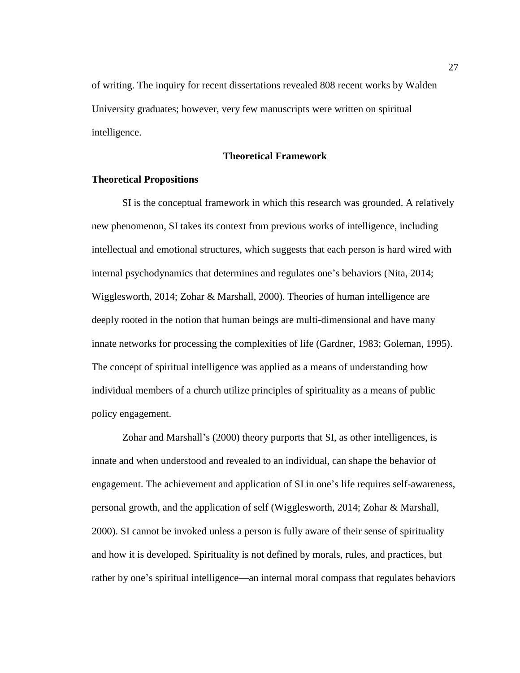of writing. The inquiry for recent dissertations revealed 808 recent works by Walden University graduates; however, very few manuscripts were written on spiritual intelligence.

**Theoretical Framework**

## **Theoretical Propositions**

SI is the conceptual framework in which this research was grounded. A relatively new phenomenon, SI takes its context from previous works of intelligence, including intellectual and emotional structures, which suggests that each person is hard wired with internal psychodynamics that determines and regulates one's behaviors (Nita, 2014; Wigglesworth, 2014; Zohar & Marshall, 2000). Theories of human intelligence are deeply rooted in the notion that human beings are multi-dimensional and have many innate networks for processing the complexities of life (Gardner, 1983; Goleman, 1995). The concept of spiritual intelligence was applied as a means of understanding how individual members of a church utilize principles of spirituality as a means of public policy engagement.

Zohar and Marshall's (2000) theory purports that SI, as other intelligences, is innate and when understood and revealed to an individual, can shape the behavior of engagement. The achievement and application of SI in one's life requires self-awareness, personal growth, and the application of self (Wigglesworth, 2014; Zohar & Marshall, 2000). SI cannot be invoked unless a person is fully aware of their sense of spirituality and how it is developed. Spirituality is not defined by morals, rules, and practices, but rather by one's spiritual intelligence—an internal moral compass that regulates behaviors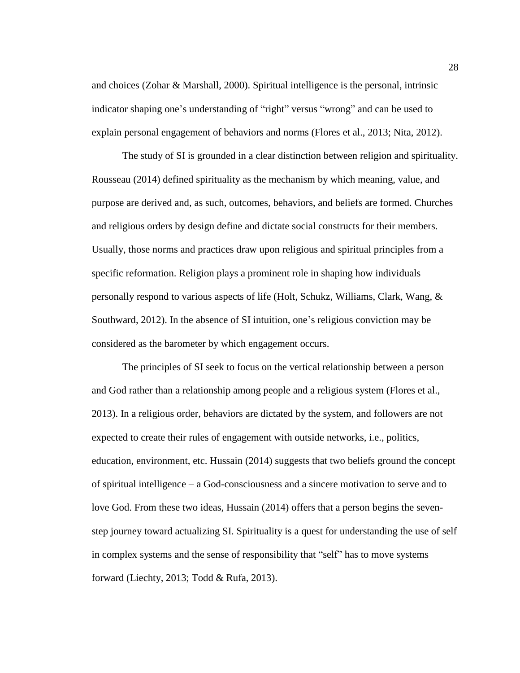and choices (Zohar & Marshall, 2000). Spiritual intelligence is the personal, intrinsic indicator shaping one's understanding of "right" versus "wrong" and can be used to explain personal engagement of behaviors and norms (Flores et al., 2013; Nita, 2012).

The study of SI is grounded in a clear distinction between religion and spirituality. Rousseau (2014) defined spirituality as the mechanism by which meaning, value, and purpose are derived and, as such, outcomes, behaviors, and beliefs are formed. Churches and religious orders by design define and dictate social constructs for their members. Usually, those norms and practices draw upon religious and spiritual principles from a specific reformation. Religion plays a prominent role in shaping how individuals personally respond to various aspects of life (Holt, Schukz, Williams, Clark, Wang, & Southward, 2012). In the absence of SI intuition, one's religious conviction may be considered as the barometer by which engagement occurs.

The principles of SI seek to focus on the vertical relationship between a person and God rather than a relationship among people and a religious system (Flores et al., 2013). In a religious order, behaviors are dictated by the system, and followers are not expected to create their rules of engagement with outside networks, i.e., politics, education, environment, etc. Hussain (2014) suggests that two beliefs ground the concept of spiritual intelligence – a God-consciousness and a sincere motivation to serve and to love God. From these two ideas, Hussain (2014) offers that a person begins the sevenstep journey toward actualizing SI. Spirituality is a quest for understanding the use of self in complex systems and the sense of responsibility that "self" has to move systems forward (Liechty, 2013; Todd & Rufa, 2013).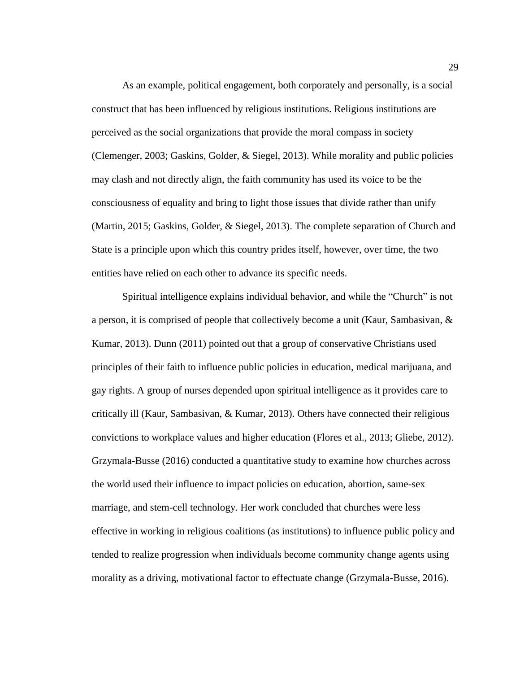As an example, political engagement, both corporately and personally, is a social construct that has been influenced by religious institutions. Religious institutions are perceived as the social organizations that provide the moral compass in society (Clemenger, 2003; Gaskins, Golder, & Siegel, 2013). While morality and public policies may clash and not directly align, the faith community has used its voice to be the consciousness of equality and bring to light those issues that divide rather than unify (Martin, 2015; Gaskins, Golder, & Siegel, 2013). The complete separation of Church and State is a principle upon which this country prides itself, however, over time, the two entities have relied on each other to advance its specific needs.

Spiritual intelligence explains individual behavior, and while the "Church" is not a person, it is comprised of people that collectively become a unit (Kaur, Sambasivan, & Kumar, 2013). Dunn (2011) pointed out that a group of conservative Christians used principles of their faith to influence public policies in education, medical marijuana, and gay rights. A group of nurses depended upon spiritual intelligence as it provides care to critically ill (Kaur, Sambasivan, & Kumar, 2013). Others have connected their religious convictions to workplace values and higher education (Flores et al., 2013; Gliebe, 2012). Grzymala-Busse (2016) conducted a quantitative study to examine how churches across the world used their influence to impact policies on education, abortion, same-sex marriage, and stem-cell technology. Her work concluded that churches were less effective in working in religious coalitions (as institutions) to influence public policy and tended to realize progression when individuals become community change agents using morality as a driving, motivational factor to effectuate change (Grzymala-Busse, 2016).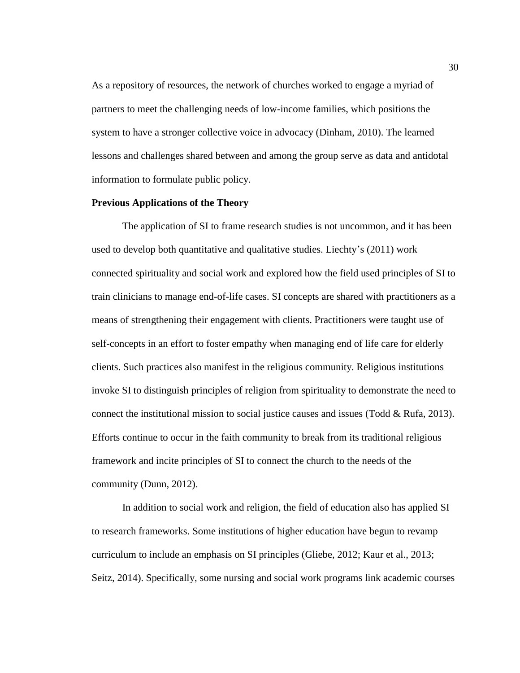As a repository of resources, the network of churches worked to engage a myriad of partners to meet the challenging needs of low-income families, which positions the system to have a stronger collective voice in advocacy (Dinham, 2010). The learned lessons and challenges shared between and among the group serve as data and antidotal information to formulate public policy.

## **Previous Applications of the Theory**

The application of SI to frame research studies is not uncommon, and it has been used to develop both quantitative and qualitative studies. Liechty's (2011) work connected spirituality and social work and explored how the field used principles of SI to train clinicians to manage end-of-life cases. SI concepts are shared with practitioners as a means of strengthening their engagement with clients. Practitioners were taught use of self-concepts in an effort to foster empathy when managing end of life care for elderly clients. Such practices also manifest in the religious community. Religious institutions invoke SI to distinguish principles of religion from spirituality to demonstrate the need to connect the institutional mission to social justice causes and issues (Todd & Rufa, 2013). Efforts continue to occur in the faith community to break from its traditional religious framework and incite principles of SI to connect the church to the needs of the community (Dunn, 2012).

In addition to social work and religion, the field of education also has applied SI to research frameworks. Some institutions of higher education have begun to revamp curriculum to include an emphasis on SI principles (Gliebe, 2012; Kaur et al., 2013; Seitz, 2014). Specifically, some nursing and social work programs link academic courses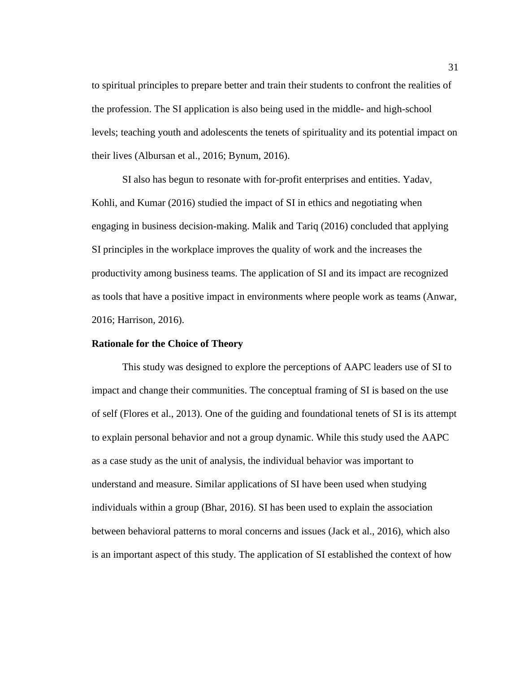to spiritual principles to prepare better and train their students to confront the realities of the profession. The SI application is also being used in the middle- and high-school levels; teaching youth and adolescents the tenets of spirituality and its potential impact on their lives (Albursan et al., 2016; Bynum, 2016).

SI also has begun to resonate with for-profit enterprises and entities. Yadav, Kohli, and Kumar (2016) studied the impact of SI in ethics and negotiating when engaging in business decision-making. Malik and Tariq (2016) concluded that applying SI principles in the workplace improves the quality of work and the increases the productivity among business teams. The application of SI and its impact are recognized as tools that have a positive impact in environments where people work as teams (Anwar, 2016; Harrison, 2016).

#### **Rationale for the Choice of Theory**

This study was designed to explore the perceptions of AAPC leaders use of SI to impact and change their communities. The conceptual framing of SI is based on the use of self (Flores et al., 2013). One of the guiding and foundational tenets of SI is its attempt to explain personal behavior and not a group dynamic. While this study used the AAPC as a case study as the unit of analysis, the individual behavior was important to understand and measure. Similar applications of SI have been used when studying individuals within a group (Bhar, 2016). SI has been used to explain the association between behavioral patterns to moral concerns and issues (Jack et al., 2016), which also is an important aspect of this study. The application of SI established the context of how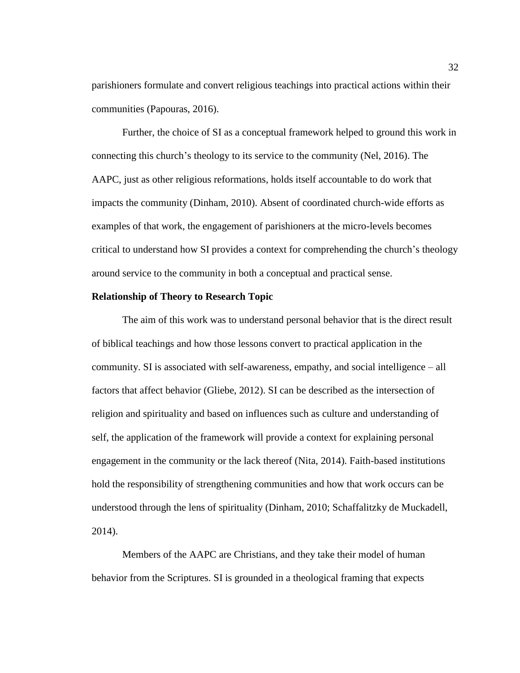parishioners formulate and convert religious teachings into practical actions within their communities (Papouras, 2016).

Further, the choice of SI as a conceptual framework helped to ground this work in connecting this church's theology to its service to the community (Nel, 2016). The AAPC, just as other religious reformations, holds itself accountable to do work that impacts the community (Dinham, 2010). Absent of coordinated church-wide efforts as examples of that work, the engagement of parishioners at the micro-levels becomes critical to understand how SI provides a context for comprehending the church's theology around service to the community in both a conceptual and practical sense.

## **Relationship of Theory to Research Topic**

The aim of this work was to understand personal behavior that is the direct result of biblical teachings and how those lessons convert to practical application in the community. SI is associated with self-awareness, empathy, and social intelligence – all factors that affect behavior (Gliebe, 2012). SI can be described as the intersection of religion and spirituality and based on influences such as culture and understanding of self, the application of the framework will provide a context for explaining personal engagement in the community or the lack thereof (Nita, 2014). Faith-based institutions hold the responsibility of strengthening communities and how that work occurs can be understood through the lens of spirituality (Dinham, 2010; Schaffalitzky de Muckadell, 2014).

Members of the AAPC are Christians, and they take their model of human behavior from the Scriptures. SI is grounded in a theological framing that expects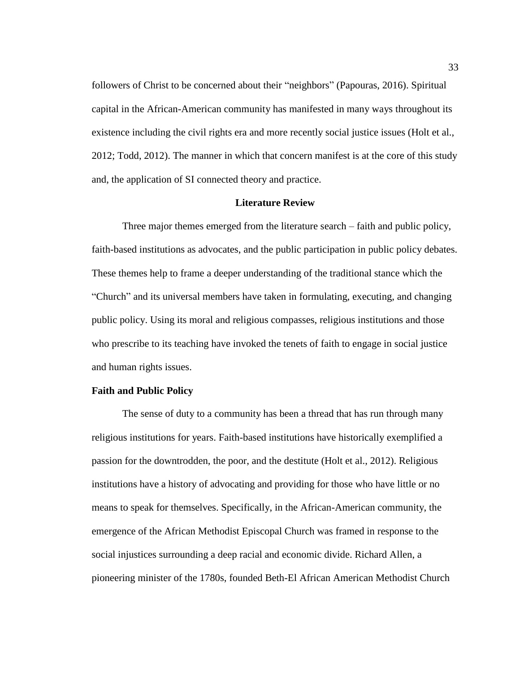followers of Christ to be concerned about their "neighbors" (Papouras, 2016). Spiritual capital in the African-American community has manifested in many ways throughout its existence including the civil rights era and more recently social justice issues (Holt et al., 2012; Todd, 2012). The manner in which that concern manifest is at the core of this study and, the application of SI connected theory and practice.

# **Literature Review**

Three major themes emerged from the literature search – faith and public policy, faith-based institutions as advocates, and the public participation in public policy debates. These themes help to frame a deeper understanding of the traditional stance which the "Church" and its universal members have taken in formulating, executing, and changing public policy. Using its moral and religious compasses, religious institutions and those who prescribe to its teaching have invoked the tenets of faith to engage in social justice and human rights issues.

#### **Faith and Public Policy**

The sense of duty to a community has been a thread that has run through many religious institutions for years. Faith-based institutions have historically exemplified a passion for the downtrodden, the poor, and the destitute (Holt et al., 2012). Religious institutions have a history of advocating and providing for those who have little or no means to speak for themselves. Specifically, in the African-American community, the emergence of the African Methodist Episcopal Church was framed in response to the social injustices surrounding a deep racial and economic divide. Richard Allen, a pioneering minister of the 1780s, founded Beth-El African American Methodist Church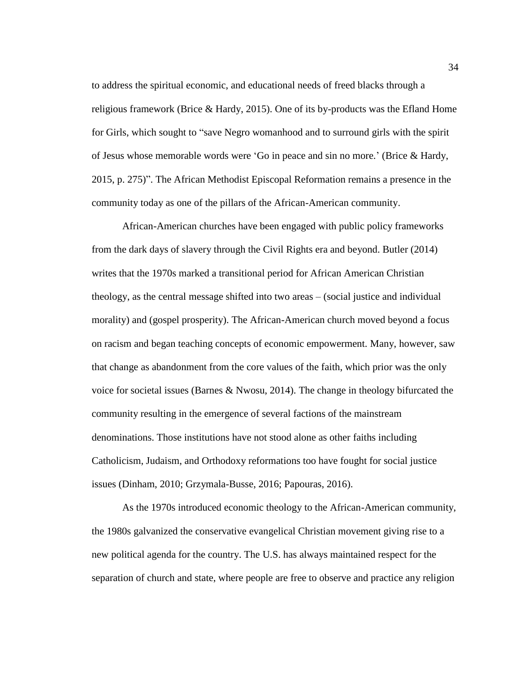to address the spiritual economic, and educational needs of freed blacks through a religious framework (Brice & Hardy, 2015). One of its by-products was the Efland Home for Girls, which sought to "save Negro womanhood and to surround girls with the spirit of Jesus whose memorable words were 'Go in peace and sin no more.' (Brice & Hardy, 2015, p. 275)". The African Methodist Episcopal Reformation remains a presence in the community today as one of the pillars of the African-American community.

African-American churches have been engaged with public policy frameworks from the dark days of slavery through the Civil Rights era and beyond. Butler (2014) writes that the 1970s marked a transitional period for African American Christian theology, as the central message shifted into two areas – (social justice and individual morality) and (gospel prosperity). The African-American church moved beyond a focus on racism and began teaching concepts of economic empowerment. Many, however, saw that change as abandonment from the core values of the faith, which prior was the only voice for societal issues (Barnes & Nwosu, 2014). The change in theology bifurcated the community resulting in the emergence of several factions of the mainstream denominations. Those institutions have not stood alone as other faiths including Catholicism, Judaism, and Orthodoxy reformations too have fought for social justice issues (Dinham, 2010; Grzymala-Busse, 2016; Papouras, 2016).

As the 1970s introduced economic theology to the African-American community, the 1980s galvanized the conservative evangelical Christian movement giving rise to a new political agenda for the country. The U.S. has always maintained respect for the separation of church and state, where people are free to observe and practice any religion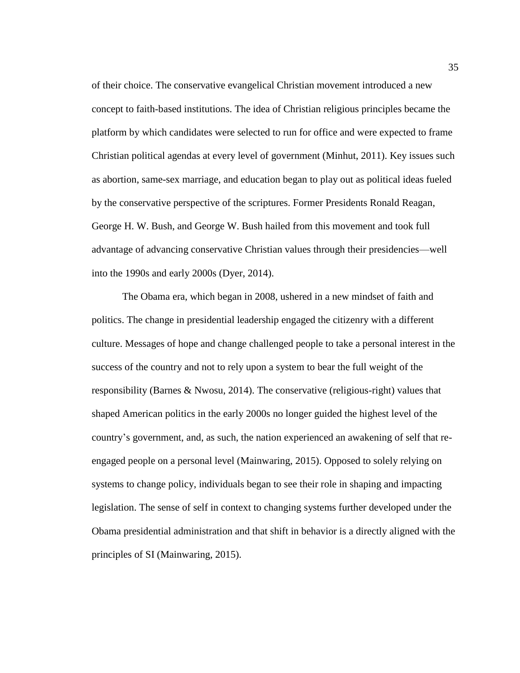of their choice. The conservative evangelical Christian movement introduced a new concept to faith-based institutions. The idea of Christian religious principles became the platform by which candidates were selected to run for office and were expected to frame Christian political agendas at every level of government (Minhut, 2011). Key issues such as abortion, same-sex marriage, and education began to play out as political ideas fueled by the conservative perspective of the scriptures. Former Presidents Ronald Reagan, George H. W. Bush, and George W. Bush hailed from this movement and took full advantage of advancing conservative Christian values through their presidencies—well into the 1990s and early 2000s (Dyer, 2014).

The Obama era, which began in 2008, ushered in a new mindset of faith and politics. The change in presidential leadership engaged the citizenry with a different culture. Messages of hope and change challenged people to take a personal interest in the success of the country and not to rely upon a system to bear the full weight of the responsibility (Barnes & Nwosu, 2014). The conservative (religious-right) values that shaped American politics in the early 2000s no longer guided the highest level of the country's government, and, as such, the nation experienced an awakening of self that reengaged people on a personal level (Mainwaring, 2015). Opposed to solely relying on systems to change policy, individuals began to see their role in shaping and impacting legislation. The sense of self in context to changing systems further developed under the Obama presidential administration and that shift in behavior is a directly aligned with the principles of SI (Mainwaring, 2015).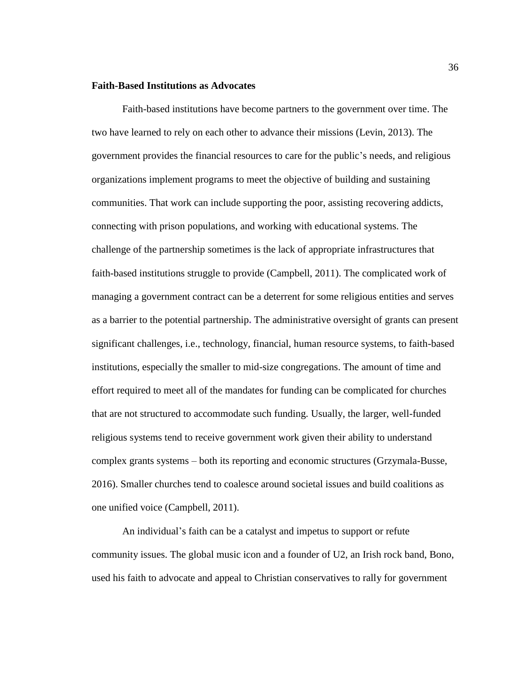## **Faith-Based Institutions as Advocates**

Faith-based institutions have become partners to the government over time. The two have learned to rely on each other to advance their missions (Levin, 2013). The government provides the financial resources to care for the public's needs, and religious organizations implement programs to meet the objective of building and sustaining communities. That work can include supporting the poor, assisting recovering addicts, connecting with prison populations, and working with educational systems. The challenge of the partnership sometimes is the lack of appropriate infrastructures that faith-based institutions struggle to provide (Campbell, 2011). The complicated work of managing a government contract can be a deterrent for some religious entities and serves as a barrier to the potential partnership**.** The administrative oversight of grants can present significant challenges, i.e., technology, financial, human resource systems, to faith-based institutions, especially the smaller to mid-size congregations. The amount of time and effort required to meet all of the mandates for funding can be complicated for churches that are not structured to accommodate such funding. Usually, the larger, well-funded religious systems tend to receive government work given their ability to understand complex grants systems – both its reporting and economic structures (Grzymala-Busse, 2016). Smaller churches tend to coalesce around societal issues and build coalitions as one unified voice (Campbell, 2011).

An individual's faith can be a catalyst and impetus to support or refute community issues. The global music icon and a founder of U2, an Irish rock band, Bono, used his faith to advocate and appeal to Christian conservatives to rally for government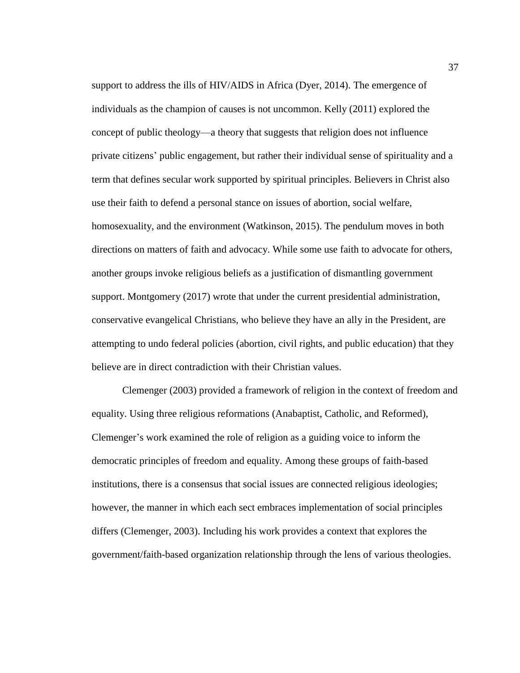support to address the ills of HIV/AIDS in Africa (Dyer, 2014). The emergence of individuals as the champion of causes is not uncommon. Kelly (2011) explored the concept of public theology—a theory that suggests that religion does not influence private citizens' public engagement, but rather their individual sense of spirituality and a term that defines secular work supported by spiritual principles. Believers in Christ also use their faith to defend a personal stance on issues of abortion, social welfare, homosexuality, and the environment (Watkinson, 2015). The pendulum moves in both directions on matters of faith and advocacy. While some use faith to advocate for others, another groups invoke religious beliefs as a justification of dismantling government support. Montgomery (2017) wrote that under the current presidential administration, conservative evangelical Christians, who believe they have an ally in the President, are attempting to undo federal policies (abortion, civil rights, and public education) that they believe are in direct contradiction with their Christian values.

Clemenger (2003) provided a framework of religion in the context of freedom and equality. Using three religious reformations (Anabaptist, Catholic, and Reformed), Clemenger's work examined the role of religion as a guiding voice to inform the democratic principles of freedom and equality. Among these groups of faith-based institutions, there is a consensus that social issues are connected religious ideologies; however, the manner in which each sect embraces implementation of social principles differs (Clemenger, 2003). Including his work provides a context that explores the government/faith-based organization relationship through the lens of various theologies.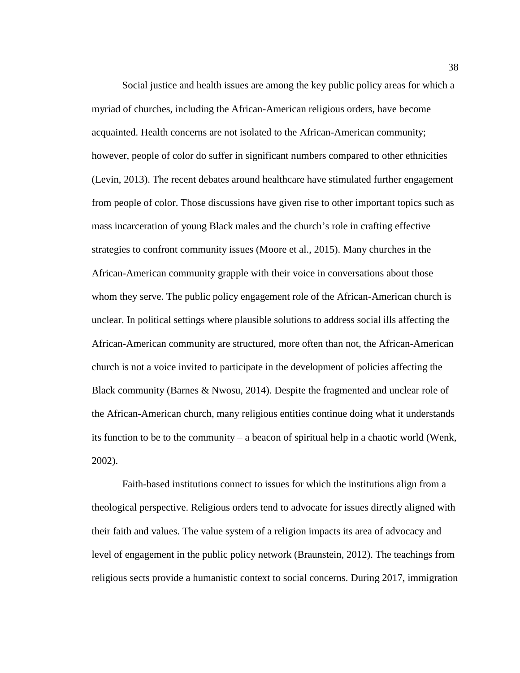Social justice and health issues are among the key public policy areas for which a myriad of churches, including the African-American religious orders, have become acquainted. Health concerns are not isolated to the African-American community; however, people of color do suffer in significant numbers compared to other ethnicities (Levin, 2013). The recent debates around healthcare have stimulated further engagement from people of color. Those discussions have given rise to other important topics such as mass incarceration of young Black males and the church's role in crafting effective strategies to confront community issues (Moore et al., 2015). Many churches in the African-American community grapple with their voice in conversations about those whom they serve. The public policy engagement role of the African-American church is unclear. In political settings where plausible solutions to address social ills affecting the African-American community are structured, more often than not, the African-American church is not a voice invited to participate in the development of policies affecting the Black community (Barnes & Nwosu, 2014). Despite the fragmented and unclear role of the African-American church, many religious entities continue doing what it understands its function to be to the community – a beacon of spiritual help in a chaotic world (Wenk, 2002).

Faith-based institutions connect to issues for which the institutions align from a theological perspective. Religious orders tend to advocate for issues directly aligned with their faith and values. The value system of a religion impacts its area of advocacy and level of engagement in the public policy network (Braunstein, 2012). The teachings from religious sects provide a humanistic context to social concerns. During 2017, immigration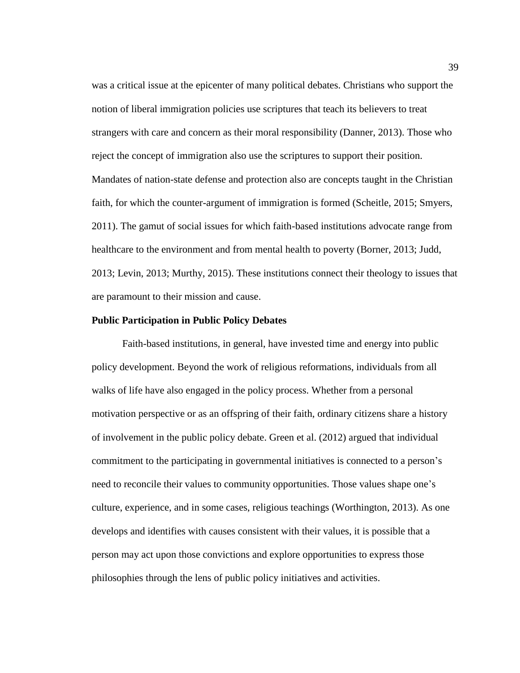was a critical issue at the epicenter of many political debates. Christians who support the notion of liberal immigration policies use scriptures that teach its believers to treat strangers with care and concern as their moral responsibility (Danner, 2013). Those who reject the concept of immigration also use the scriptures to support their position. Mandates of nation-state defense and protection also are concepts taught in the Christian faith, for which the counter-argument of immigration is formed (Scheitle, 2015; Smyers, 2011). The gamut of social issues for which faith-based institutions advocate range from healthcare to the environment and from mental health to poverty (Borner, 2013; Judd, 2013; Levin, 2013; Murthy, 2015). These institutions connect their theology to issues that are paramount to their mission and cause.

## **Public Participation in Public Policy Debates**

Faith-based institutions, in general, have invested time and energy into public policy development. Beyond the work of religious reformations, individuals from all walks of life have also engaged in the policy process. Whether from a personal motivation perspective or as an offspring of their faith, ordinary citizens share a history of involvement in the public policy debate. Green et al. (2012) argued that individual commitment to the participating in governmental initiatives is connected to a person's need to reconcile their values to community opportunities. Those values shape one's culture, experience, and in some cases, religious teachings (Worthington, 2013). As one develops and identifies with causes consistent with their values, it is possible that a person may act upon those convictions and explore opportunities to express those philosophies through the lens of public policy initiatives and activities.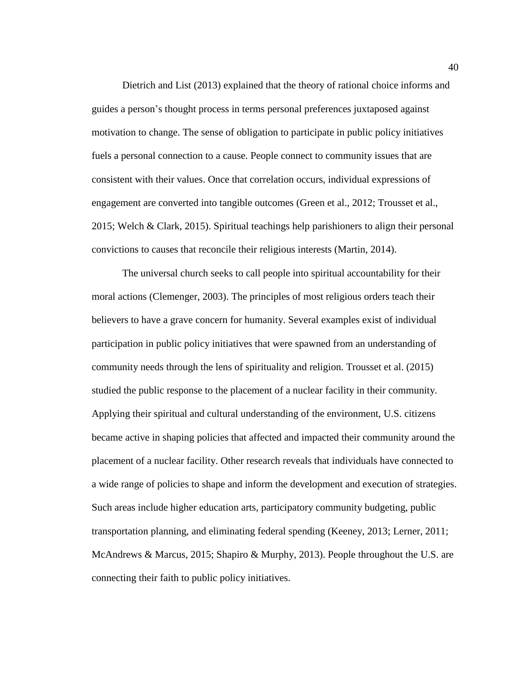Dietrich and List (2013) explained that the theory of rational choice informs and guides a person's thought process in terms personal preferences juxtaposed against motivation to change. The sense of obligation to participate in public policy initiatives fuels a personal connection to a cause. People connect to community issues that are consistent with their values. Once that correlation occurs, individual expressions of engagement are converted into tangible outcomes (Green et al., 2012; Trousset et al., 2015; Welch & Clark, 2015). Spiritual teachings help parishioners to align their personal convictions to causes that reconcile their religious interests (Martin, 2014).

The universal church seeks to call people into spiritual accountability for their moral actions (Clemenger, 2003). The principles of most religious orders teach their believers to have a grave concern for humanity. Several examples exist of individual participation in public policy initiatives that were spawned from an understanding of community needs through the lens of spirituality and religion. Trousset et al. (2015) studied the public response to the placement of a nuclear facility in their community. Applying their spiritual and cultural understanding of the environment, U.S. citizens became active in shaping policies that affected and impacted their community around the placement of a nuclear facility. Other research reveals that individuals have connected to a wide range of policies to shape and inform the development and execution of strategies. Such areas include higher education arts, participatory community budgeting, public transportation planning, and eliminating federal spending (Keeney, 2013; Lerner, 2011; McAndrews & Marcus, 2015; Shapiro & Murphy, 2013). People throughout the U.S. are connecting their faith to public policy initiatives.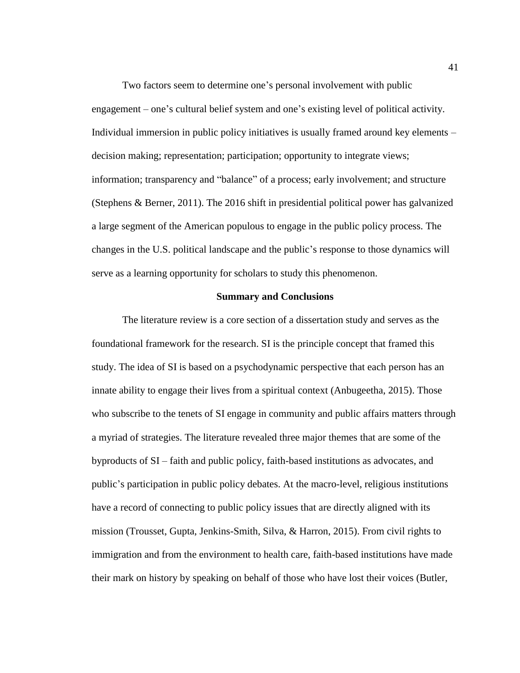Two factors seem to determine one's personal involvement with public engagement – one's cultural belief system and one's existing level of political activity. Individual immersion in public policy initiatives is usually framed around key elements – decision making; representation; participation; opportunity to integrate views; information; transparency and "balance" of a process; early involvement; and structure (Stephens & Berner, 2011). The 2016 shift in presidential political power has galvanized a large segment of the American populous to engage in the public policy process. The changes in the U.S. political landscape and the public's response to those dynamics will serve as a learning opportunity for scholars to study this phenomenon.

## **Summary and Conclusions**

The literature review is a core section of a dissertation study and serves as the foundational framework for the research. SI is the principle concept that framed this study. The idea of SI is based on a psychodynamic perspective that each person has an innate ability to engage their lives from a spiritual context (Anbugeetha, 2015). Those who subscribe to the tenets of SI engage in community and public affairs matters through a myriad of strategies. The literature revealed three major themes that are some of the byproducts of SI – faith and public policy, faith-based institutions as advocates, and public's participation in public policy debates. At the macro-level, religious institutions have a record of connecting to public policy issues that are directly aligned with its mission (Trousset, Gupta, Jenkins-Smith, Silva, & Harron, 2015). From civil rights to immigration and from the environment to health care, faith-based institutions have made their mark on history by speaking on behalf of those who have lost their voices (Butler,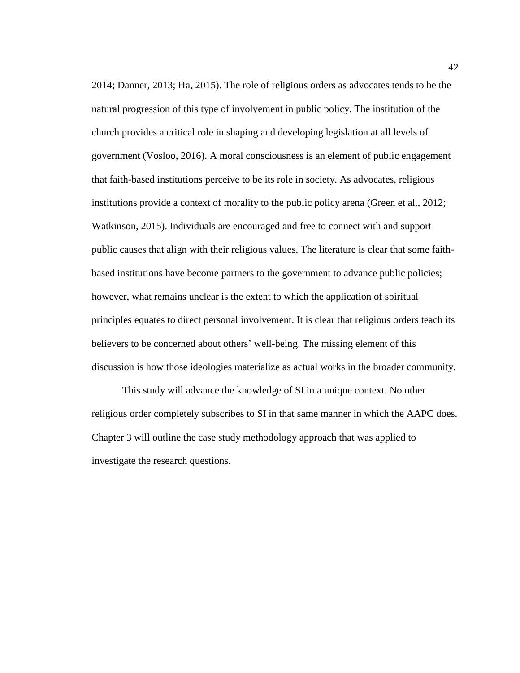2014; Danner, 2013; Ha, 2015). The role of religious orders as advocates tends to be the natural progression of this type of involvement in public policy. The institution of the church provides a critical role in shaping and developing legislation at all levels of government (Vosloo, 2016). A moral consciousness is an element of public engagement that faith-based institutions perceive to be its role in society. As advocates, religious institutions provide a context of morality to the public policy arena (Green et al., 2012; Watkinson, 2015). Individuals are encouraged and free to connect with and support public causes that align with their religious values. The literature is clear that some faithbased institutions have become partners to the government to advance public policies; however, what remains unclear is the extent to which the application of spiritual principles equates to direct personal involvement. It is clear that religious orders teach its believers to be concerned about others' well-being. The missing element of this discussion is how those ideologies materialize as actual works in the broader community.

This study will advance the knowledge of SI in a unique context. No other religious order completely subscribes to SI in that same manner in which the AAPC does. Chapter 3 will outline the case study methodology approach that was applied to investigate the research questions.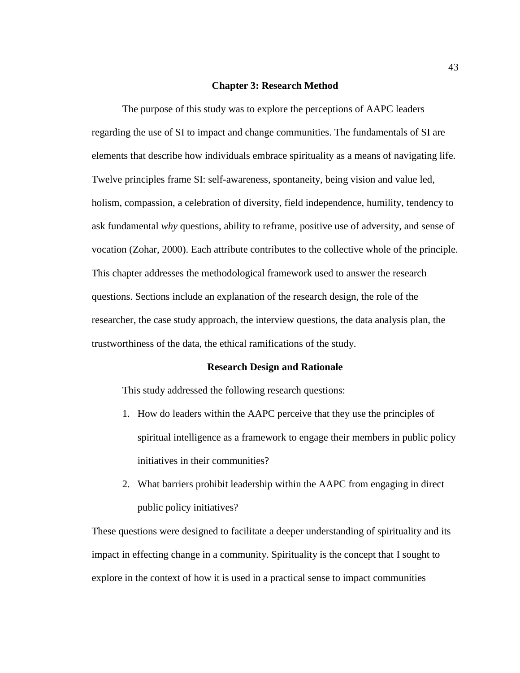#### **Chapter 3: Research Method**

The purpose of this study was to explore the perceptions of AAPC leaders regarding the use of SI to impact and change communities. The fundamentals of SI are elements that describe how individuals embrace spirituality as a means of navigating life. Twelve principles frame SI: self-awareness, spontaneity, being vision and value led, holism, compassion, a celebration of diversity, field independence, humility, tendency to ask fundamental *why* questions, ability to reframe, positive use of adversity, and sense of vocation (Zohar, 2000). Each attribute contributes to the collective whole of the principle. This chapter addresses the methodological framework used to answer the research questions. Sections include an explanation of the research design, the role of the researcher, the case study approach, the interview questions, the data analysis plan, the trustworthiness of the data, the ethical ramifications of the study.

#### **Research Design and Rationale**

This study addressed the following research questions:

- 1. How do leaders within the AAPC perceive that they use the principles of spiritual intelligence as a framework to engage their members in public policy initiatives in their communities?
- 2. What barriers prohibit leadership within the AAPC from engaging in direct public policy initiatives?

These questions were designed to facilitate a deeper understanding of spirituality and its impact in effecting change in a community. Spirituality is the concept that I sought to explore in the context of how it is used in a practical sense to impact communities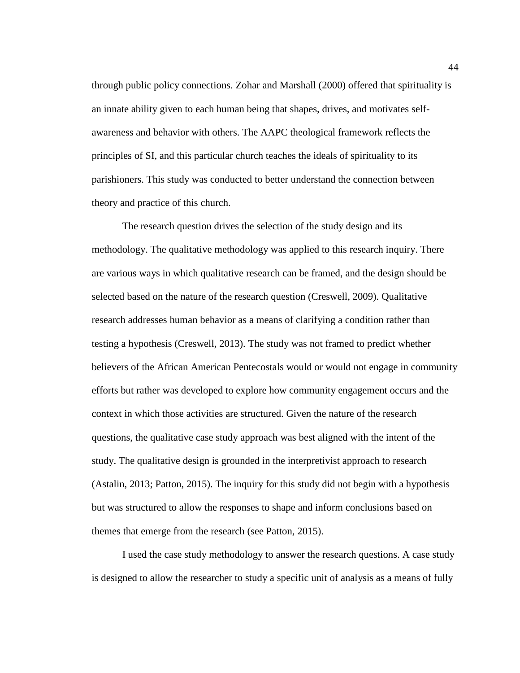through public policy connections. Zohar and Marshall (2000) offered that spirituality is an innate ability given to each human being that shapes, drives, and motivates selfawareness and behavior with others. The AAPC theological framework reflects the principles of SI, and this particular church teaches the ideals of spirituality to its parishioners. This study was conducted to better understand the connection between theory and practice of this church.

The research question drives the selection of the study design and its methodology. The qualitative methodology was applied to this research inquiry. There are various ways in which qualitative research can be framed, and the design should be selected based on the nature of the research question (Creswell, 2009). Qualitative research addresses human behavior as a means of clarifying a condition rather than testing a hypothesis (Creswell, 2013). The study was not framed to predict whether believers of the African American Pentecostals would or would not engage in community efforts but rather was developed to explore how community engagement occurs and the context in which those activities are structured. Given the nature of the research questions, the qualitative case study approach was best aligned with the intent of the study. The qualitative design is grounded in the interpretivist approach to research (Astalin, 2013; Patton, 2015). The inquiry for this study did not begin with a hypothesis but was structured to allow the responses to shape and inform conclusions based on themes that emerge from the research (see Patton, 2015).

I used the case study methodology to answer the research questions. A case study is designed to allow the researcher to study a specific unit of analysis as a means of fully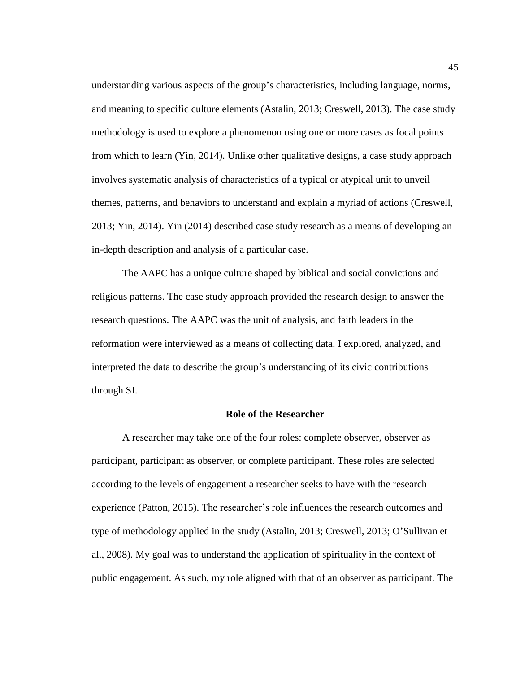understanding various aspects of the group's characteristics, including language, norms, and meaning to specific culture elements (Astalin, 2013; Creswell, 2013). The case study methodology is used to explore a phenomenon using one or more cases as focal points from which to learn (Yin, 2014). Unlike other qualitative designs, a case study approach involves systematic analysis of characteristics of a typical or atypical unit to unveil themes, patterns, and behaviors to understand and explain a myriad of actions (Creswell, 2013; Yin, 2014). Yin (2014) described case study research as a means of developing an in-depth description and analysis of a particular case.

The AAPC has a unique culture shaped by biblical and social convictions and religious patterns. The case study approach provided the research design to answer the research questions. The AAPC was the unit of analysis, and faith leaders in the reformation were interviewed as a means of collecting data. I explored, analyzed, and interpreted the data to describe the group's understanding of its civic contributions through SI.

#### **Role of the Researcher**

A researcher may take one of the four roles: complete observer, observer as participant, participant as observer, or complete participant. These roles are selected according to the levels of engagement a researcher seeks to have with the research experience (Patton, 2015). The researcher's role influences the research outcomes and type of methodology applied in the study (Astalin, 2013; Creswell, 2013; O'Sullivan et al., 2008). My goal was to understand the application of spirituality in the context of public engagement. As such, my role aligned with that of an observer as participant. The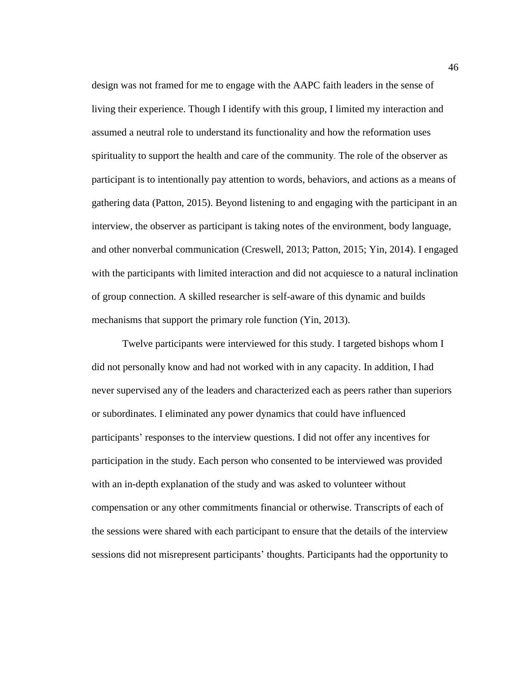design was not framed for me to engage with the AAPC faith leaders in the sense of living their experience. Though I identify with this group, I limited my interaction and assumed a neutral role to understand its functionality and how the reformation uses spirituality to support the health and care of the community. The role of the observer as participant is to intentionally pay attention to words, behaviors, and actions as a means of gathering data (Patton, 2015). Beyond listening to and engaging with the participant in an interview, the observer as participant is taking notes of the environment, body language, and other nonverbal communication (Creswell, 2013; Patton, 2015; Yin, 2014). I engaged with the participants with limited interaction and did not acquiesce to a natural inclination of group connection. A skilled researcher is self-aware of this dynamic and builds mechanisms that support the primary role function (Yin, 2013).

Twelve participants were interviewed for this study. I targeted bishops whom I did not personally know and had not worked with in any capacity. In addition, I had never supervised any of the leaders and characterized each as peers rather than superiors or subordinates. I eliminated any power dynamics that could have influenced participants' responses to the interview questions. I did not offer any incentives for participation in the study. Each person who consented to be interviewed was provided with an in-depth explanation of the study and was asked to volunteer without compensation or any other commitments financial or otherwise. Transcripts of each of the sessions were shared with each participant to ensure that the details of the interview sessions did not misrepresent participants' thoughts. Participants had the opportunity to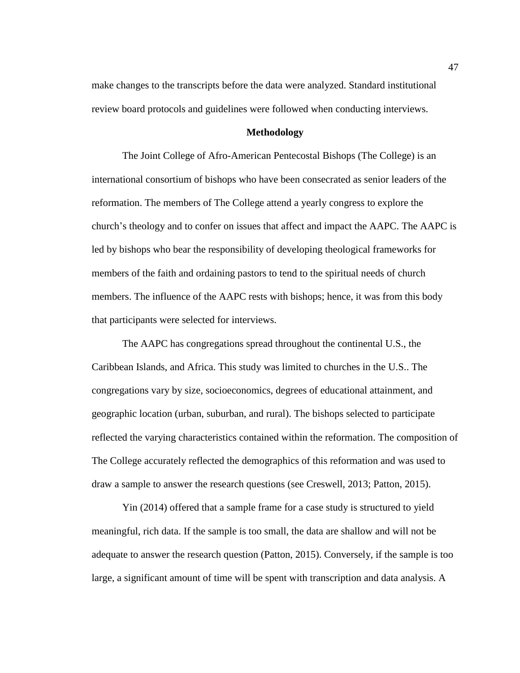make changes to the transcripts before the data were analyzed. Standard institutional review board protocols and guidelines were followed when conducting interviews.

## **Methodology**

The Joint College of Afro-American Pentecostal Bishops (The College) is an international consortium of bishops who have been consecrated as senior leaders of the reformation. The members of The College attend a yearly congress to explore the church's theology and to confer on issues that affect and impact the AAPC. The AAPC is led by bishops who bear the responsibility of developing theological frameworks for members of the faith and ordaining pastors to tend to the spiritual needs of church members. The influence of the AAPC rests with bishops; hence, it was from this body that participants were selected for interviews.

The AAPC has congregations spread throughout the continental U.S., the Caribbean Islands, and Africa. This study was limited to churches in the U.S.. The congregations vary by size, socioeconomics, degrees of educational attainment, and geographic location (urban, suburban, and rural). The bishops selected to participate reflected the varying characteristics contained within the reformation. The composition of The College accurately reflected the demographics of this reformation and was used to draw a sample to answer the research questions (see Creswell, 2013; Patton, 2015).

Yin (2014) offered that a sample frame for a case study is structured to yield meaningful, rich data. If the sample is too small, the data are shallow and will not be adequate to answer the research question (Patton, 2015). Conversely, if the sample is too large, a significant amount of time will be spent with transcription and data analysis. A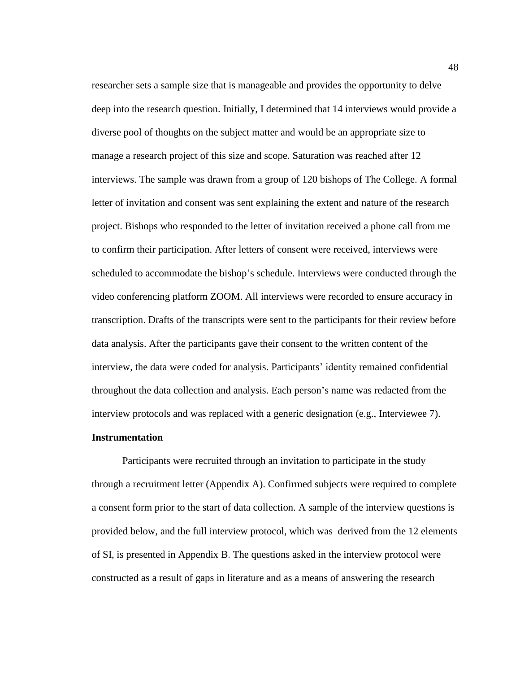researcher sets a sample size that is manageable and provides the opportunity to delve deep into the research question. Initially, I determined that 14 interviews would provide a diverse pool of thoughts on the subject matter and would be an appropriate size to manage a research project of this size and scope. Saturation was reached after 12 interviews. The sample was drawn from a group of 120 bishops of The College. A formal letter of invitation and consent was sent explaining the extent and nature of the research project. Bishops who responded to the letter of invitation received a phone call from me to confirm their participation. After letters of consent were received, interviews were scheduled to accommodate the bishop's schedule. Interviews were conducted through the video conferencing platform ZOOM. All interviews were recorded to ensure accuracy in transcription. Drafts of the transcripts were sent to the participants for their review before data analysis. After the participants gave their consent to the written content of the interview, the data were coded for analysis. Participants' identity remained confidential throughout the data collection and analysis. Each person's name was redacted from the interview protocols and was replaced with a generic designation (e.g., Interviewee 7).

## **Instrumentation**

Participants were recruited through an invitation to participate in the study through a recruitment letter (Appendix A). Confirmed subjects were required to complete a consent form prior to the start of data collection. A sample of the interview questions is provided below, and the full interview protocol, which was derived from the 12 elements of SI, is presented in Appendix B. The questions asked in the interview protocol were constructed as a result of gaps in literature and as a means of answering the research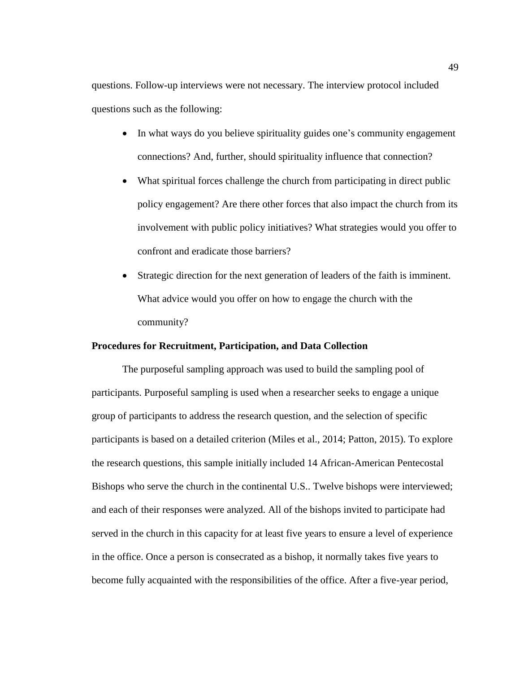questions. Follow-up interviews were not necessary. The interview protocol included questions such as the following:

- In what ways do you believe spirituality guides one's community engagement connections? And, further, should spirituality influence that connection?
- What spiritual forces challenge the church from participating in direct public policy engagement? Are there other forces that also impact the church from its involvement with public policy initiatives? What strategies would you offer to confront and eradicate those barriers?
- Strategic direction for the next generation of leaders of the faith is imminent. What advice would you offer on how to engage the church with the community?

## **Procedures for Recruitment, Participation, and Data Collection**

The purposeful sampling approach was used to build the sampling pool of participants. Purposeful sampling is used when a researcher seeks to engage a unique group of participants to address the research question, and the selection of specific participants is based on a detailed criterion (Miles et al., 2014; Patton, 2015). To explore the research questions, this sample initially included 14 African-American Pentecostal Bishops who serve the church in the continental U.S.. Twelve bishops were interviewed; and each of their responses were analyzed. All of the bishops invited to participate had served in the church in this capacity for at least five years to ensure a level of experience in the office. Once a person is consecrated as a bishop, it normally takes five years to become fully acquainted with the responsibilities of the office. After a five-year period,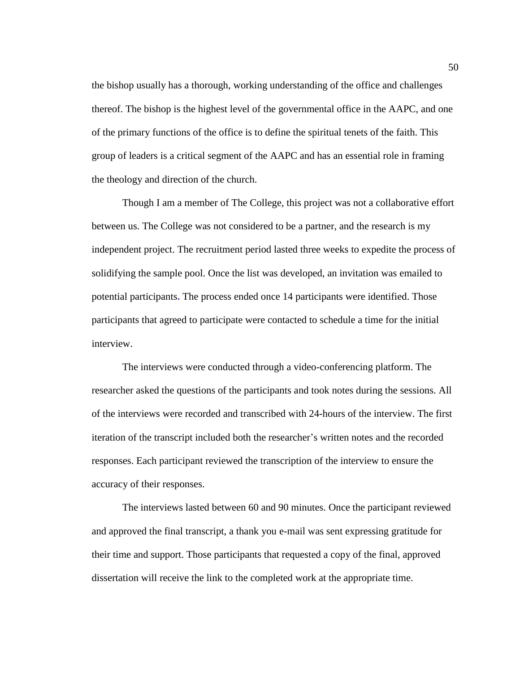the bishop usually has a thorough, working understanding of the office and challenges thereof. The bishop is the highest level of the governmental office in the AAPC, and one of the primary functions of the office is to define the spiritual tenets of the faith. This group of leaders is a critical segment of the AAPC and has an essential role in framing the theology and direction of the church.

Though I am a member of The College, this project was not a collaborative effort between us. The College was not considered to be a partner, and the research is my independent project. The recruitment period lasted three weeks to expedite the process of solidifying the sample pool. Once the list was developed, an invitation was emailed to potential participants**.** The process ended once 14 participants were identified. Those participants that agreed to participate were contacted to schedule a time for the initial interview.

The interviews were conducted through a video-conferencing platform. The researcher asked the questions of the participants and took notes during the sessions. All of the interviews were recorded and transcribed with 24-hours of the interview. The first iteration of the transcript included both the researcher's written notes and the recorded responses. Each participant reviewed the transcription of the interview to ensure the accuracy of their responses.

The interviews lasted between 60 and 90 minutes. Once the participant reviewed and approved the final transcript, a thank you e-mail was sent expressing gratitude for their time and support. Those participants that requested a copy of the final, approved dissertation will receive the link to the completed work at the appropriate time.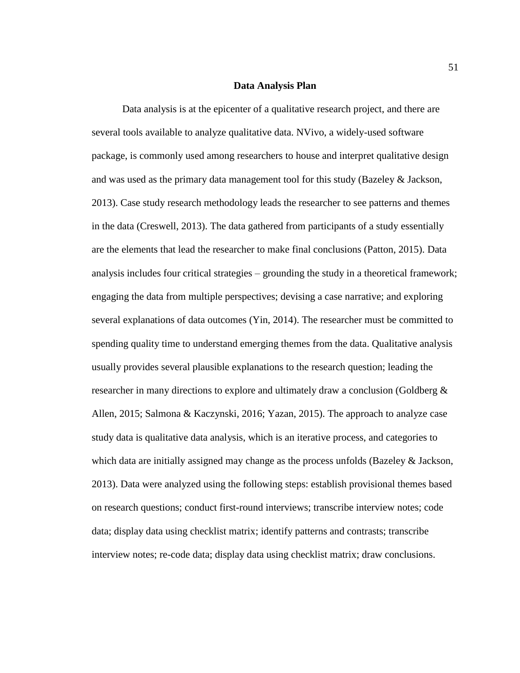#### **Data Analysis Plan**

Data analysis is at the epicenter of a qualitative research project, and there are several tools available to analyze qualitative data. NVivo, a widely-used software package, is commonly used among researchers to house and interpret qualitative design and was used as the primary data management tool for this study (Bazeley & Jackson, 2013). Case study research methodology leads the researcher to see patterns and themes in the data (Creswell, 2013). The data gathered from participants of a study essentially are the elements that lead the researcher to make final conclusions (Patton, 2015). Data analysis includes four critical strategies – grounding the study in a theoretical framework; engaging the data from multiple perspectives; devising a case narrative; and exploring several explanations of data outcomes (Yin, 2014). The researcher must be committed to spending quality time to understand emerging themes from the data. Qualitative analysis usually provides several plausible explanations to the research question; leading the researcher in many directions to explore and ultimately draw a conclusion (Goldberg & Allen, 2015; Salmona & Kaczynski, 2016; Yazan, 2015). The approach to analyze case study data is qualitative data analysis, which is an iterative process, and categories to which data are initially assigned may change as the process unfolds (Bazeley & Jackson, 2013). Data were analyzed using the following steps: establish provisional themes based on research questions; conduct first-round interviews; transcribe interview notes; code data; display data using checklist matrix; identify patterns and contrasts; transcribe interview notes; re-code data; display data using checklist matrix; draw conclusions.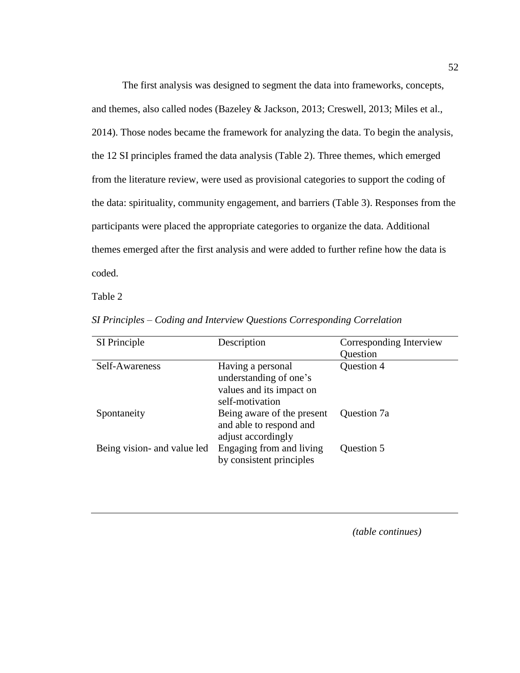The first analysis was designed to segment the data into frameworks, concepts, and themes, also called nodes (Bazeley & Jackson, 2013; Creswell, 2013; Miles et al., 2014). Those nodes became the framework for analyzing the data. To begin the analysis, the 12 SI principles framed the data analysis (Table 2). Three themes, which emerged from the literature review, were used as provisional categories to support the coding of the data: spirituality, community engagement, and barriers (Table 3). Responses from the participants were placed the appropriate categories to organize the data. Additional themes emerged after the first analysis and were added to further refine how the data is coded.

Table 2

| SI Principle                | Description                                                                                | Corresponding Interview |
|-----------------------------|--------------------------------------------------------------------------------------------|-------------------------|
|                             |                                                                                            | Question                |
| Self-Awareness              | Having a personal<br>understanding of one's<br>values and its impact on<br>self-motivation | Question 4              |
| Spontaneity                 | Being aware of the present<br>and able to respond and<br>adjust accordingly                | Question 7a             |
| Being vision- and value led | Engaging from and living<br>by consistent principles                                       | Question 5              |

*SI Principles – Coding and Interview Questions Corresponding Correlation*

*(table continues)*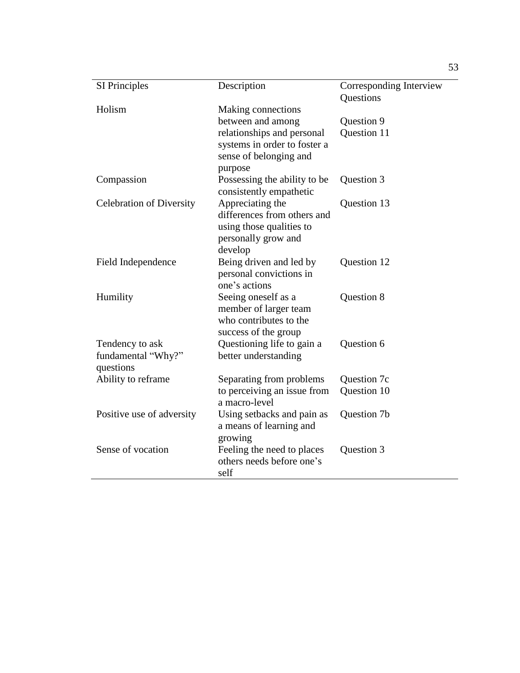| <b>SI Principles</b>                               | Description                                                                                                   | Corresponding Interview<br><b>Questions</b> |
|----------------------------------------------------|---------------------------------------------------------------------------------------------------------------|---------------------------------------------|
| Holism                                             | Making connections                                                                                            |                                             |
|                                                    | between and among                                                                                             | Question 9                                  |
|                                                    | relationships and personal<br>systems in order to foster a<br>sense of belonging and                          | Question 11                                 |
|                                                    | purpose                                                                                                       |                                             |
| Compassion                                         | Possessing the ability to be<br>consistently empathetic                                                       | Question 3                                  |
| <b>Celebration of Diversity</b>                    | Appreciating the<br>differences from others and<br>using those qualities to<br>personally grow and<br>develop | Question 13                                 |
| Field Independence                                 | Being driven and led by<br>personal convictions in<br>one's actions                                           | Question 12                                 |
| Humility                                           | Seeing oneself as a<br>member of larger team<br>who contributes to the<br>success of the group                | Question 8                                  |
| Tendency to ask<br>fundamental "Why?"<br>questions | Questioning life to gain a<br>better understanding                                                            | Question 6                                  |
| Ability to reframe                                 | Separating from problems                                                                                      | Question 7c                                 |
|                                                    | to perceiving an issue from<br>a macro-level                                                                  | Question 10                                 |
| Positive use of adversity                          | Using setbacks and pain as<br>a means of learning and<br>growing                                              | Question 7b                                 |
| Sense of vocation                                  | Feeling the need to places<br>others needs before one's<br>self                                               | Question 3                                  |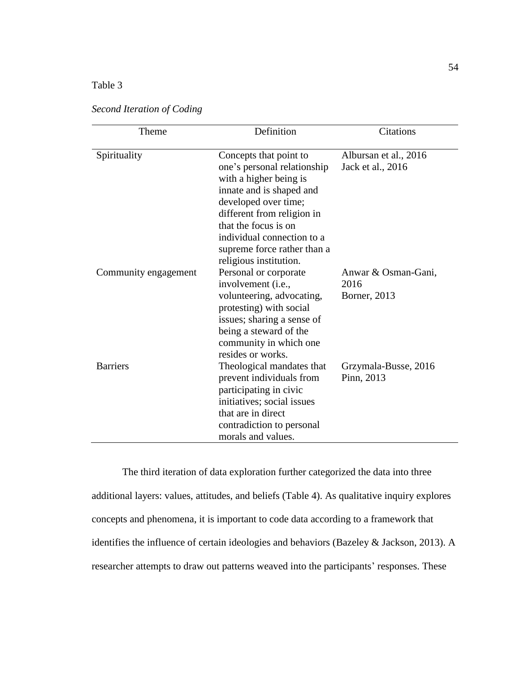# Table 3

| Theme                | Definition                                                                                                                                                                                                                                                                       | <b>Citations</b>                            |
|----------------------|----------------------------------------------------------------------------------------------------------------------------------------------------------------------------------------------------------------------------------------------------------------------------------|---------------------------------------------|
| Spirituality         | Concepts that point to<br>one's personal relationship<br>with a higher being is<br>innate and is shaped and<br>developed over time;<br>different from religion in<br>that the focus is on<br>individual connection to a<br>supreme force rather than a<br>religious institution. | Albursan et al., 2016<br>Jack et al., 2016  |
| Community engagement | Personal or corporate<br>involvement (i.e.,<br>volunteering, advocating,<br>protesting) with social<br>issues; sharing a sense of<br>being a steward of the<br>community in which one<br>resides or works.                                                                       | Anwar & Osman-Gani,<br>2016<br>Borner, 2013 |
| <b>Barriers</b>      | Theological mandates that<br>prevent individuals from<br>participating in civic<br>initiatives; social issues<br>that are in direct<br>contradiction to personal<br>morals and values.                                                                                           | Grzymala-Busse, 2016<br>Pinn, 2013          |

*Second Iteration of Coding*

The third iteration of data exploration further categorized the data into three additional layers: values, attitudes, and beliefs (Table 4). As qualitative inquiry explores concepts and phenomena, it is important to code data according to a framework that identifies the influence of certain ideologies and behaviors (Bazeley & Jackson, 2013). A researcher attempts to draw out patterns weaved into the participants' responses. These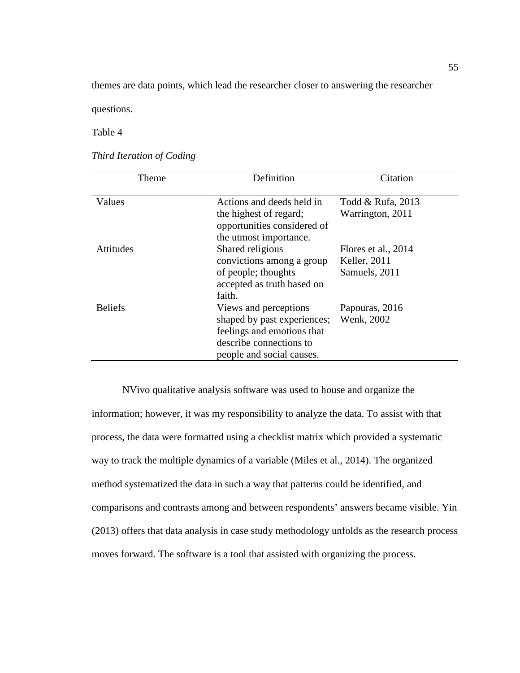themes are data points, which lead the researcher closer to answering the researcher

questions.

Table 4

*Third Iteration of Coding*

| Theme            | Definition                                                                                                                                 | Citation                                             |
|------------------|--------------------------------------------------------------------------------------------------------------------------------------------|------------------------------------------------------|
| Values           | Actions and deeds held in<br>the highest of regard;<br>opportunities considered of<br>the utmost importance.                               | Todd & Rufa, 2013<br>Warrington, 2011                |
| <b>Attitudes</b> | Shared religious<br>convictions among a group<br>of people; thoughts<br>accepted as truth based on<br>faith.                               | Flores et al., 2014<br>Keller, 2011<br>Samuels, 2011 |
| <b>Beliefs</b>   | Views and perceptions<br>shaped by past experiences;<br>feelings and emotions that<br>describe connections to<br>people and social causes. | Papouras, 2016<br>Wenk, 2002                         |

NVivo qualitative analysis software was used to house and organize the information; however, it was my responsibility to analyze the data. To assist with that process, the data were formatted using a checklist matrix which provided a systematic way to track the multiple dynamics of a variable (Miles et al., 2014). The organized method systematized the data in such a way that patterns could be identified, and comparisons and contrasts among and between respondents' answers became visible. Yin (2013) offers that data analysis in case study methodology unfolds as the research process moves forward. The software is a tool that assisted with organizing the process.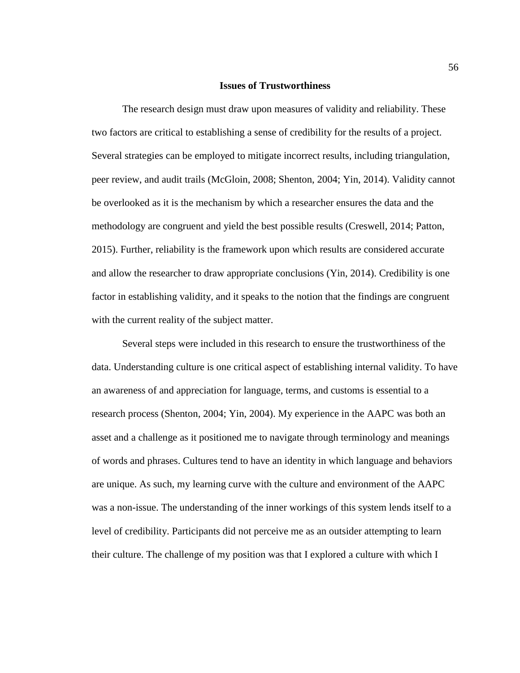#### **Issues of Trustworthiness**

The research design must draw upon measures of validity and reliability. These two factors are critical to establishing a sense of credibility for the results of a project. Several strategies can be employed to mitigate incorrect results, including triangulation, peer review, and audit trails (McGloin, 2008; Shenton, 2004; Yin, 2014). Validity cannot be overlooked as it is the mechanism by which a researcher ensures the data and the methodology are congruent and yield the best possible results (Creswell, 2014; Patton, 2015). Further, reliability is the framework upon which results are considered accurate and allow the researcher to draw appropriate conclusions (Yin, 2014). Credibility is one factor in establishing validity, and it speaks to the notion that the findings are congruent with the current reality of the subject matter.

Several steps were included in this research to ensure the trustworthiness of the data. Understanding culture is one critical aspect of establishing internal validity. To have an awareness of and appreciation for language, terms, and customs is essential to a research process (Shenton, 2004; Yin, 2004). My experience in the AAPC was both an asset and a challenge as it positioned me to navigate through terminology and meanings of words and phrases. Cultures tend to have an identity in which language and behaviors are unique. As such, my learning curve with the culture and environment of the AAPC was a non-issue. The understanding of the inner workings of this system lends itself to a level of credibility. Participants did not perceive me as an outsider attempting to learn their culture. The challenge of my position was that I explored a culture with which I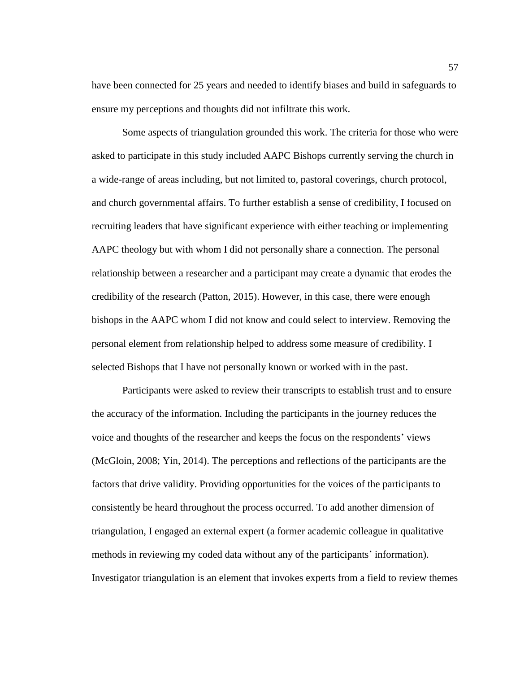have been connected for 25 years and needed to identify biases and build in safeguards to ensure my perceptions and thoughts did not infiltrate this work.

Some aspects of triangulation grounded this work. The criteria for those who were asked to participate in this study included AAPC Bishops currently serving the church in a wide-range of areas including, but not limited to, pastoral coverings, church protocol, and church governmental affairs. To further establish a sense of credibility, I focused on recruiting leaders that have significant experience with either teaching or implementing AAPC theology but with whom I did not personally share a connection. The personal relationship between a researcher and a participant may create a dynamic that erodes the credibility of the research (Patton, 2015). However, in this case, there were enough bishops in the AAPC whom I did not know and could select to interview. Removing the personal element from relationship helped to address some measure of credibility. I selected Bishops that I have not personally known or worked with in the past.

Participants were asked to review their transcripts to establish trust and to ensure the accuracy of the information. Including the participants in the journey reduces the voice and thoughts of the researcher and keeps the focus on the respondents' views (McGloin, 2008; Yin, 2014). The perceptions and reflections of the participants are the factors that drive validity. Providing opportunities for the voices of the participants to consistently be heard throughout the process occurred. To add another dimension of triangulation, I engaged an external expert (a former academic colleague in qualitative methods in reviewing my coded data without any of the participants' information). Investigator triangulation is an element that invokes experts from a field to review themes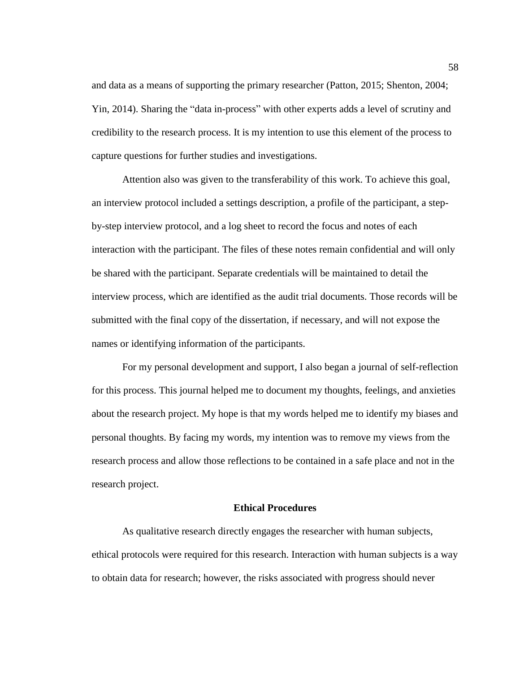and data as a means of supporting the primary researcher (Patton, 2015; Shenton, 2004; Yin, 2014). Sharing the "data in-process" with other experts adds a level of scrutiny and credibility to the research process. It is my intention to use this element of the process to capture questions for further studies and investigations.

Attention also was given to the transferability of this work. To achieve this goal, an interview protocol included a settings description, a profile of the participant, a stepby-step interview protocol, and a log sheet to record the focus and notes of each interaction with the participant. The files of these notes remain confidential and will only be shared with the participant. Separate credentials will be maintained to detail the interview process, which are identified as the audit trial documents. Those records will be submitted with the final copy of the dissertation, if necessary, and will not expose the names or identifying information of the participants.

For my personal development and support, I also began a journal of self-reflection for this process. This journal helped me to document my thoughts, feelings, and anxieties about the research project. My hope is that my words helped me to identify my biases and personal thoughts. By facing my words, my intention was to remove my views from the research process and allow those reflections to be contained in a safe place and not in the research project.

## **Ethical Procedures**

As qualitative research directly engages the researcher with human subjects, ethical protocols were required for this research. Interaction with human subjects is a way to obtain data for research; however, the risks associated with progress should never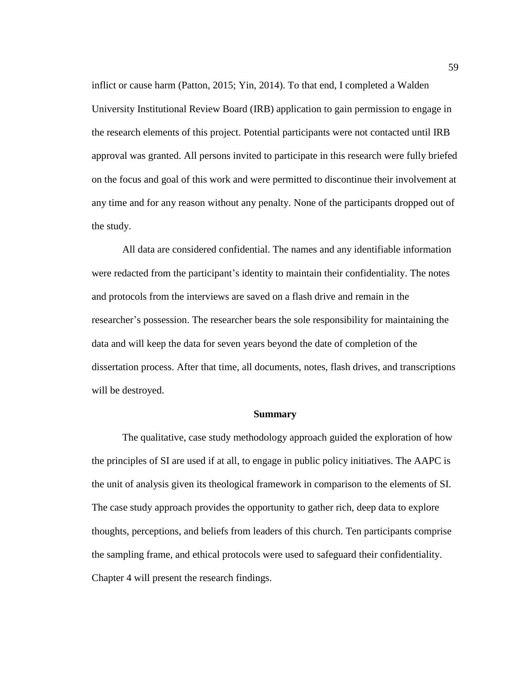inflict or cause harm (Patton, 2015; Yin, 2014). To that end, I completed a Walden University Institutional Review Board (IRB) application to gain permission to engage in the research elements of this project. Potential participants were not contacted until IRB approval was granted. All persons invited to participate in this research were fully briefed on the focus and goal of this work and were permitted to discontinue their involvement at any time and for any reason without any penalty. None of the participants dropped out of the study.

All data are considered confidential. The names and any identifiable information were redacted from the participant's identity to maintain their confidentiality. The notes and protocols from the interviews are saved on a flash drive and remain in the researcher's possession. The researcher bears the sole responsibility for maintaining the data and will keep the data for seven years beyond the date of completion of the dissertation process. After that time, all documents, notes, flash drives, and transcriptions will be destroyed.

#### **Summary**

The qualitative, case study methodology approach guided the exploration of how the principles of SI are used if at all, to engage in public policy initiatives. The AAPC is the unit of analysis given its theological framework in comparison to the elements of SI. The case study approach provides the opportunity to gather rich, deep data to explore thoughts, perceptions, and beliefs from leaders of this church. Ten participants comprise the sampling frame, and ethical protocols were used to safeguard their confidentiality. Chapter 4 will present the research findings.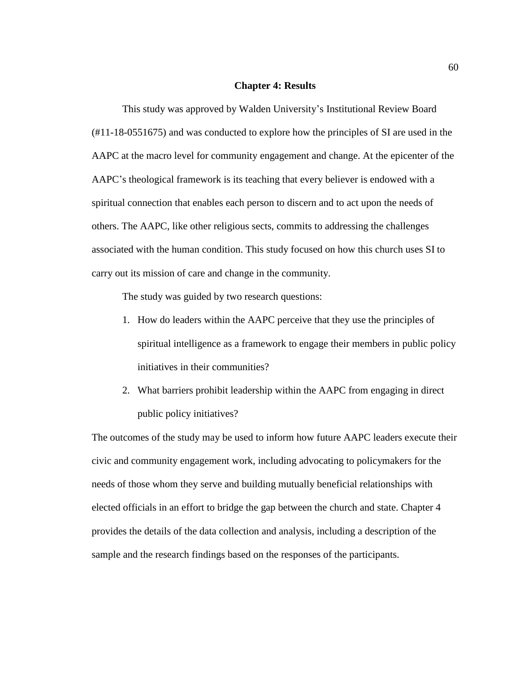#### **Chapter 4: Results**

This study was approved by Walden University's Institutional Review Board (#11-18-0551675) and was conducted to explore how the principles of SI are used in the AAPC at the macro level for community engagement and change. At the epicenter of the AAPC's theological framework is its teaching that every believer is endowed with a spiritual connection that enables each person to discern and to act upon the needs of others. The AAPC, like other religious sects, commits to addressing the challenges associated with the human condition. This study focused on how this church uses SI to carry out its mission of care and change in the community.

The study was guided by two research questions:

- 1. How do leaders within the AAPC perceive that they use the principles of spiritual intelligence as a framework to engage their members in public policy initiatives in their communities?
- 2. What barriers prohibit leadership within the AAPC from engaging in direct public policy initiatives?

The outcomes of the study may be used to inform how future AAPC leaders execute their civic and community engagement work, including advocating to policymakers for the needs of those whom they serve and building mutually beneficial relationships with elected officials in an effort to bridge the gap between the church and state. Chapter 4 provides the details of the data collection and analysis, including a description of the sample and the research findings based on the responses of the participants.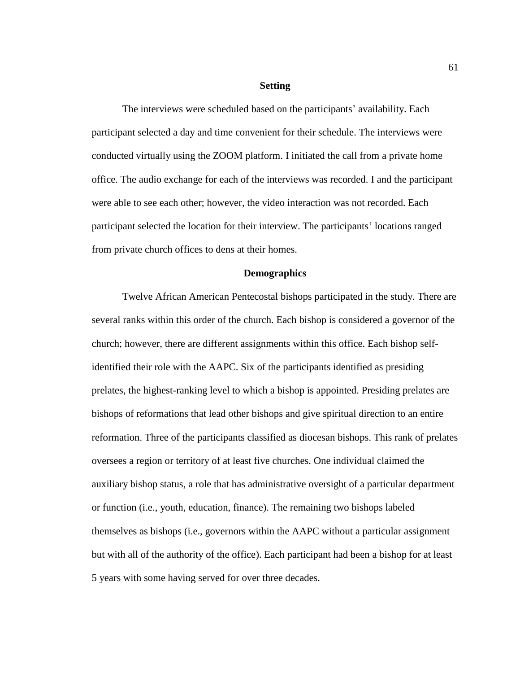#### **Setting**

The interviews were scheduled based on the participants' availability. Each participant selected a day and time convenient for their schedule. The interviews were conducted virtually using the ZOOM platform. I initiated the call from a private home office. The audio exchange for each of the interviews was recorded. I and the participant were able to see each other; however, the video interaction was not recorded. Each participant selected the location for their interview. The participants' locations ranged from private church offices to dens at their homes.

# **Demographics**

Twelve African American Pentecostal bishops participated in the study. There are several ranks within this order of the church. Each bishop is considered a governor of the church; however, there are different assignments within this office. Each bishop selfidentified their role with the AAPC. Six of the participants identified as presiding prelates, the highest-ranking level to which a bishop is appointed. Presiding prelates are bishops of reformations that lead other bishops and give spiritual direction to an entire reformation. Three of the participants classified as diocesan bishops. This rank of prelates oversees a region or territory of at least five churches. One individual claimed the auxiliary bishop status, a role that has administrative oversight of a particular department or function (i.e., youth, education, finance). The remaining two bishops labeled themselves as bishops (i.e., governors within the AAPC without a particular assignment but with all of the authority of the office). Each participant had been a bishop for at least 5 years with some having served for over three decades.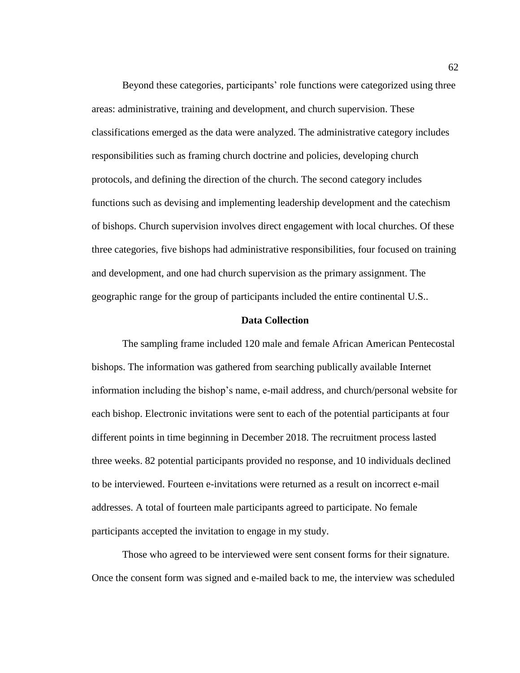Beyond these categories, participants' role functions were categorized using three areas: administrative, training and development, and church supervision. These classifications emerged as the data were analyzed. The administrative category includes responsibilities such as framing church doctrine and policies, developing church protocols, and defining the direction of the church. The second category includes functions such as devising and implementing leadership development and the catechism of bishops. Church supervision involves direct engagement with local churches. Of these three categories, five bishops had administrative responsibilities, four focused on training and development, and one had church supervision as the primary assignment. The geographic range for the group of participants included the entire continental U.S..

### **Data Collection**

The sampling frame included 120 male and female African American Pentecostal bishops. The information was gathered from searching publically available Internet information including the bishop's name, e-mail address, and church/personal website for each bishop. Electronic invitations were sent to each of the potential participants at four different points in time beginning in December 2018. The recruitment process lasted three weeks. 82 potential participants provided no response, and 10 individuals declined to be interviewed. Fourteen e-invitations were returned as a result on incorrect e-mail addresses. A total of fourteen male participants agreed to participate. No female participants accepted the invitation to engage in my study.

Those who agreed to be interviewed were sent consent forms for their signature. Once the consent form was signed and e-mailed back to me, the interview was scheduled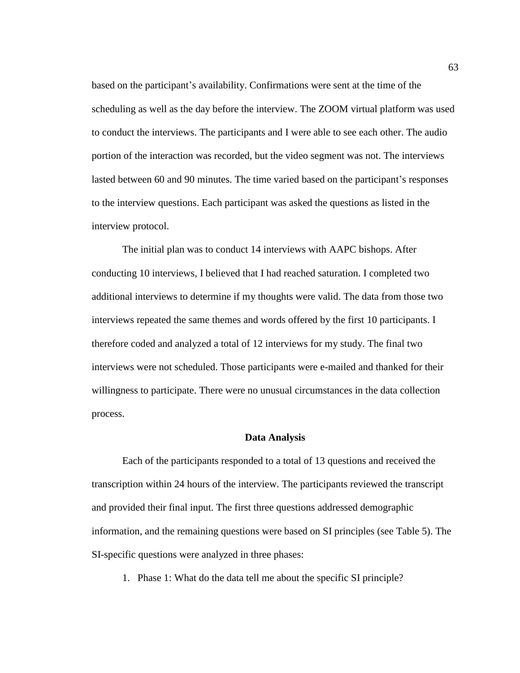based on the participant's availability. Confirmations were sent at the time of the scheduling as well as the day before the interview. The ZOOM virtual platform was used to conduct the interviews. The participants and I were able to see each other. The audio portion of the interaction was recorded, but the video segment was not. The interviews lasted between 60 and 90 minutes. The time varied based on the participant's responses to the interview questions. Each participant was asked the questions as listed in the interview protocol.

The initial plan was to conduct 14 interviews with AAPC bishops. After conducting 10 interviews, I believed that I had reached saturation. I completed two additional interviews to determine if my thoughts were valid. The data from those two interviews repeated the same themes and words offered by the first 10 participants. I therefore coded and analyzed a total of 12 interviews for my study. The final two interviews were not scheduled. Those participants were e-mailed and thanked for their willingness to participate. There were no unusual circumstances in the data collection process.

#### **Data Analysis**

Each of the participants responded to a total of 13 questions and received the transcription within 24 hours of the interview. The participants reviewed the transcript and provided their final input. The first three questions addressed demographic information, and the remaining questions were based on SI principles (see Table 5). The SI-specific questions were analyzed in three phases:

1. Phase 1: What do the data tell me about the specific SI principle?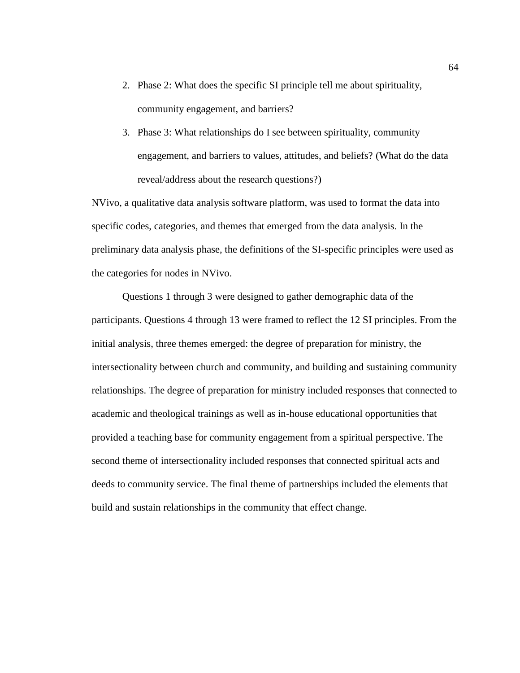- 2. Phase 2: What does the specific SI principle tell me about spirituality, community engagement, and barriers?
- 3. Phase 3: What relationships do I see between spirituality, community engagement, and barriers to values, attitudes, and beliefs? (What do the data reveal/address about the research questions?)

NVivo, a qualitative data analysis software platform, was used to format the data into specific codes, categories, and themes that emerged from the data analysis. In the preliminary data analysis phase, the definitions of the SI-specific principles were used as the categories for nodes in NVivo.

Questions 1 through 3 were designed to gather demographic data of the participants. Questions 4 through 13 were framed to reflect the 12 SI principles. From the initial analysis, three themes emerged: the degree of preparation for ministry, the intersectionality between church and community, and building and sustaining community relationships. The degree of preparation for ministry included responses that connected to academic and theological trainings as well as in-house educational opportunities that provided a teaching base for community engagement from a spiritual perspective. The second theme of intersectionality included responses that connected spiritual acts and deeds to community service. The final theme of partnerships included the elements that build and sustain relationships in the community that effect change.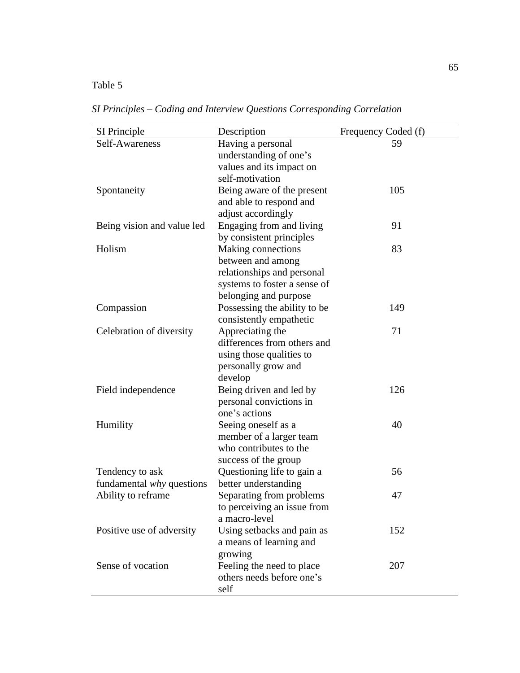# Table 5

| SI Principle               | Description                  | Frequency Coded (f) |
|----------------------------|------------------------------|---------------------|
| Self-Awareness             | Having a personal            | 59                  |
|                            | understanding of one's       |                     |
|                            | values and its impact on     |                     |
|                            | self-motivation              |                     |
| Spontaneity                | Being aware of the present   | 105                 |
|                            | and able to respond and      |                     |
|                            | adjust accordingly           |                     |
| Being vision and value led | Engaging from and living     | 91                  |
|                            | by consistent principles     |                     |
| Holism                     | Making connections           | 83                  |
|                            | between and among            |                     |
|                            | relationships and personal   |                     |
|                            | systems to foster a sense of |                     |
|                            | belonging and purpose        |                     |
| Compassion                 | Possessing the ability to be | 149                 |
|                            | consistently empathetic      |                     |
| Celebration of diversity   | Appreciating the             | 71                  |
|                            | differences from others and  |                     |
|                            | using those qualities to     |                     |
|                            | personally grow and          |                     |
|                            | develop                      |                     |
| Field independence         | Being driven and led by      | 126                 |
|                            | personal convictions in      |                     |
|                            | one's actions                |                     |
| Humility                   | Seeing oneself as a          | 40                  |
|                            | member of a larger team      |                     |
|                            | who contributes to the       |                     |
|                            | success of the group         |                     |
| Tendency to ask            | Questioning life to gain a   | 56                  |
| fundamental why questions  | better understanding         |                     |
| Ability to reframe         | Separating from problems     | 47                  |
|                            | to perceiving an issue from  |                     |
|                            | a macro-level                |                     |
| Positive use of adversity  | Using setbacks and pain as   | 152                 |
|                            | a means of learning and      |                     |
|                            | growing                      |                     |
| Sense of vocation          | Feeling the need to place    | 207                 |
|                            | others needs before one's    |                     |
|                            | self                         |                     |

*SI Principles – Coding and Interview Questions Corresponding Correlation*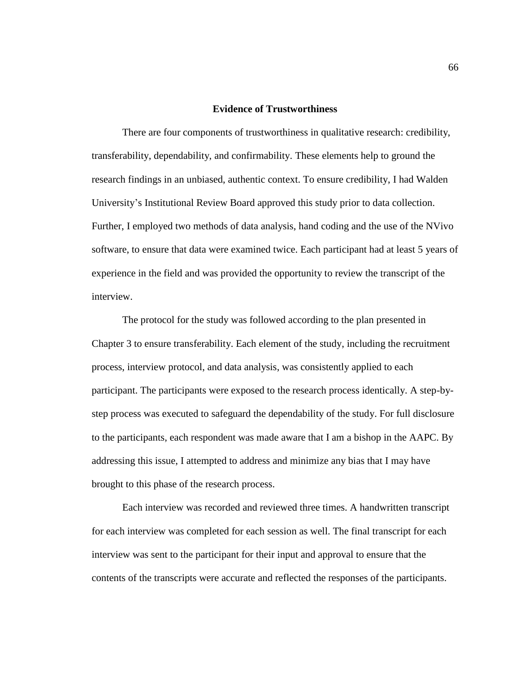#### **Evidence of Trustworthiness**

There are four components of trustworthiness in qualitative research: credibility, transferability, dependability, and confirmability. These elements help to ground the research findings in an unbiased, authentic context. To ensure credibility, I had Walden University's Institutional Review Board approved this study prior to data collection. Further, I employed two methods of data analysis, hand coding and the use of the NVivo software, to ensure that data were examined twice. Each participant had at least 5 years of experience in the field and was provided the opportunity to review the transcript of the interview.

The protocol for the study was followed according to the plan presented in Chapter 3 to ensure transferability. Each element of the study, including the recruitment process, interview protocol, and data analysis, was consistently applied to each participant. The participants were exposed to the research process identically. A step-bystep process was executed to safeguard the dependability of the study. For full disclosure to the participants, each respondent was made aware that I am a bishop in the AAPC. By addressing this issue, I attempted to address and minimize any bias that I may have brought to this phase of the research process.

Each interview was recorded and reviewed three times. A handwritten transcript for each interview was completed for each session as well. The final transcript for each interview was sent to the participant for their input and approval to ensure that the contents of the transcripts were accurate and reflected the responses of the participants.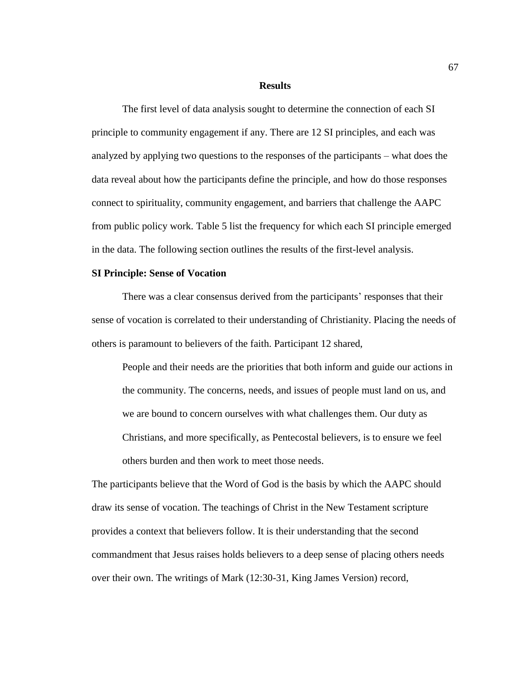#### **Results**

The first level of data analysis sought to determine the connection of each SI principle to community engagement if any. There are 12 SI principles, and each was analyzed by applying two questions to the responses of the participants – what does the data reveal about how the participants define the principle, and how do those responses connect to spirituality, community engagement, and barriers that challenge the AAPC from public policy work. Table 5 list the frequency for which each SI principle emerged in the data. The following section outlines the results of the first-level analysis.

### **SI Principle: Sense of Vocation**

There was a clear consensus derived from the participants' responses that their sense of vocation is correlated to their understanding of Christianity. Placing the needs of others is paramount to believers of the faith. Participant 12 shared,

People and their needs are the priorities that both inform and guide our actions in the community. The concerns, needs, and issues of people must land on us, and we are bound to concern ourselves with what challenges them. Our duty as Christians, and more specifically, as Pentecostal believers, is to ensure we feel others burden and then work to meet those needs.

The participants believe that the Word of God is the basis by which the AAPC should draw its sense of vocation. The teachings of Christ in the New Testament scripture provides a context that believers follow. It is their understanding that the second commandment that Jesus raises holds believers to a deep sense of placing others needs over their own. The writings of Mark (12:30-31, King James Version) record,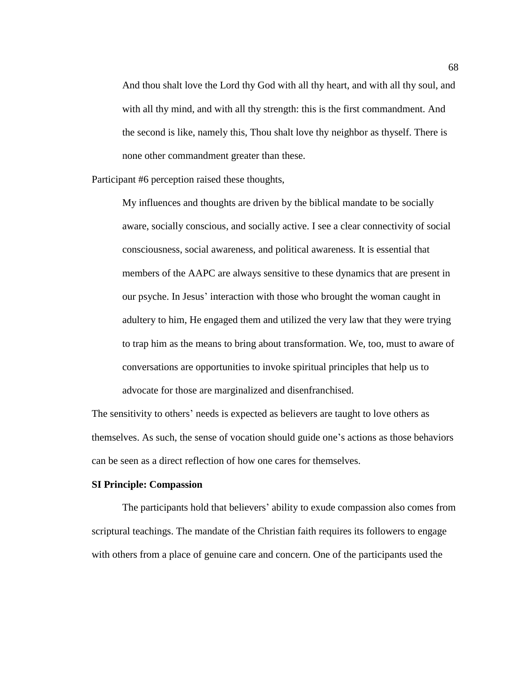And thou shalt love the Lord thy God with all thy heart, and with all thy soul, and with all thy mind, and with all thy strength: this is the first commandment. And the second is like, namely this, Thou shalt love thy neighbor as thyself. There is none other commandment greater than these.

Participant #6 perception raised these thoughts,

My influences and thoughts are driven by the biblical mandate to be socially aware, socially conscious, and socially active. I see a clear connectivity of social consciousness, social awareness, and political awareness. It is essential that members of the AAPC are always sensitive to these dynamics that are present in our psyche. In Jesus' interaction with those who brought the woman caught in adultery to him, He engaged them and utilized the very law that they were trying to trap him as the means to bring about transformation. We, too, must to aware of conversations are opportunities to invoke spiritual principles that help us to advocate for those are marginalized and disenfranchised.

The sensitivity to others' needs is expected as believers are taught to love others as themselves. As such, the sense of vocation should guide one's actions as those behaviors can be seen as a direct reflection of how one cares for themselves.

# **SI Principle: Compassion**

The participants hold that believers' ability to exude compassion also comes from scriptural teachings. The mandate of the Christian faith requires its followers to engage with others from a place of genuine care and concern. One of the participants used the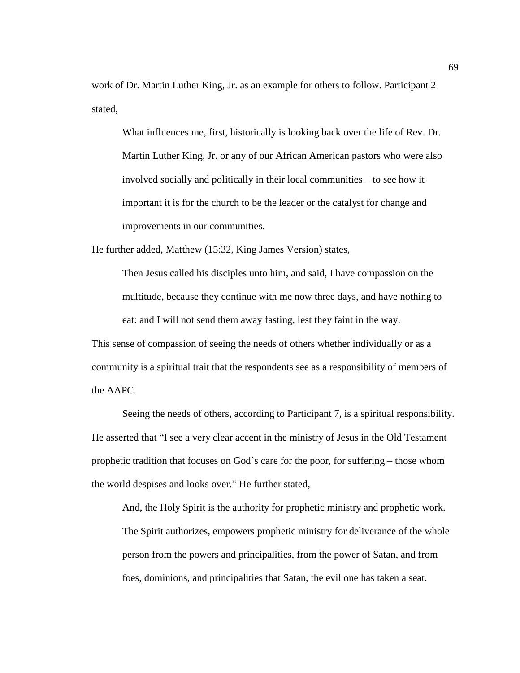work of Dr. Martin Luther King, Jr. as an example for others to follow. Participant 2 stated,

What influences me, first, historically is looking back over the life of Rev. Dr. Martin Luther King, Jr. or any of our African American pastors who were also involved socially and politically in their local communities – to see how it important it is for the church to be the leader or the catalyst for change and improvements in our communities.

He further added, Matthew (15:32, King James Version) states,

Then Jesus called his disciples unto him, and said, I have compassion on the multitude, because they continue with me now three days, and have nothing to eat: and I will not send them away fasting, lest they faint in the way.

This sense of compassion of seeing the needs of others whether individually or as a community is a spiritual trait that the respondents see as a responsibility of members of the AAPC.

Seeing the needs of others, according to Participant 7, is a spiritual responsibility. He asserted that "I see a very clear accent in the ministry of Jesus in the Old Testament prophetic tradition that focuses on God's care for the poor, for suffering – those whom the world despises and looks over." He further stated,

And, the Holy Spirit is the authority for prophetic ministry and prophetic work. The Spirit authorizes, empowers prophetic ministry for deliverance of the whole person from the powers and principalities, from the power of Satan, and from foes, dominions, and principalities that Satan, the evil one has taken a seat.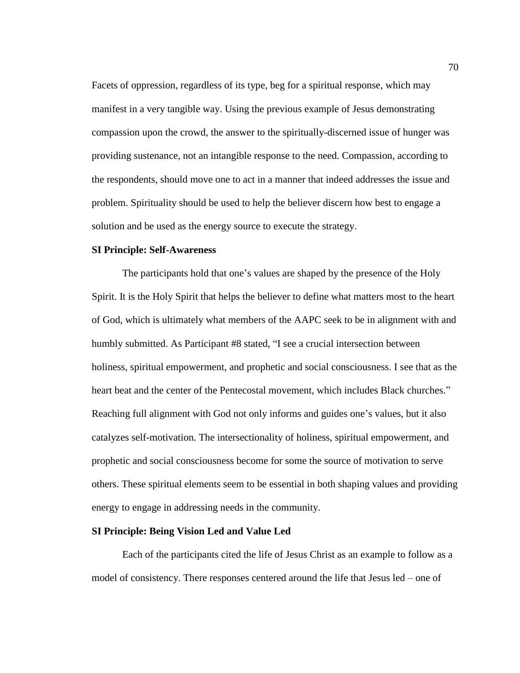Facets of oppression, regardless of its type, beg for a spiritual response, which may manifest in a very tangible way. Using the previous example of Jesus demonstrating compassion upon the crowd, the answer to the spiritually-discerned issue of hunger was providing sustenance, not an intangible response to the need. Compassion, according to the respondents, should move one to act in a manner that indeed addresses the issue and problem. Spirituality should be used to help the believer discern how best to engage a solution and be used as the energy source to execute the strategy.

# **SI Principle: Self-Awareness**

The participants hold that one's values are shaped by the presence of the Holy Spirit. It is the Holy Spirit that helps the believer to define what matters most to the heart of God, which is ultimately what members of the AAPC seek to be in alignment with and humbly submitted. As Participant #8 stated, "I see a crucial intersection between holiness, spiritual empowerment, and prophetic and social consciousness. I see that as the heart beat and the center of the Pentecostal movement, which includes Black churches." Reaching full alignment with God not only informs and guides one's values, but it also catalyzes self-motivation. The intersectionality of holiness, spiritual empowerment, and prophetic and social consciousness become for some the source of motivation to serve others. These spiritual elements seem to be essential in both shaping values and providing energy to engage in addressing needs in the community.

# **SI Principle: Being Vision Led and Value Led**

Each of the participants cited the life of Jesus Christ as an example to follow as a model of consistency. There responses centered around the life that Jesus led – one of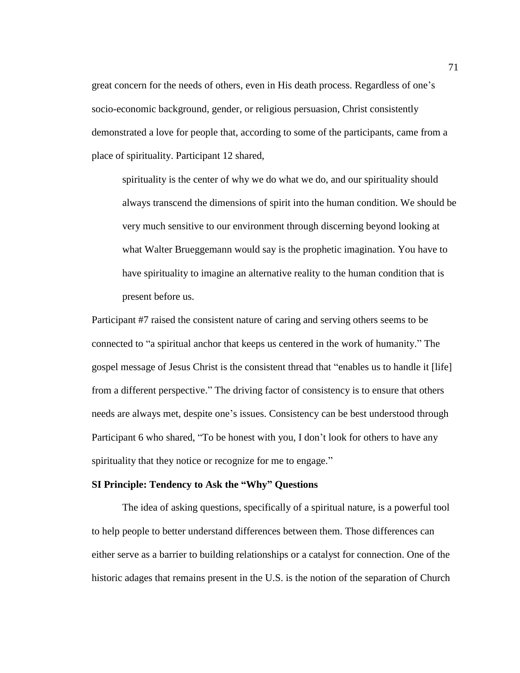great concern for the needs of others, even in His death process. Regardless of one's socio-economic background, gender, or religious persuasion, Christ consistently demonstrated a love for people that, according to some of the participants, came from a place of spirituality. Participant 12 shared,

spirituality is the center of why we do what we do, and our spirituality should always transcend the dimensions of spirit into the human condition. We should be very much sensitive to our environment through discerning beyond looking at what Walter Brueggemann would say is the prophetic imagination. You have to have spirituality to imagine an alternative reality to the human condition that is present before us.

Participant #7 raised the consistent nature of caring and serving others seems to be connected to "a spiritual anchor that keeps us centered in the work of humanity." The gospel message of Jesus Christ is the consistent thread that "enables us to handle it [life] from a different perspective." The driving factor of consistency is to ensure that others needs are always met, despite one's issues. Consistency can be best understood through Participant 6 who shared, "To be honest with you, I don't look for others to have any spirituality that they notice or recognize for me to engage."

# **SI Principle: Tendency to Ask the "Why" Questions**

The idea of asking questions, specifically of a spiritual nature, is a powerful tool to help people to better understand differences between them. Those differences can either serve as a barrier to building relationships or a catalyst for connection. One of the historic adages that remains present in the U.S. is the notion of the separation of Church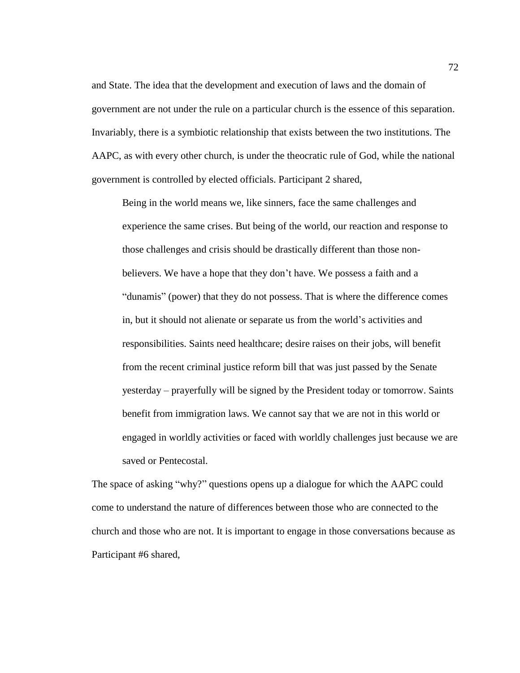and State. The idea that the development and execution of laws and the domain of government are not under the rule on a particular church is the essence of this separation. Invariably, there is a symbiotic relationship that exists between the two institutions. The AAPC, as with every other church, is under the theocratic rule of God, while the national government is controlled by elected officials. Participant 2 shared,

Being in the world means we, like sinners, face the same challenges and experience the same crises. But being of the world, our reaction and response to those challenges and crisis should be drastically different than those nonbelievers. We have a hope that they don't have. We possess a faith and a "dunamis" (power) that they do not possess. That is where the difference comes in, but it should not alienate or separate us from the world's activities and responsibilities. Saints need healthcare; desire raises on their jobs, will benefit from the recent criminal justice reform bill that was just passed by the Senate yesterday – prayerfully will be signed by the President today or tomorrow. Saints benefit from immigration laws. We cannot say that we are not in this world or engaged in worldly activities or faced with worldly challenges just because we are saved or Pentecostal.

The space of asking "why?" questions opens up a dialogue for which the AAPC could come to understand the nature of differences between those who are connected to the church and those who are not. It is important to engage in those conversations because as Participant #6 shared,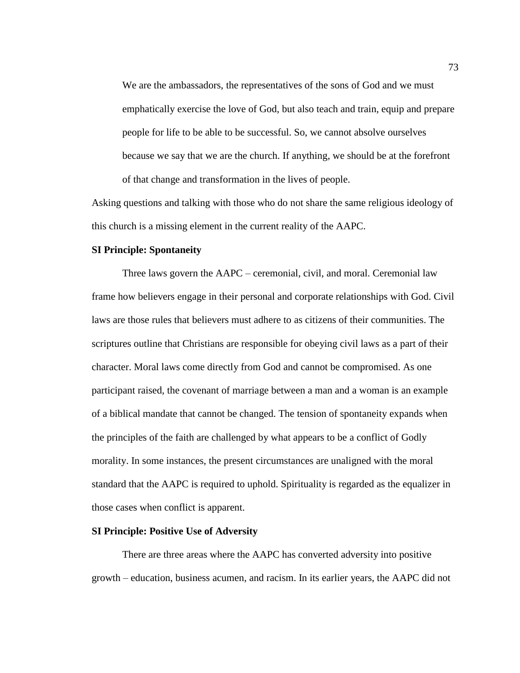We are the ambassadors, the representatives of the sons of God and we must emphatically exercise the love of God, but also teach and train, equip and prepare people for life to be able to be successful. So, we cannot absolve ourselves because we say that we are the church. If anything, we should be at the forefront of that change and transformation in the lives of people.

Asking questions and talking with those who do not share the same religious ideology of this church is a missing element in the current reality of the AAPC.

# **SI Principle: Spontaneity**

Three laws govern the AAPC – ceremonial, civil, and moral. Ceremonial law frame how believers engage in their personal and corporate relationships with God. Civil laws are those rules that believers must adhere to as citizens of their communities. The scriptures outline that Christians are responsible for obeying civil laws as a part of their character. Moral laws come directly from God and cannot be compromised. As one participant raised, the covenant of marriage between a man and a woman is an example of a biblical mandate that cannot be changed. The tension of spontaneity expands when the principles of the faith are challenged by what appears to be a conflict of Godly morality. In some instances, the present circumstances are unaligned with the moral standard that the AAPC is required to uphold. Spirituality is regarded as the equalizer in those cases when conflict is apparent.

# **SI Principle: Positive Use of Adversity**

There are three areas where the AAPC has converted adversity into positive growth – education, business acumen, and racism. In its earlier years, the AAPC did not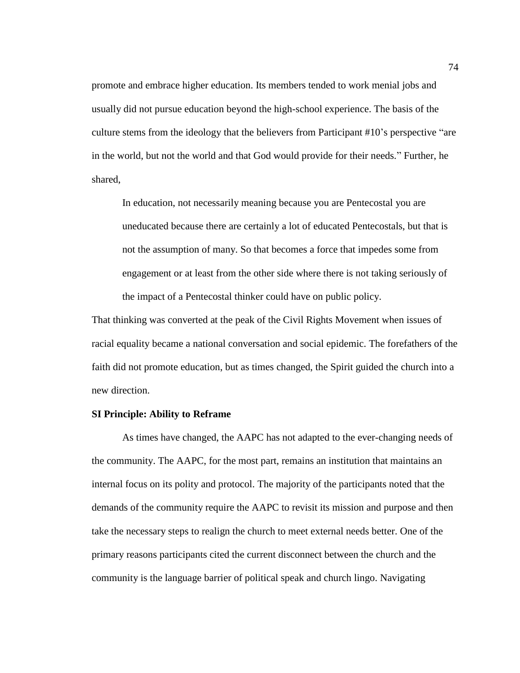promote and embrace higher education. Its members tended to work menial jobs and usually did not pursue education beyond the high-school experience. The basis of the culture stems from the ideology that the believers from Participant #10's perspective "are in the world, but not the world and that God would provide for their needs." Further, he shared,

In education, not necessarily meaning because you are Pentecostal you are uneducated because there are certainly a lot of educated Pentecostals, but that is not the assumption of many. So that becomes a force that impedes some from engagement or at least from the other side where there is not taking seriously of the impact of a Pentecostal thinker could have on public policy.

That thinking was converted at the peak of the Civil Rights Movement when issues of racial equality became a national conversation and social epidemic. The forefathers of the faith did not promote education, but as times changed, the Spirit guided the church into a new direction.

## **SI Principle: Ability to Reframe**

As times have changed, the AAPC has not adapted to the ever-changing needs of the community. The AAPC, for the most part, remains an institution that maintains an internal focus on its polity and protocol. The majority of the participants noted that the demands of the community require the AAPC to revisit its mission and purpose and then take the necessary steps to realign the church to meet external needs better. One of the primary reasons participants cited the current disconnect between the church and the community is the language barrier of political speak and church lingo. Navigating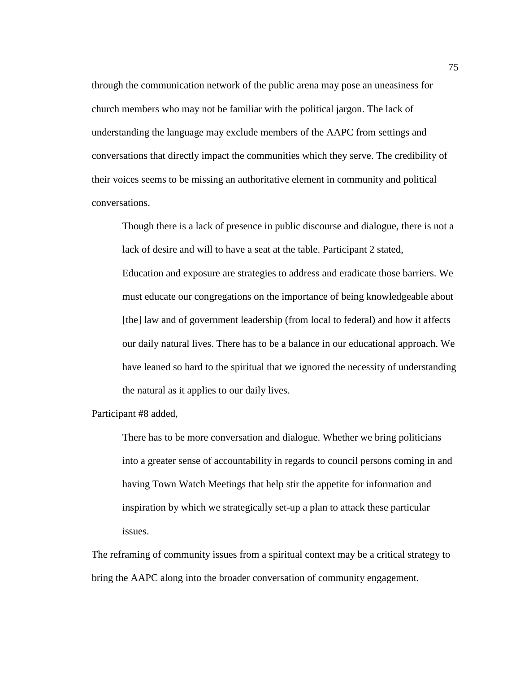through the communication network of the public arena may pose an uneasiness for church members who may not be familiar with the political jargon. The lack of understanding the language may exclude members of the AAPC from settings and conversations that directly impact the communities which they serve. The credibility of their voices seems to be missing an authoritative element in community and political conversations.

Though there is a lack of presence in public discourse and dialogue, there is not a lack of desire and will to have a seat at the table. Participant 2 stated, Education and exposure are strategies to address and eradicate those barriers. We must educate our congregations on the importance of being knowledgeable about [the] law and of government leadership (from local to federal) and how it affects our daily natural lives. There has to be a balance in our educational approach. We have leaned so hard to the spiritual that we ignored the necessity of understanding the natural as it applies to our daily lives.

Participant #8 added,

There has to be more conversation and dialogue. Whether we bring politicians into a greater sense of accountability in regards to council persons coming in and having Town Watch Meetings that help stir the appetite for information and inspiration by which we strategically set-up a plan to attack these particular issues.

The reframing of community issues from a spiritual context may be a critical strategy to bring the AAPC along into the broader conversation of community engagement.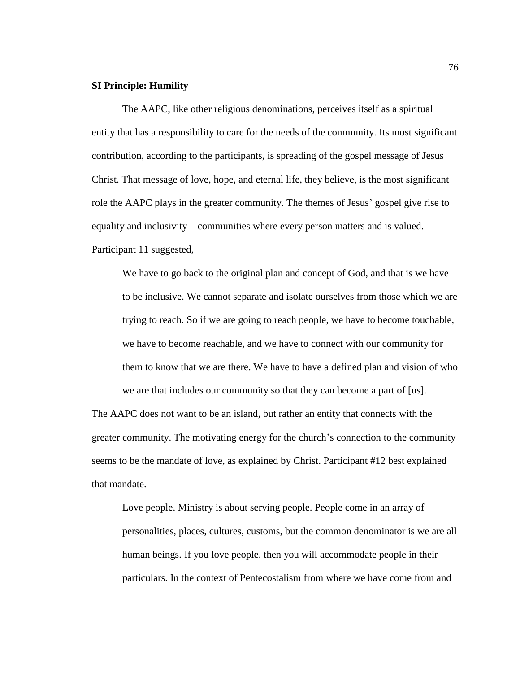# **SI Principle: Humility**

The AAPC, like other religious denominations, perceives itself as a spiritual entity that has a responsibility to care for the needs of the community. Its most significant contribution, according to the participants, is spreading of the gospel message of Jesus Christ. That message of love, hope, and eternal life, they believe, is the most significant role the AAPC plays in the greater community. The themes of Jesus' gospel give rise to equality and inclusivity – communities where every person matters and is valued. Participant 11 suggested,

We have to go back to the original plan and concept of God, and that is we have to be inclusive. We cannot separate and isolate ourselves from those which we are trying to reach. So if we are going to reach people, we have to become touchable, we have to become reachable, and we have to connect with our community for them to know that we are there. We have to have a defined plan and vision of who we are that includes our community so that they can become a part of [us].

The AAPC does not want to be an island, but rather an entity that connects with the greater community. The motivating energy for the church's connection to the community seems to be the mandate of love, as explained by Christ. Participant #12 best explained that mandate.

Love people. Ministry is about serving people. People come in an array of personalities, places, cultures, customs, but the common denominator is we are all human beings. If you love people, then you will accommodate people in their particulars. In the context of Pentecostalism from where we have come from and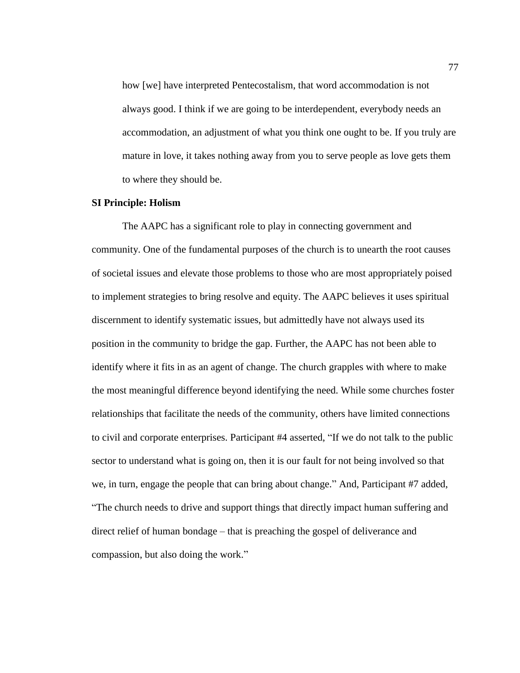how [we] have interpreted Pentecostalism, that word accommodation is not always good. I think if we are going to be interdependent, everybody needs an accommodation, an adjustment of what you think one ought to be. If you truly are mature in love, it takes nothing away from you to serve people as love gets them to where they should be.

#### **SI Principle: Holism**

The AAPC has a significant role to play in connecting government and community. One of the fundamental purposes of the church is to unearth the root causes of societal issues and elevate those problems to those who are most appropriately poised to implement strategies to bring resolve and equity. The AAPC believes it uses spiritual discernment to identify systematic issues, but admittedly have not always used its position in the community to bridge the gap. Further, the AAPC has not been able to identify where it fits in as an agent of change. The church grapples with where to make the most meaningful difference beyond identifying the need. While some churches foster relationships that facilitate the needs of the community, others have limited connections to civil and corporate enterprises. Participant #4 asserted, "If we do not talk to the public sector to understand what is going on, then it is our fault for not being involved so that we, in turn, engage the people that can bring about change." And, Participant #7 added, "The church needs to drive and support things that directly impact human suffering and direct relief of human bondage – that is preaching the gospel of deliverance and compassion, but also doing the work."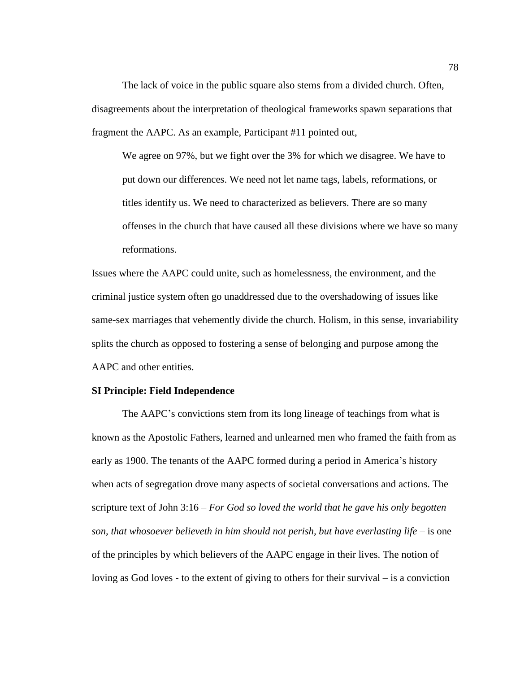The lack of voice in the public square also stems from a divided church. Often, disagreements about the interpretation of theological frameworks spawn separations that fragment the AAPC. As an example, Participant #11 pointed out,

We agree on 97%, but we fight over the 3% for which we disagree. We have to put down our differences. We need not let name tags, labels, reformations, or titles identify us. We need to characterized as believers. There are so many offenses in the church that have caused all these divisions where we have so many reformations.

Issues where the AAPC could unite, such as homelessness, the environment, and the criminal justice system often go unaddressed due to the overshadowing of issues like same-sex marriages that vehemently divide the church. Holism, in this sense, invariability splits the church as opposed to fostering a sense of belonging and purpose among the AAPC and other entities.

#### **SI Principle: Field Independence**

The AAPC's convictions stem from its long lineage of teachings from what is known as the Apostolic Fathers, learned and unlearned men who framed the faith from as early as 1900. The tenants of the AAPC formed during a period in America's history when acts of segregation drove many aspects of societal conversations and actions. The scripture text of John 3:16 – *For God so loved the world that he gave his only begotten son, that whosoever believeth in him should not perish, but have everlasting life* – is one of the principles by which believers of the AAPC engage in their lives. The notion of loving as God loves - to the extent of giving to others for their survival – is a conviction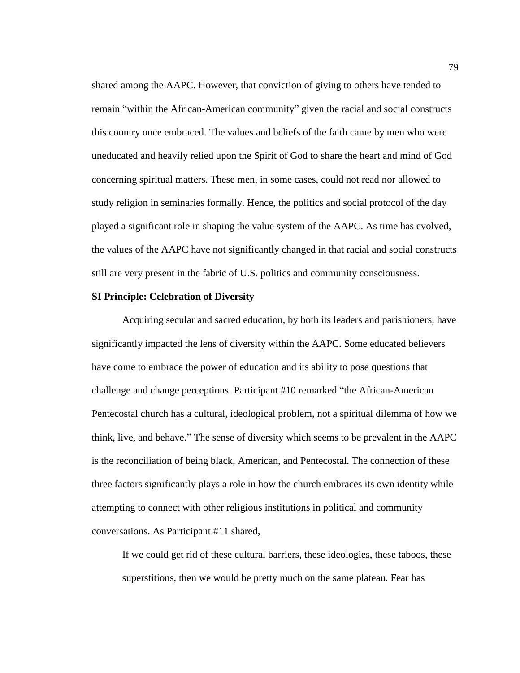shared among the AAPC. However, that conviction of giving to others have tended to remain "within the African-American community" given the racial and social constructs this country once embraced. The values and beliefs of the faith came by men who were uneducated and heavily relied upon the Spirit of God to share the heart and mind of God concerning spiritual matters. These men, in some cases, could not read nor allowed to study religion in seminaries formally. Hence, the politics and social protocol of the day played a significant role in shaping the value system of the AAPC. As time has evolved, the values of the AAPC have not significantly changed in that racial and social constructs still are very present in the fabric of U.S. politics and community consciousness.

## **SI Principle: Celebration of Diversity**

Acquiring secular and sacred education, by both its leaders and parishioners, have significantly impacted the lens of diversity within the AAPC. Some educated believers have come to embrace the power of education and its ability to pose questions that challenge and change perceptions. Participant #10 remarked "the African-American Pentecostal church has a cultural, ideological problem, not a spiritual dilemma of how we think, live, and behave." The sense of diversity which seems to be prevalent in the AAPC is the reconciliation of being black, American, and Pentecostal. The connection of these three factors significantly plays a role in how the church embraces its own identity while attempting to connect with other religious institutions in political and community conversations. As Participant #11 shared,

If we could get rid of these cultural barriers, these ideologies, these taboos, these superstitions, then we would be pretty much on the same plateau. Fear has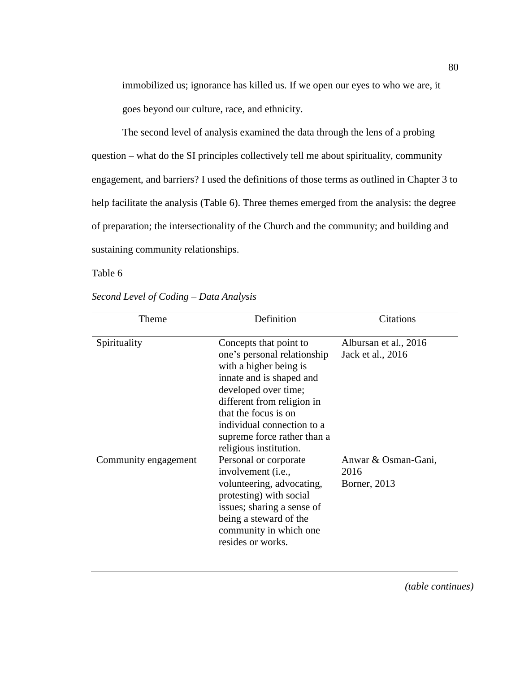immobilized us; ignorance has killed us. If we open our eyes to who we are, it goes beyond our culture, race, and ethnicity.

The second level of analysis examined the data through the lens of a probing question – what do the SI principles collectively tell me about spirituality, community engagement, and barriers? I used the definitions of those terms as outlined in Chapter 3 to help facilitate the analysis (Table 6). Three themes emerged from the analysis: the degree of preparation; the intersectionality of the Church and the community; and building and sustaining community relationships.

Table 6

| Theme                | Definition                                                                                                                                                                                                                                                                       | Citations                                   |
|----------------------|----------------------------------------------------------------------------------------------------------------------------------------------------------------------------------------------------------------------------------------------------------------------------------|---------------------------------------------|
| Spirituality         | Concepts that point to<br>one's personal relationship<br>with a higher being is<br>innate and is shaped and<br>developed over time;<br>different from religion in<br>that the focus is on<br>individual connection to a<br>supreme force rather than a<br>religious institution. | Albursan et al., 2016<br>Jack et al., 2016  |
| Community engagement | Personal or corporate<br>involvement ( <i>i.e.</i> ,<br>volunteering, advocating,<br>protesting) with social<br>issues; sharing a sense of<br>being a steward of the<br>community in which one<br>resides or works.                                                              | Anwar & Osman-Gani,<br>2016<br>Borner, 2013 |

*Second Level of Coding – Data Analysis*

*(table continues)*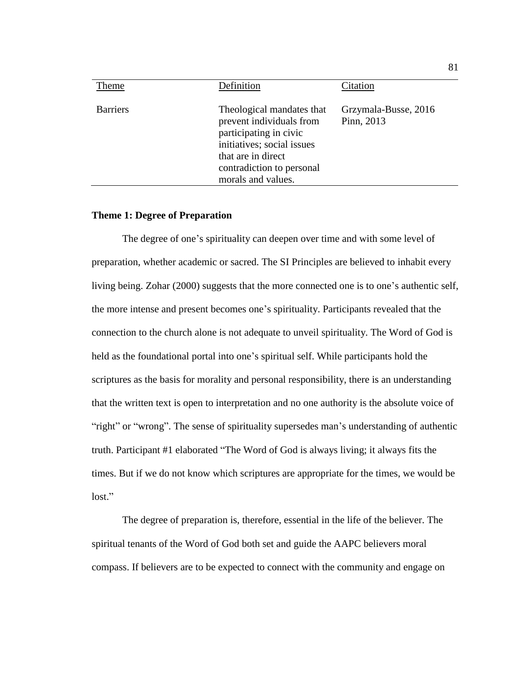| Theme           | Definition                                                                                                                                                                             | Citation                           |
|-----------------|----------------------------------------------------------------------------------------------------------------------------------------------------------------------------------------|------------------------------------|
| <b>Barriers</b> | Theological mandates that<br>prevent individuals from<br>participating in civic<br>initiatives; social issues<br>that are in direct<br>contradiction to personal<br>morals and values. | Grzymala-Busse, 2016<br>Pinn, 2013 |
|                 |                                                                                                                                                                                        |                                    |

### **Theme 1: Degree of Preparation**

The degree of one's spirituality can deepen over time and with some level of preparation, whether academic or sacred. The SI Principles are believed to inhabit every living being. Zohar (2000) suggests that the more connected one is to one's authentic self, the more intense and present becomes one's spirituality. Participants revealed that the connection to the church alone is not adequate to unveil spirituality. The Word of God is held as the foundational portal into one's spiritual self. While participants hold the scriptures as the basis for morality and personal responsibility, there is an understanding that the written text is open to interpretation and no one authority is the absolute voice of "right" or "wrong". The sense of spirituality supersedes man's understanding of authentic truth. Participant #1 elaborated "The Word of God is always living; it always fits the times. But if we do not know which scriptures are appropriate for the times, we would be lost."

The degree of preparation is, therefore, essential in the life of the believer. The spiritual tenants of the Word of God both set and guide the AAPC believers moral compass. If believers are to be expected to connect with the community and engage on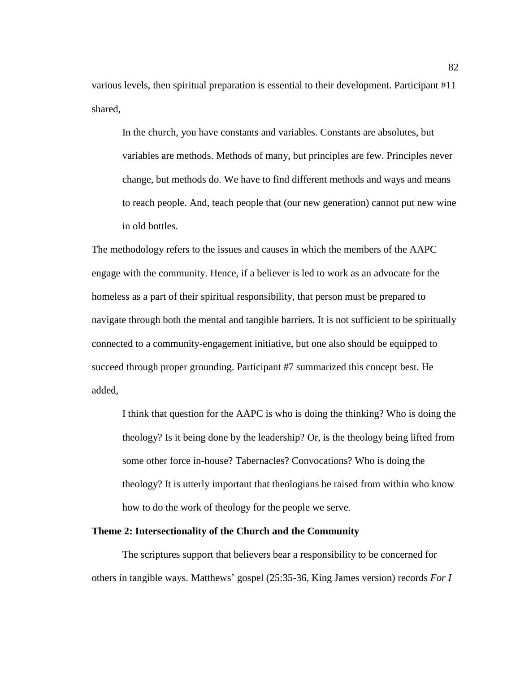various levels, then spiritual preparation is essential to their development. Participant #11 shared,

In the church, you have constants and variables. Constants are absolutes, but variables are methods. Methods of many, but principles are few. Principles never change, but methods do. We have to find different methods and ways and means to reach people. And, teach people that (our new generation) cannot put new wine in old bottles.

The methodology refers to the issues and causes in which the members of the AAPC engage with the community. Hence, if a believer is led to work as an advocate for the homeless as a part of their spiritual responsibility, that person must be prepared to navigate through both the mental and tangible barriers. It is not sufficient to be spiritually connected to a community-engagement initiative, but one also should be equipped to succeed through proper grounding. Participant #7 summarized this concept best. He added,

I think that question for the AAPC is who is doing the thinking? Who is doing the theology? Is it being done by the leadership? Or, is the theology being lifted from some other force in-house? Tabernacles? Convocations? Who is doing the theology? It is utterly important that theologians be raised from within who know how to do the work of theology for the people we serve.

# **Theme 2: Intersectionality of the Church and the Community**

The scriptures support that believers bear a responsibility to be concerned for others in tangible ways. Matthews' gospel (25:35-36, King James version) records *For I*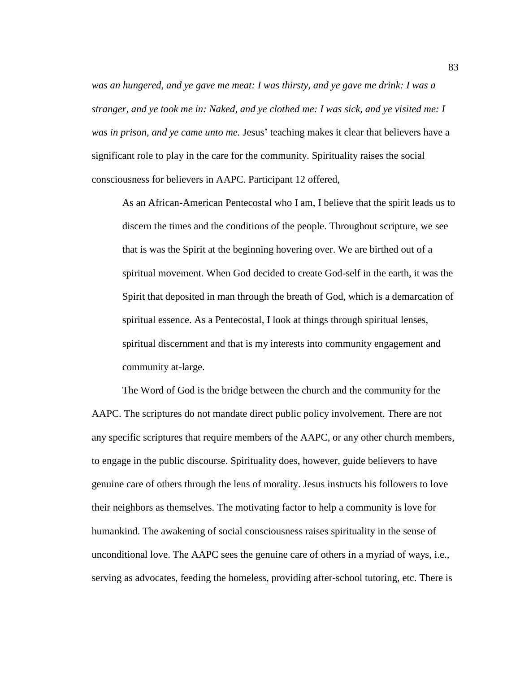was an hungered, and ye gave me meat: I was thirsty, and ye gave me drink: I was a *stranger, and ye took me in: Naked, and ye clothed me: I was sick, and ye visited me: I was in prison, and ye came unto me.* Jesus' teaching makes it clear that believers have a significant role to play in the care for the community. Spirituality raises the social consciousness for believers in AAPC. Participant 12 offered,

As an African-American Pentecostal who I am, I believe that the spirit leads us to discern the times and the conditions of the people. Throughout scripture, we see that is was the Spirit at the beginning hovering over. We are birthed out of a spiritual movement. When God decided to create God-self in the earth, it was the Spirit that deposited in man through the breath of God, which is a demarcation of spiritual essence. As a Pentecostal, I look at things through spiritual lenses, spiritual discernment and that is my interests into community engagement and community at-large.

The Word of God is the bridge between the church and the community for the AAPC. The scriptures do not mandate direct public policy involvement. There are not any specific scriptures that require members of the AAPC, or any other church members, to engage in the public discourse. Spirituality does, however, guide believers to have genuine care of others through the lens of morality. Jesus instructs his followers to love their neighbors as themselves. The motivating factor to help a community is love for humankind. The awakening of social consciousness raises spirituality in the sense of unconditional love. The AAPC sees the genuine care of others in a myriad of ways, i.e., serving as advocates, feeding the homeless, providing after-school tutoring, etc. There is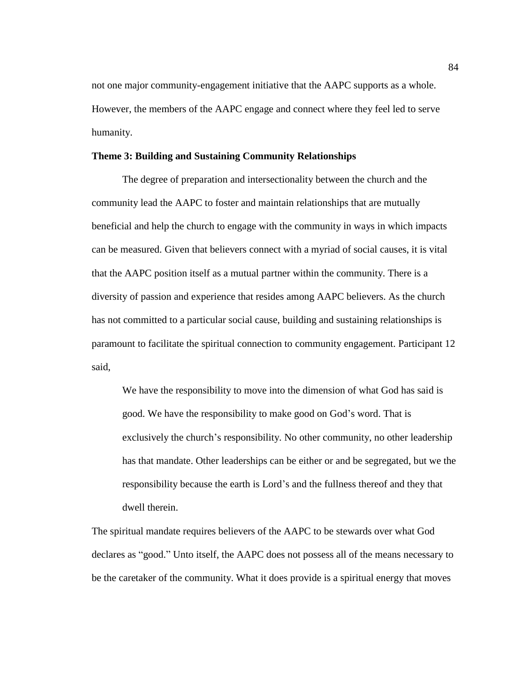not one major community-engagement initiative that the AAPC supports as a whole. However, the members of the AAPC engage and connect where they feel led to serve humanity.

### **Theme 3: Building and Sustaining Community Relationships**

The degree of preparation and intersectionality between the church and the community lead the AAPC to foster and maintain relationships that are mutually beneficial and help the church to engage with the community in ways in which impacts can be measured. Given that believers connect with a myriad of social causes, it is vital that the AAPC position itself as a mutual partner within the community. There is a diversity of passion and experience that resides among AAPC believers. As the church has not committed to a particular social cause, building and sustaining relationships is paramount to facilitate the spiritual connection to community engagement. Participant 12 said,

We have the responsibility to move into the dimension of what God has said is good. We have the responsibility to make good on God's word. That is exclusively the church's responsibility. No other community, no other leadership has that mandate. Other leaderships can be either or and be segregated, but we the responsibility because the earth is Lord's and the fullness thereof and they that dwell therein.

The spiritual mandate requires believers of the AAPC to be stewards over what God declares as "good." Unto itself, the AAPC does not possess all of the means necessary to be the caretaker of the community. What it does provide is a spiritual energy that moves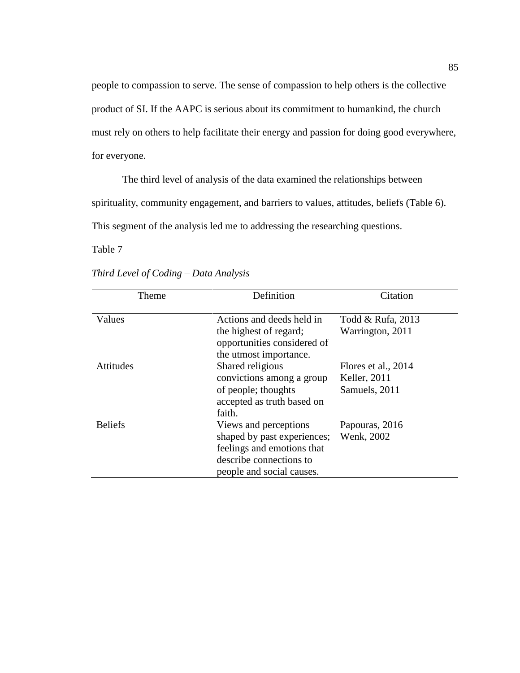people to compassion to serve. The sense of compassion to help others is the collective product of SI. If the AAPC is serious about its commitment to humankind, the church must rely on others to help facilitate their energy and passion for doing good everywhere, for everyone.

The third level of analysis of the data examined the relationships between spirituality, community engagement, and barriers to values, attitudes, beliefs (Table 6). This segment of the analysis led me to addressing the researching questions.

Table 7

| Theme          | Definition                                                                                                                                 | Citation                                             |
|----------------|--------------------------------------------------------------------------------------------------------------------------------------------|------------------------------------------------------|
| Values         | Actions and deeds held in<br>the highest of regard;<br>opportunities considered of<br>the utmost importance.                               | Todd & Rufa, 2013<br>Warrington, 2011                |
| Attitudes      | Shared religious<br>convictions among a group<br>of people; thoughts<br>accepted as truth based on<br>faith.                               | Flores et al., 2014<br>Keller, 2011<br>Samuels, 2011 |
| <b>Beliefs</b> | Views and perceptions<br>shaped by past experiences;<br>feelings and emotions that<br>describe connections to<br>people and social causes. | Papouras, 2016<br>Wenk, 2002                         |

*Third Level of Coding – Data Analysis*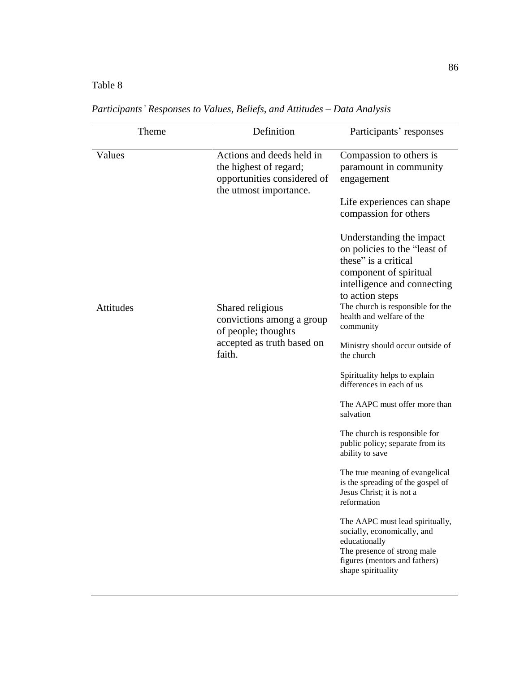# Table 8

| Theme     | Definition                                                                                                   | Participants' responses                                                                                                                                                                                                                     |
|-----------|--------------------------------------------------------------------------------------------------------------|---------------------------------------------------------------------------------------------------------------------------------------------------------------------------------------------------------------------------------------------|
| Values    | Actions and deeds held in<br>the highest of regard;<br>opportunities considered of<br>the utmost importance. | Compassion to others is<br>paramount in community<br>engagement<br>Life experiences can shape<br>compassion for others                                                                                                                      |
| Attitudes | Shared religious<br>convictions among a group<br>of people; thoughts                                         | Understanding the impact<br>on policies to the "least of<br>these" is a critical<br>component of spiritual<br>intelligence and connecting<br>to action steps<br>The church is responsible for the<br>health and welfare of the<br>community |
|           | accepted as truth based on<br>faith.                                                                         | Ministry should occur outside of<br>the church                                                                                                                                                                                              |
|           |                                                                                                              | Spirituality helps to explain<br>differences in each of us                                                                                                                                                                                  |
|           |                                                                                                              | The AAPC must offer more than<br>salvation                                                                                                                                                                                                  |
|           |                                                                                                              | The church is responsible for<br>public policy; separate from its<br>ability to save                                                                                                                                                        |
|           |                                                                                                              | The true meaning of evangelical<br>is the spreading of the gospel of<br>Jesus Christ; it is not a<br>reformation                                                                                                                            |
|           |                                                                                                              | The AAPC must lead spiritually,<br>socially, economically, and<br>educationally<br>The presence of strong male<br>figures (mentors and fathers)<br>shape spirituality                                                                       |

*Participants' Responses to Values, Beliefs, and Attitudes – Data Analysis*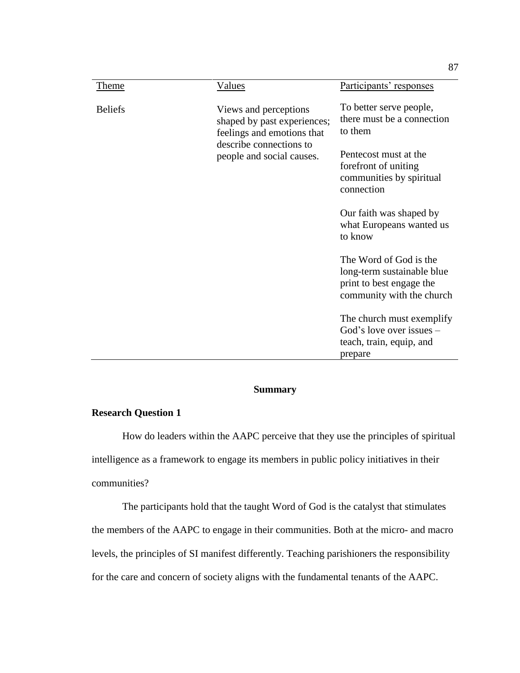| Theme          | Values                                                                                                                                     | Participants' responses                                                                                       |
|----------------|--------------------------------------------------------------------------------------------------------------------------------------------|---------------------------------------------------------------------------------------------------------------|
| <b>Beliefs</b> | Views and perceptions<br>shaped by past experiences;<br>feelings and emotions that<br>describe connections to<br>people and social causes. | To better serve people,<br>there must be a connection<br>to them                                              |
|                |                                                                                                                                            | Pentecost must at the<br>forefront of uniting<br>communities by spiritual<br>connection                       |
|                |                                                                                                                                            | Our faith was shaped by<br>what Europeans wanted us<br>to know                                                |
|                |                                                                                                                                            | The Word of God is the<br>long-term sustainable blue<br>print to best engage the<br>community with the church |
|                |                                                                                                                                            | The church must exemplify<br>God's love over issues $-$<br>teach, train, equip, and<br>prepare                |

# **Summary**

# **Research Question 1**

How do leaders within the AAPC perceive that they use the principles of spiritual intelligence as a framework to engage its members in public policy initiatives in their communities?

The participants hold that the taught Word of God is the catalyst that stimulates the members of the AAPC to engage in their communities. Both at the micro- and macro levels, the principles of SI manifest differently. Teaching parishioners the responsibility for the care and concern of society aligns with the fundamental tenants of the AAPC.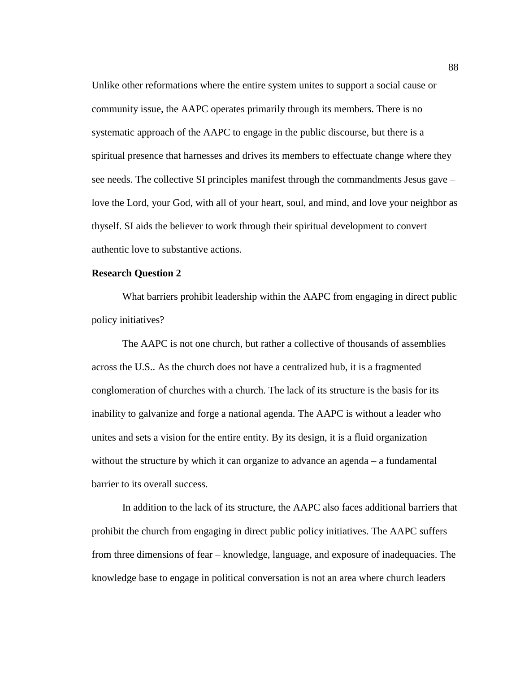Unlike other reformations where the entire system unites to support a social cause or community issue, the AAPC operates primarily through its members. There is no systematic approach of the AAPC to engage in the public discourse, but there is a spiritual presence that harnesses and drives its members to effectuate change where they see needs. The collective SI principles manifest through the commandments Jesus gave – love the Lord, your God, with all of your heart, soul, and mind, and love your neighbor as thyself. SI aids the believer to work through their spiritual development to convert authentic love to substantive actions.

### **Research Question 2**

What barriers prohibit leadership within the AAPC from engaging in direct public policy initiatives?

The AAPC is not one church, but rather a collective of thousands of assemblies across the U.S.. As the church does not have a centralized hub, it is a fragmented conglomeration of churches with a church. The lack of its structure is the basis for its inability to galvanize and forge a national agenda. The AAPC is without a leader who unites and sets a vision for the entire entity. By its design, it is a fluid organization without the structure by which it can organize to advance an agenda – a fundamental barrier to its overall success.

In addition to the lack of its structure, the AAPC also faces additional barriers that prohibit the church from engaging in direct public policy initiatives. The AAPC suffers from three dimensions of fear – knowledge, language, and exposure of inadequacies. The knowledge base to engage in political conversation is not an area where church leaders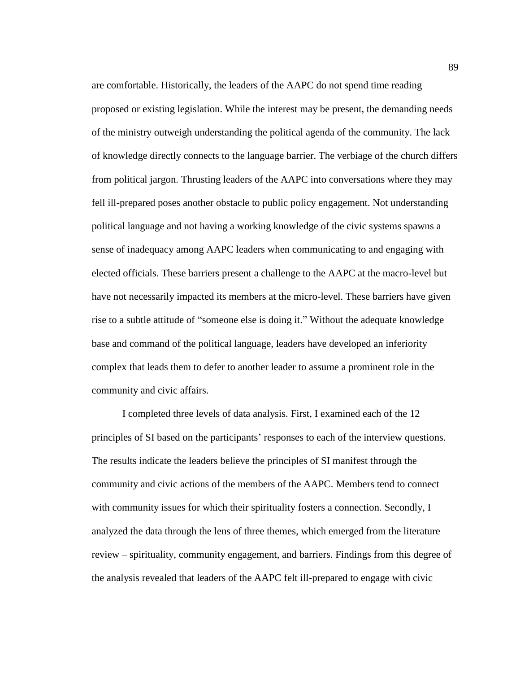are comfortable. Historically, the leaders of the AAPC do not spend time reading proposed or existing legislation. While the interest may be present, the demanding needs of the ministry outweigh understanding the political agenda of the community. The lack of knowledge directly connects to the language barrier. The verbiage of the church differs from political jargon. Thrusting leaders of the AAPC into conversations where they may fell ill-prepared poses another obstacle to public policy engagement. Not understanding political language and not having a working knowledge of the civic systems spawns a sense of inadequacy among AAPC leaders when communicating to and engaging with elected officials. These barriers present a challenge to the AAPC at the macro-level but have not necessarily impacted its members at the micro-level. These barriers have given rise to a subtle attitude of "someone else is doing it." Without the adequate knowledge base and command of the political language, leaders have developed an inferiority complex that leads them to defer to another leader to assume a prominent role in the community and civic affairs.

I completed three levels of data analysis. First, I examined each of the 12 principles of SI based on the participants' responses to each of the interview questions. The results indicate the leaders believe the principles of SI manifest through the community and civic actions of the members of the AAPC. Members tend to connect with community issues for which their spirituality fosters a connection. Secondly, I analyzed the data through the lens of three themes, which emerged from the literature review – spirituality, community engagement, and barriers. Findings from this degree of the analysis revealed that leaders of the AAPC felt ill-prepared to engage with civic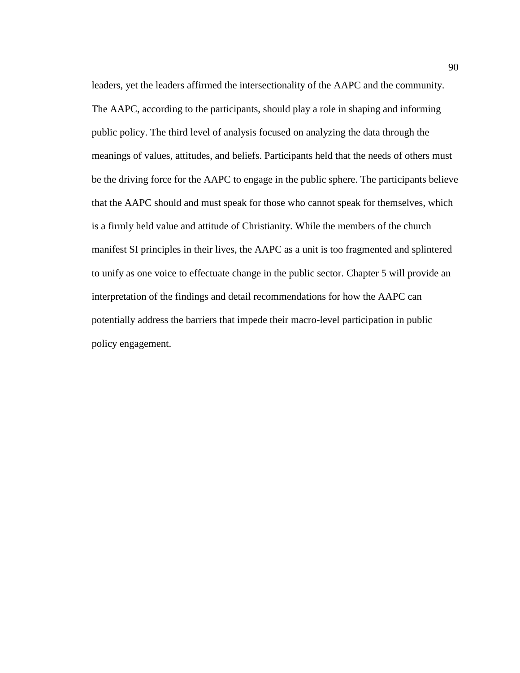leaders, yet the leaders affirmed the intersectionality of the AAPC and the community. The AAPC, according to the participants, should play a role in shaping and informing public policy. The third level of analysis focused on analyzing the data through the meanings of values, attitudes, and beliefs. Participants held that the needs of others must be the driving force for the AAPC to engage in the public sphere. The participants believe that the AAPC should and must speak for those who cannot speak for themselves, which is a firmly held value and attitude of Christianity. While the members of the church manifest SI principles in their lives, the AAPC as a unit is too fragmented and splintered to unify as one voice to effectuate change in the public sector. Chapter 5 will provide an interpretation of the findings and detail recommendations for how the AAPC can potentially address the barriers that impede their macro-level participation in public policy engagement.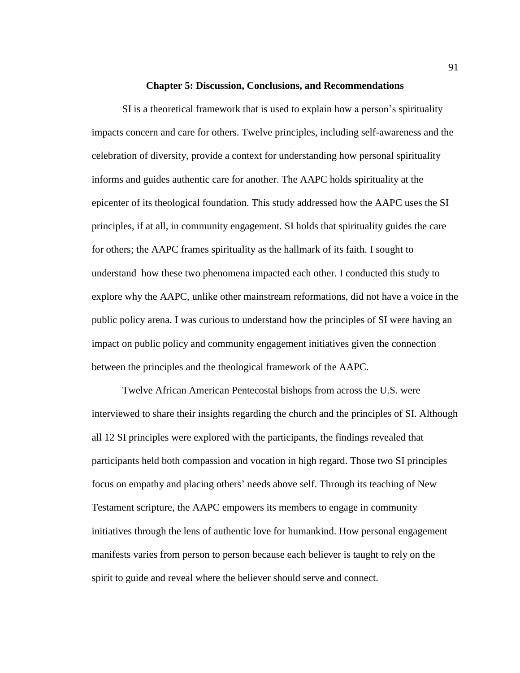#### **Chapter 5: Discussion, Conclusions, and Recommendations**

SI is a theoretical framework that is used to explain how a person's spirituality impacts concern and care for others. Twelve principles, including self-awareness and the celebration of diversity, provide a context for understanding how personal spirituality informs and guides authentic care for another. The AAPC holds spirituality at the epicenter of its theological foundation. This study addressed how the AAPC uses the SI principles, if at all, in community engagement. SI holds that spirituality guides the care for others; the AAPC frames spirituality as the hallmark of its faith. I sought to understand how these two phenomena impacted each other. I conducted this study to explore why the AAPC, unlike other mainstream reformations, did not have a voice in the public policy arena. I was curious to understand how the principles of SI were having an impact on public policy and community engagement initiatives given the connection between the principles and the theological framework of the AAPC.

Twelve African American Pentecostal bishops from across the U.S. were interviewed to share their insights regarding the church and the principles of SI. Although all 12 SI principles were explored with the participants, the findings revealed that participants held both compassion and vocation in high regard. Those two SI principles focus on empathy and placing others' needs above self. Through its teaching of New Testament scripture, the AAPC empowers its members to engage in community initiatives through the lens of authentic love for humankind. How personal engagement manifests varies from person to person because each believer is taught to rely on the spirit to guide and reveal where the believer should serve and connect.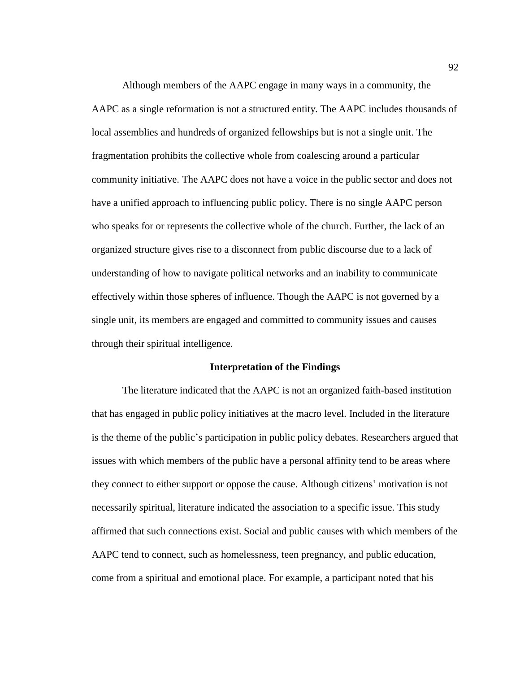Although members of the AAPC engage in many ways in a community, the AAPC as a single reformation is not a structured entity. The AAPC includes thousands of local assemblies and hundreds of organized fellowships but is not a single unit. The fragmentation prohibits the collective whole from coalescing around a particular community initiative. The AAPC does not have a voice in the public sector and does not have a unified approach to influencing public policy. There is no single AAPC person who speaks for or represents the collective whole of the church. Further, the lack of an organized structure gives rise to a disconnect from public discourse due to a lack of understanding of how to navigate political networks and an inability to communicate effectively within those spheres of influence. Though the AAPC is not governed by a single unit, its members are engaged and committed to community issues and causes through their spiritual intelligence.

# **Interpretation of the Findings**

The literature indicated that the AAPC is not an organized faith-based institution that has engaged in public policy initiatives at the macro level. Included in the literature is the theme of the public's participation in public policy debates. Researchers argued that issues with which members of the public have a personal affinity tend to be areas where they connect to either support or oppose the cause. Although citizens' motivation is not necessarily spiritual, literature indicated the association to a specific issue. This study affirmed that such connections exist. Social and public causes with which members of the AAPC tend to connect, such as homelessness, teen pregnancy, and public education, come from a spiritual and emotional place. For example, a participant noted that his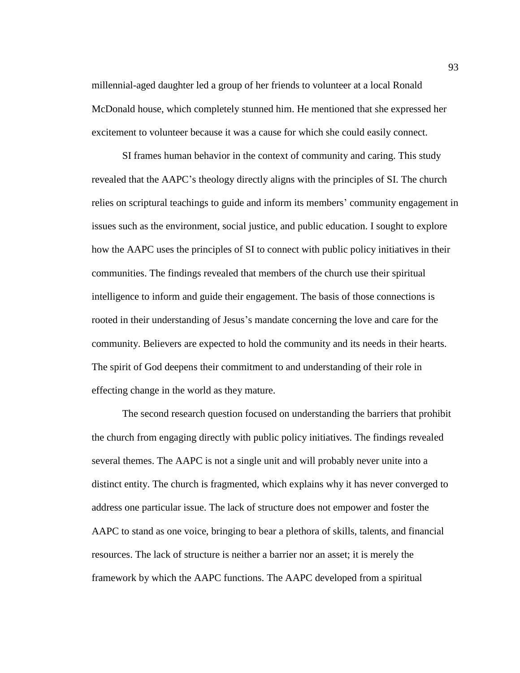millennial-aged daughter led a group of her friends to volunteer at a local Ronald McDonald house, which completely stunned him. He mentioned that she expressed her excitement to volunteer because it was a cause for which she could easily connect.

SI frames human behavior in the context of community and caring. This study revealed that the AAPC's theology directly aligns with the principles of SI. The church relies on scriptural teachings to guide and inform its members' community engagement in issues such as the environment, social justice, and public education. I sought to explore how the AAPC uses the principles of SI to connect with public policy initiatives in their communities. The findings revealed that members of the church use their spiritual intelligence to inform and guide their engagement. The basis of those connections is rooted in their understanding of Jesus's mandate concerning the love and care for the community. Believers are expected to hold the community and its needs in their hearts. The spirit of God deepens their commitment to and understanding of their role in effecting change in the world as they mature.

The second research question focused on understanding the barriers that prohibit the church from engaging directly with public policy initiatives. The findings revealed several themes. The AAPC is not a single unit and will probably never unite into a distinct entity. The church is fragmented, which explains why it has never converged to address one particular issue. The lack of structure does not empower and foster the AAPC to stand as one voice, bringing to bear a plethora of skills, talents, and financial resources. The lack of structure is neither a barrier nor an asset; it is merely the framework by which the AAPC functions. The AAPC developed from a spiritual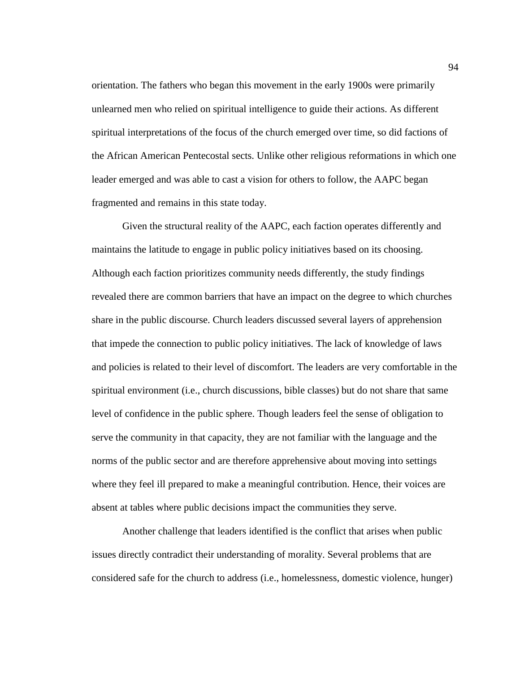orientation. The fathers who began this movement in the early 1900s were primarily unlearned men who relied on spiritual intelligence to guide their actions. As different spiritual interpretations of the focus of the church emerged over time, so did factions of the African American Pentecostal sects. Unlike other religious reformations in which one leader emerged and was able to cast a vision for others to follow, the AAPC began fragmented and remains in this state today.

Given the structural reality of the AAPC, each faction operates differently and maintains the latitude to engage in public policy initiatives based on its choosing. Although each faction prioritizes community needs differently, the study findings revealed there are common barriers that have an impact on the degree to which churches share in the public discourse. Church leaders discussed several layers of apprehension that impede the connection to public policy initiatives. The lack of knowledge of laws and policies is related to their level of discomfort. The leaders are very comfortable in the spiritual environment (i.e., church discussions, bible classes) but do not share that same level of confidence in the public sphere. Though leaders feel the sense of obligation to serve the community in that capacity, they are not familiar with the language and the norms of the public sector and are therefore apprehensive about moving into settings where they feel ill prepared to make a meaningful contribution. Hence, their voices are absent at tables where public decisions impact the communities they serve.

Another challenge that leaders identified is the conflict that arises when public issues directly contradict their understanding of morality. Several problems that are considered safe for the church to address (i.e., homelessness, domestic violence, hunger)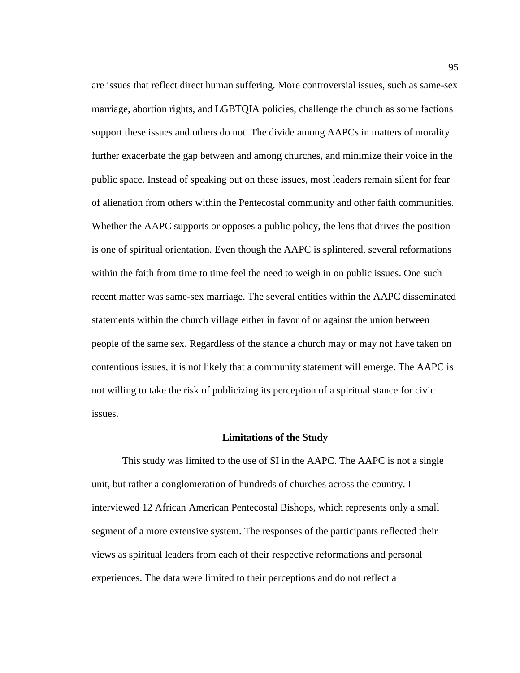are issues that reflect direct human suffering. More controversial issues, such as same-sex marriage, abortion rights, and LGBTQIA policies, challenge the church as some factions support these issues and others do not. The divide among AAPCs in matters of morality further exacerbate the gap between and among churches, and minimize their voice in the public space. Instead of speaking out on these issues, most leaders remain silent for fear of alienation from others within the Pentecostal community and other faith communities. Whether the AAPC supports or opposes a public policy, the lens that drives the position is one of spiritual orientation. Even though the AAPC is splintered, several reformations within the faith from time to time feel the need to weigh in on public issues. One such recent matter was same-sex marriage. The several entities within the AAPC disseminated statements within the church village either in favor of or against the union between people of the same sex. Regardless of the stance a church may or may not have taken on contentious issues, it is not likely that a community statement will emerge. The AAPC is not willing to take the risk of publicizing its perception of a spiritual stance for civic issues.

#### **Limitations of the Study**

This study was limited to the use of SI in the AAPC. The AAPC is not a single unit, but rather a conglomeration of hundreds of churches across the country. I interviewed 12 African American Pentecostal Bishops, which represents only a small segment of a more extensive system. The responses of the participants reflected their views as spiritual leaders from each of their respective reformations and personal experiences. The data were limited to their perceptions and do not reflect a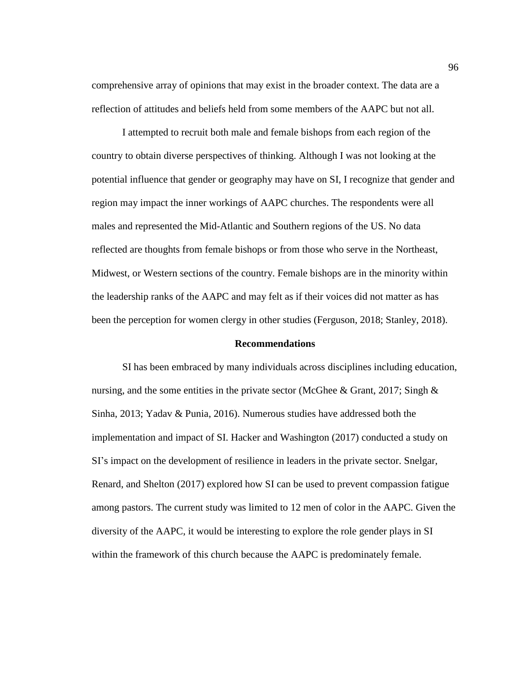comprehensive array of opinions that may exist in the broader context. The data are a reflection of attitudes and beliefs held from some members of the AAPC but not all.

I attempted to recruit both male and female bishops from each region of the country to obtain diverse perspectives of thinking. Although I was not looking at the potential influence that gender or geography may have on SI, I recognize that gender and region may impact the inner workings of AAPC churches. The respondents were all males and represented the Mid-Atlantic and Southern regions of the US. No data reflected are thoughts from female bishops or from those who serve in the Northeast, Midwest, or Western sections of the country. Female bishops are in the minority within the leadership ranks of the AAPC and may felt as if their voices did not matter as has been the perception for women clergy in other studies (Ferguson, 2018; Stanley, 2018).

#### **Recommendations**

SI has been embraced by many individuals across disciplines including education, nursing, and the some entities in the private sector (McGhee & Grant, 2017; Singh  $\&$ Sinha, 2013; Yadav & Punia, 2016). Numerous studies have addressed both the implementation and impact of SI. Hacker and Washington (2017) conducted a study on SI's impact on the development of resilience in leaders in the private sector. Snelgar, Renard, and Shelton (2017) explored how SI can be used to prevent compassion fatigue among pastors. The current study was limited to 12 men of color in the AAPC. Given the diversity of the AAPC, it would be interesting to explore the role gender plays in SI within the framework of this church because the AAPC is predominately female.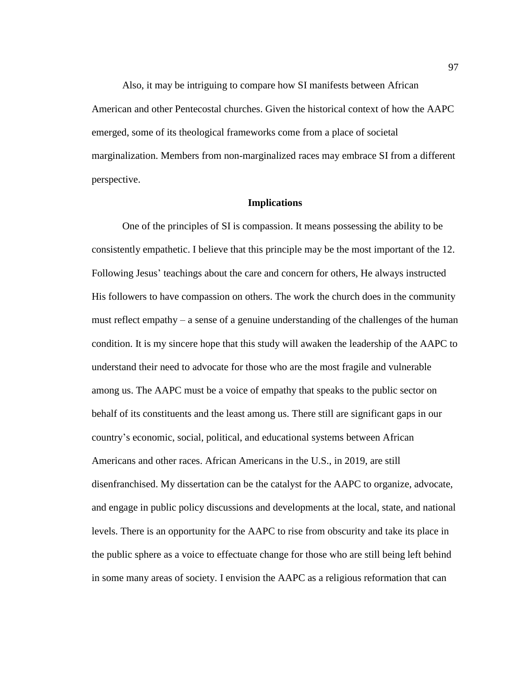Also, it may be intriguing to compare how SI manifests between African American and other Pentecostal churches. Given the historical context of how the AAPC emerged, some of its theological frameworks come from a place of societal marginalization. Members from non-marginalized races may embrace SI from a different perspective.

## **Implications**

One of the principles of SI is compassion. It means possessing the ability to be consistently empathetic. I believe that this principle may be the most important of the 12. Following Jesus' teachings about the care and concern for others, He always instructed His followers to have compassion on others. The work the church does in the community must reflect empathy – a sense of a genuine understanding of the challenges of the human condition. It is my sincere hope that this study will awaken the leadership of the AAPC to understand their need to advocate for those who are the most fragile and vulnerable among us. The AAPC must be a voice of empathy that speaks to the public sector on behalf of its constituents and the least among us. There still are significant gaps in our country's economic, social, political, and educational systems between African Americans and other races. African Americans in the U.S., in 2019, are still disenfranchised. My dissertation can be the catalyst for the AAPC to organize, advocate, and engage in public policy discussions and developments at the local, state, and national levels. There is an opportunity for the AAPC to rise from obscurity and take its place in the public sphere as a voice to effectuate change for those who are still being left behind in some many areas of society. I envision the AAPC as a religious reformation that can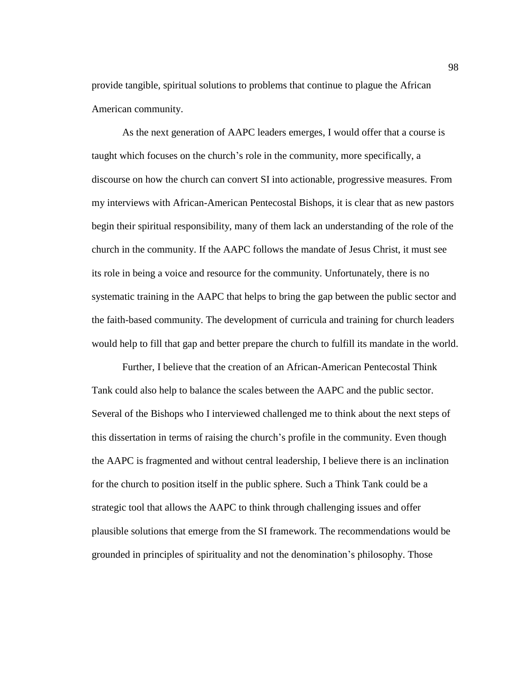provide tangible, spiritual solutions to problems that continue to plague the African American community.

As the next generation of AAPC leaders emerges, I would offer that a course is taught which focuses on the church's role in the community, more specifically, a discourse on how the church can convert SI into actionable, progressive measures. From my interviews with African-American Pentecostal Bishops, it is clear that as new pastors begin their spiritual responsibility, many of them lack an understanding of the role of the church in the community. If the AAPC follows the mandate of Jesus Christ, it must see its role in being a voice and resource for the community. Unfortunately, there is no systematic training in the AAPC that helps to bring the gap between the public sector and the faith-based community. The development of curricula and training for church leaders would help to fill that gap and better prepare the church to fulfill its mandate in the world.

Further, I believe that the creation of an African-American Pentecostal Think Tank could also help to balance the scales between the AAPC and the public sector. Several of the Bishops who I interviewed challenged me to think about the next steps of this dissertation in terms of raising the church's profile in the community. Even though the AAPC is fragmented and without central leadership, I believe there is an inclination for the church to position itself in the public sphere. Such a Think Tank could be a strategic tool that allows the AAPC to think through challenging issues and offer plausible solutions that emerge from the SI framework. The recommendations would be grounded in principles of spirituality and not the denomination's philosophy. Those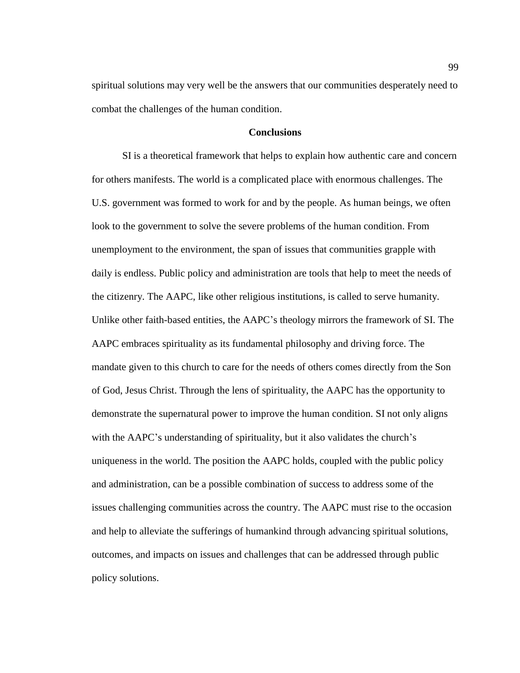spiritual solutions may very well be the answers that our communities desperately need to combat the challenges of the human condition.

## **Conclusions**

SI is a theoretical framework that helps to explain how authentic care and concern for others manifests. The world is a complicated place with enormous challenges. The U.S. government was formed to work for and by the people. As human beings, we often look to the government to solve the severe problems of the human condition. From unemployment to the environment, the span of issues that communities grapple with daily is endless. Public policy and administration are tools that help to meet the needs of the citizenry. The AAPC, like other religious institutions, is called to serve humanity. Unlike other faith-based entities, the AAPC's theology mirrors the framework of SI. The AAPC embraces spirituality as its fundamental philosophy and driving force. The mandate given to this church to care for the needs of others comes directly from the Son of God, Jesus Christ. Through the lens of spirituality, the AAPC has the opportunity to demonstrate the supernatural power to improve the human condition. SI not only aligns with the AAPC's understanding of spirituality, but it also validates the church's uniqueness in the world. The position the AAPC holds, coupled with the public policy and administration, can be a possible combination of success to address some of the issues challenging communities across the country. The AAPC must rise to the occasion and help to alleviate the sufferings of humankind through advancing spiritual solutions, outcomes, and impacts on issues and challenges that can be addressed through public policy solutions.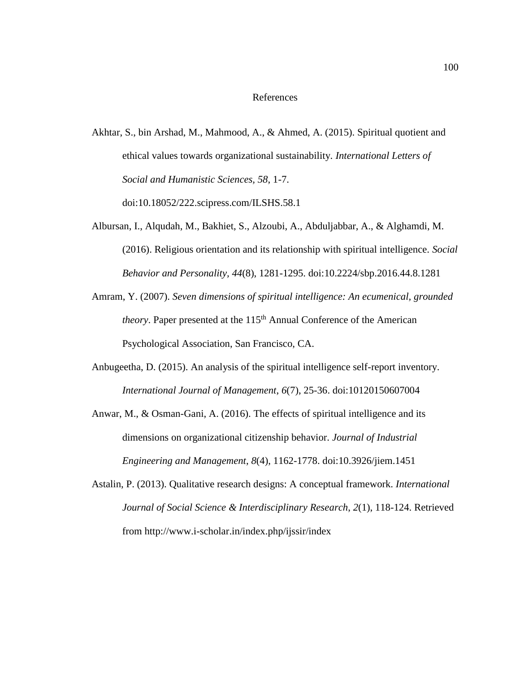## References

- Akhtar, S., bin Arshad, M., Mahmood, A., & Ahmed, A. (2015). Spiritual quotient and ethical values towards organizational sustainability. *International Letters of Social and Humanistic Sciences, 58*, 1-7. doi:10.18052/222.scipress.com/ILSHS.58.1
- Albursan, I., Alqudah, M., Bakhiet, S., Alzoubi, A., Abduljabbar, A., & Alghamdi, M. (2016). Religious orientation and its relationship with spiritual intelligence. *Social Behavior and Personality, 44*(8), 1281-1295. doi:10.2224/sbp.2016.44.8.1281
- Amram, Y. (2007). *Seven dimensions of spiritual intelligence: An ecumenical, grounded theory*. Paper presented at the 115<sup>th</sup> Annual Conference of the American Psychological Association, San Francisco, CA.
- Anbugeetha, D. (2015). An analysis of the spiritual intelligence self-report inventory. *International Journal of Management*, *6*(7), 25-36. doi:10120150607004
- Anwar, M., & Osman-Gani, A. (2016). The effects of spiritual intelligence and its dimensions on organizational citizenship behavior. *Journal of Industrial Engineering and Management*, *8*(4), 1162-1778. doi:10.3926/jiem.1451
- Astalin, P. (2013). Qualitative research designs: A conceptual framework. *International Journal of Social Science & Interdisciplinary Research*, *2*(1), 118-124. Retrieved from http://www.i-scholar.in/index.php/ijssir/index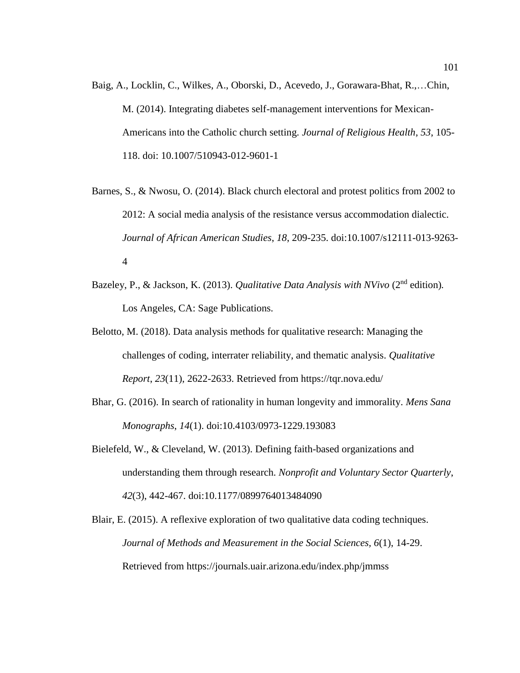- Baig, A., Locklin, C., Wilkes, A., Oborski, D., Acevedo, J., Gorawara-Bhat, R.,…Chin, M. (2014). Integrating diabetes self-management interventions for Mexican-Americans into the Catholic church setting. *Journal of Religious Health*, *53*, 105- 118. doi: 10.1007/510943-012-9601-1
- Barnes, S., & Nwosu, O. (2014). Black church electoral and protest politics from 2002 to 2012: A social media analysis of the resistance versus accommodation dialectic. *Journal of African American Studies*, *18*, 209-235. doi:10.1007/s12111-013-9263- 4
- Bazeley, P., & Jackson, K. (2013). *Qualitative Data Analysis with NVivo* (2<sup>nd</sup> edition). Los Angeles, CA: Sage Publications.
- Belotto, M. (2018). Data analysis methods for qualitative research: Managing the challenges of coding, interrater reliability, and thematic analysis. *Qualitative Report*, *23*(11), 2622-2633. Retrieved from https://tqr.nova.edu/
- Bhar, G. (2016). In search of rationality in human longevity and immorality. *Mens Sana Monographs*, *14*(1). doi:10.4103/0973-1229.193083
- Bielefeld, W., & Cleveland, W. (2013). Defining faith-based organizations and understanding them through research. *Nonprofit and Voluntary Sector Quarterly*, *42*(3), 442-467. doi:10.1177/0899764013484090
- Blair, E. (2015). A reflexive exploration of two qualitative data coding techniques. *Journal of Methods and Measurement in the Social Sciences, 6*(1), 14-29. Retrieved from https://journals.uair.arizona.edu/index.php/jmmss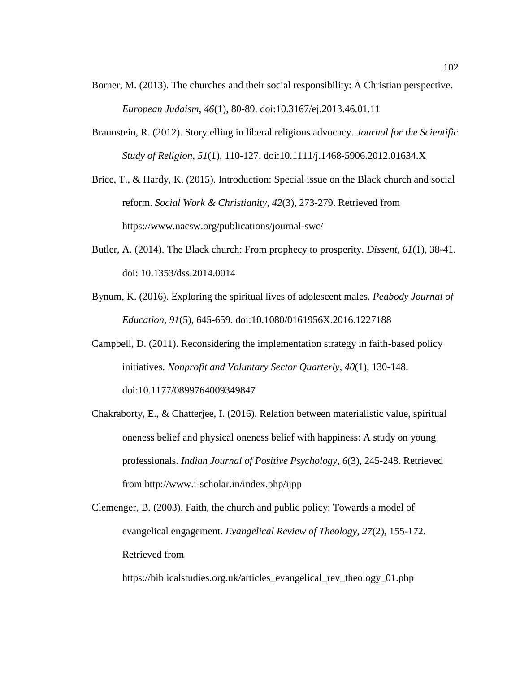- Borner, M. (2013). The churches and their social responsibility: A Christian perspective. *European Judaism*, *46*(1), 80-89. doi:10.3167/ej.2013.46.01.11
- Braunstein, R. (2012). Storytelling in liberal religious advocacy. *Journal for the Scientific Study of Religion, 51*(1), 110-127. doi:10.1111/j.1468-5906.2012.01634.X
- Brice, T., & Hardy, K. (2015). Introduction: Special issue on the Black church and social reform. *Social Work & Christianity*, *42*(3), 273-279. Retrieved from https://www.nacsw.org/publications/journal-swc/
- Butler, A. (2014). The Black church: From prophecy to prosperity. *Dissent*, *61*(1), 38-41. doi: 10.1353/dss.2014.0014
- Bynum, K. (2016). Exploring the spiritual lives of adolescent males. *Peabody Journal of Education*, *91*(5), 645-659. doi:10.1080/0161956X.2016.1227188
- Campbell, D. (2011). Reconsidering the implementation strategy in faith-based policy initiatives. *Nonprofit and Voluntary Sector Quarterly*, *40*(1), 130-148. doi:10.1177/0899764009349847
- Chakraborty, E., & Chatterjee, I. (2016). Relation between materialistic value, spiritual oneness belief and physical oneness belief with happiness: A study on young professionals. *Indian Journal of Positive Psychology*, *6*(3), 245-248. Retrieved from http://www.i-scholar.in/index.php/ijpp
- Clemenger, B. (2003). Faith, the church and public policy: Towards a model of evangelical engagement. *Evangelical Review of Theology, 27*(2), 155-172. Retrieved from

https://biblicalstudies.org.uk/articles\_evangelical\_rev\_theology\_01.php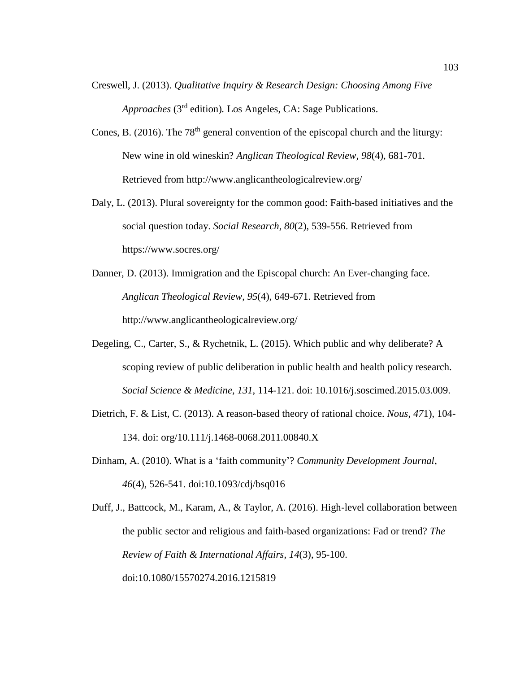- Creswell, J. (2013). *Qualitative Inquiry & Research Design: Choosing Among Five*  Approaches (3<sup>rd</sup> edition). Los Angeles, CA: Sage Publications.
- Cones, B. (2016). The  $78<sup>th</sup>$  general convention of the episcopal church and the liturgy: New wine in old wineskin? *Anglican Theological Review, 98*(4), 681-701. Retrieved from http://www.anglicantheologicalreview.org/
- Daly, L. (2013). Plural sovereignty for the common good: Faith-based initiatives and the social question today. *Social Research, 80*(2), 539-556. Retrieved from https://www.socres.org/
- Danner, D. (2013). Immigration and the Episcopal church: An Ever-changing face. *Anglican Theological Review*, *95*(4), 649-671. Retrieved from http://www.anglicantheologicalreview.org/
- Degeling, C., Carter, S., & Rychetnik, L. (2015). Which public and why deliberate? A scoping review of public deliberation in public health and health policy research. *Social Science & Medicine, 131*, 114-121. doi: 10.1016/j.soscimed.2015.03.009.
- Dietrich, F. & List, C. (2013). A reason-based theory of rational choice. *Nous*, *47*1), 104- 134. doi: org/10.111/j.1468-0068.2011.00840.X
- Dinham, A. (2010). What is a 'faith community'? *Community Development Journal*, *46*(4), 526-541. doi:10.1093/cdj/bsq016

Duff, J., Battcock, M., Karam, A., & Taylor, A. (2016). High-level collaboration between the public sector and religious and faith-based organizations: Fad or trend? *The Review of Faith & International Affairs*, *14*(3), 95-100. doi:10.1080/15570274.2016.1215819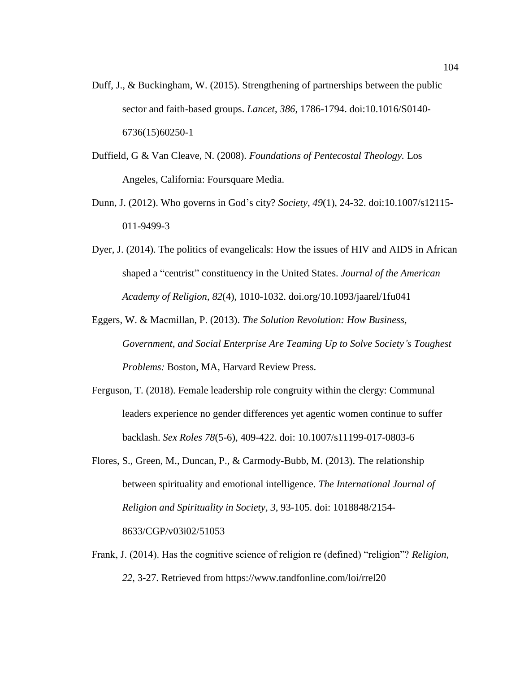- Duff, J., & Buckingham, W. (2015). Strengthening of partnerships between the public sector and faith-based groups. *Lancet*, *386*, 1786-1794. doi:10.1016/S0140- 6736(15)60250-1
- Duffield, G & Van Cleave, N. (2008). *Foundations of Pentecostal Theology.* Los Angeles, California: Foursquare Media.
- Dunn, J. (2012). Who governs in God's city? *Society*, *49*(1), 24-32. doi:10.1007/s12115- 011-9499-3
- Dyer, J. (2014). The politics of evangelicals: How the issues of HIV and AIDS in African shaped a "centrist" constituency in the United States. *Journal of the American Academy of Religion*, *82*(4), 1010-1032. doi.org/10.1093/jaarel/1fu041
- Eggers, W. & Macmillan, P. (2013). *The Solution Revolution: How Business, Government, and Social Enterprise Are Teaming Up to Solve Society's Toughest Problems:* Boston, MA, Harvard Review Press.
- Ferguson, T. (2018). Female leadership role congruity within the clergy: Communal leaders experience no gender differences yet agentic women continue to suffer backlash. *Sex Roles 78*(5-6), 409-422. doi: 10.1007/s11199-017-0803-6
- Flores, S., Green, M., Duncan, P., & Carmody-Bubb, M. (2013). The relationship between spirituality and emotional intelligence. *The International Journal of Religion and Spirituality in Society, 3*, 93-105. doi: 1018848/2154- 8633/CGP/v03i02/51053
- Frank, J. (2014). Has the cognitive science of religion re (defined) "religion"? *Religion*, *22*, 3-27. Retrieved from https://www.tandfonline.com/loi/rrel20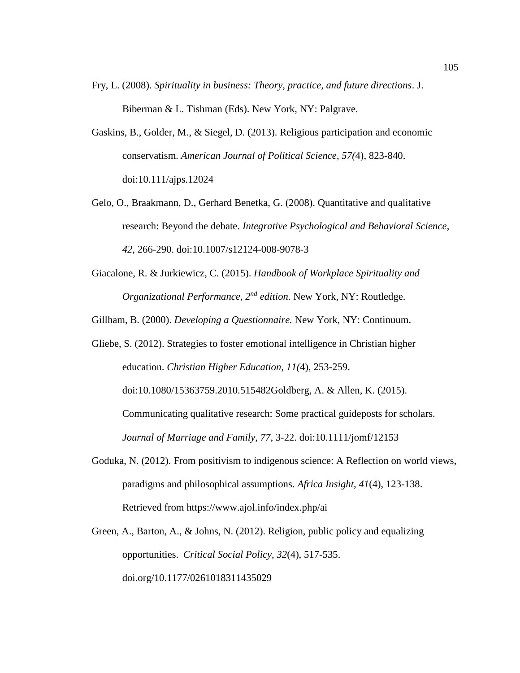- Fry, L. (2008). *Spirituality in business: Theory, practice, and future directions*. J. Biberman & L. Tishman (Eds). New York, NY: Palgrave.
- Gaskins, B., Golder, M., & Siegel, D. (2013). Religious participation and economic conservatism. *American Journal of Political Science*, *57(*4), 823-840. doi:10.111/ajps.12024
- Gelo, O., Braakmann, D., Gerhard Benetka, G. (2008). Quantitative and qualitative research: Beyond the debate. *Integrative Psychological and Behavioral Science*, *42*, 266-290. doi:10.1007/s12124-008-9078-3
- Giacalone, R. & Jurkiewicz, C. (2015). *Handbook of Workplace Spirituality and Organizational Performance, 2nd edition.* New York, NY: Routledge.
- Gillham, B. (2000). *Developing a Questionnaire.* New York, NY: Continuum.
- Gliebe, S. (2012). Strategies to foster emotional intelligence in Christian higher education. *Christian Higher Education*, *11(*4), 253-259.

doi:10.1080/15363759.2010.515482Goldberg, A. & Allen, K. (2015).

Communicating qualitative research: Some practical guideposts for scholars. *Journal of Marriage and Family*, *77*, 3-22. doi:10.1111/jomf/12153

- Goduka, N. (2012). From positivism to indigenous science: A Reflection on world views, paradigms and philosophical assumptions. *Africa Insight*, *41*(4), 123-138. Retrieved from https://www.ajol.info/index.php/ai
- Green, A., Barton, A., & Johns, N. (2012). Religion, public policy and equalizing opportunities. *Critical Social Policy*, *32*(4), 517-535. doi.org/10.1177/0261018311435029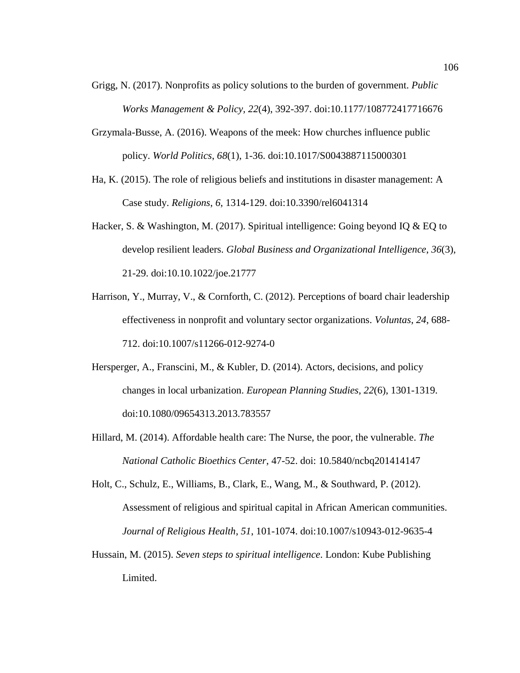- Grigg, N. (2017). Nonprofits as policy solutions to the burden of government. *Public Works Management & Policy, 22*(4), 392-397. doi:10.1177/108772417716676
- Grzymala-Busse, A. (2016). Weapons of the meek: How churches influence public policy. *World Politics*, *68*(1), 1-36. doi:10.1017/S0043887115000301
- Ha, K. (2015). The role of religious beliefs and institutions in disaster management: A Case study. *Religions*, *6*, 1314-129. doi:10.3390/rel6041314
- Hacker, S. & Washington, M. (2017). Spiritual intelligence: Going beyond IQ & EQ to develop resilient leaders. *Global Business and Organizational Intelligence*, *36*(3), 21-29. doi:10.10.1022/joe.21777
- Harrison, Y., Murray, V., & Cornforth, C. (2012). Perceptions of board chair leadership effectiveness in nonprofit and voluntary sector organizations. *Voluntas*, *24*, 688- 712. doi:10.1007/s11266-012-9274-0
- Hersperger, A., Franscini, M., & Kubler, D. (2014). Actors, decisions, and policy changes in local urbanization. *European Planning Studies*, *22*(6), 1301-1319. doi:10.1080/09654313.2013.783557
- Hillard, M. (2014). Affordable health care: The Nurse, the poor, the vulnerable. *The National Catholic Bioethics Center*, 47-52. doi: 10.5840/ncbq201414147
- Holt, C., Schulz, E., Williams, B., Clark, E., Wang, M., & Southward, P. (2012). Assessment of religious and spiritual capital in African American communities. *Journal of Religious Health*, *51*, 101-1074. doi:10.1007/s10943-012-9635-4
- Hussain, M. (2015). *Seven steps to spiritual intelligence*. London: Kube Publishing Limited.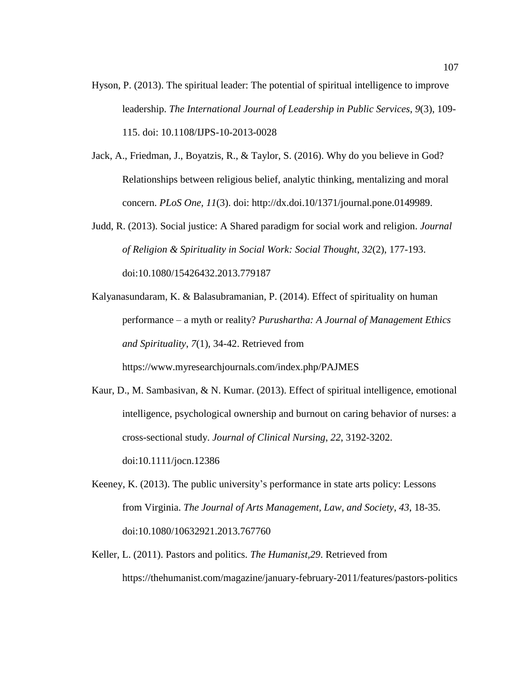- Hyson, P. (2013). The spiritual leader: The potential of spiritual intelligence to improve leadership. *The International Journal of Leadership in Public Services*, *9*(3), 109- 115. doi: 10.1108/IJPS-10-2013-0028
- Jack, A., Friedman, J., Boyatzis, R., & Taylor, S. (2016). Why do you believe in God? Relationships between religious belief, analytic thinking, mentalizing and moral concern. *PLoS One, 11*(3). doi: http://dx.doi.10/1371/journal.pone.0149989.
- Judd, R. (2013). Social justice: A Shared paradigm for social work and religion. *Journal of Religion & Spirituality in Social Work: Social Thought*, *32*(2), 177-193. doi:10.1080/15426432.2013.779187
- Kalyanasundaram, K. & Balasubramanian, P. (2014). Effect of spirituality on human performance – a myth or reality? *Purushartha: A Journal of Management Ethics and Spirituality*, *7*(1), 34-42. Retrieved from https://www.myresearchjournals.com/index.php/PAJMES
- Kaur, D., M. Sambasivan, & N. Kumar. (2013). Effect of spiritual intelligence, emotional intelligence, psychological ownership and burnout on caring behavior of nurses: a cross-sectional study. *Journal of Clinical Nursing*, *22*, 3192-3202. doi:10.1111/jocn.12386
- Keeney, K. (2013). The public university's performance in state arts policy: Lessons from Virginia. *The Journal of Arts Management, Law, and Society*, *43*, 18-35. doi:10.1080/10632921.2013.767760
- Keller, L. (2011). Pastors and politics. *The Humanist,29*. Retrieved from https://thehumanist.com/magazine/january-february-2011/features/pastors-politics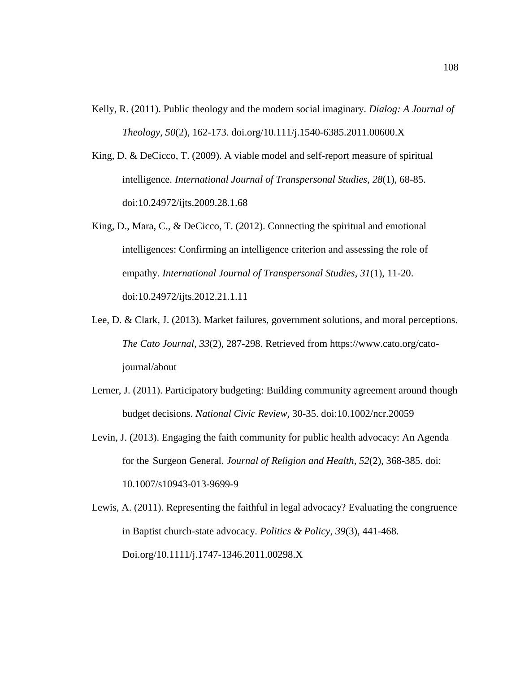- Kelly, R. (2011). Public theology and the modern social imaginary. *Dialog: A Journal of Theology, 50*(2), 162-173. doi.org/10.111/j.1540-6385.2011.00600.X
- King, D. & DeCicco, T. (2009). A viable model and self-report measure of spiritual intelligence. *International Journal of Transpersonal Studies*, *28*(1), 68-85. doi:10.24972/ijts.2009.28.1.68
- King, D., Mara, C., & DeCicco, T. (2012). Connecting the spiritual and emotional intelligences: Confirming an intelligence criterion and assessing the role of empathy. *International Journal of Transpersonal Studies*, *31*(1), 11-20. doi:10.24972/ijts.2012.21.1.11
- Lee, D. & Clark, J. (2013). Market failures, government solutions, and moral perceptions. *The Cato Journal*, *33*(2), 287-298. Retrieved from https://www.cato.org/catojournal/about
- Lerner, J. (2011). Participatory budgeting: Building community agreement around though budget decisions. *National Civic Review,* 30-35. doi:10.1002/ncr.20059
- Levin, J. (2013). Engaging the faith community for public health advocacy: An Agenda for the Surgeon General. *Journal of Religion and Health, 52*(2), 368-385. doi: 10.1007/s10943-013-9699-9
- Lewis, A. (2011). Representing the faithful in legal advocacy? Evaluating the congruence in Baptist church-state advocacy. *Politics & Policy*, *39*(3), 441-468. Doi.org/10.1111/j.1747-1346.2011.00298.X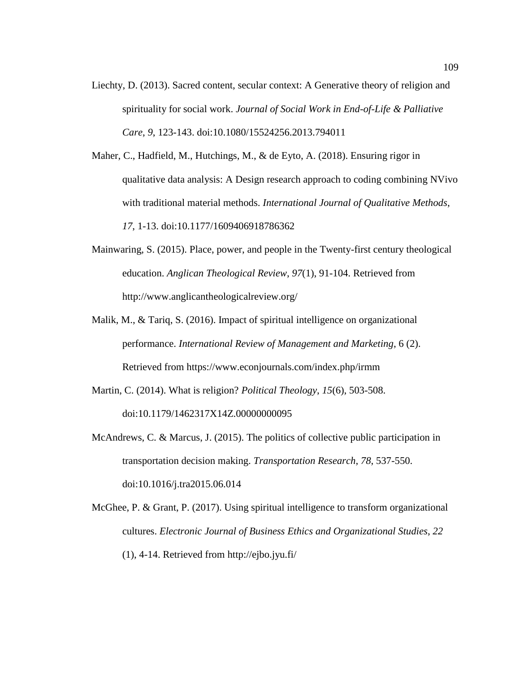Liechty, D. (2013). Sacred content, secular context: A Generative theory of religion and spirituality for social work. *Journal of Social Work in End-of-Life & Palliative Care*, *9*, 123-143. doi:10.1080/15524256.2013.794011

Maher, C., Hadfield, M., Hutchings, M., & de Eyto, A. (2018). Ensuring rigor in qualitative data analysis: A Design research approach to coding combining NVivo with traditional material methods. *International Journal of Qualitative Methods*, *17*, 1-13. doi:10.1177/1609406918786362

- Mainwaring, S. (2015). Place, power, and people in the Twenty-first century theological education. *Anglican Theological Review*, *97*(1), 91-104. Retrieved from http://www.anglicantheologicalreview.org/
- Malik, M., & Tariq, S. (2016). Impact of spiritual intelligence on organizational performance. *International Review of Management and Marketing*, 6 (2). Retrieved from https://www.econjournals.com/index.php/irmm

Martin, C. (2014). What is religion? *Political Theology*, *15*(6), 503-508. doi:10.1179/1462317X14Z.00000000095

McAndrews, C. & Marcus, J. (2015). The politics of collective public participation in transportation decision making. *Transportation Research*, *78*, 537-550. doi:10.1016/j.tra2015.06.014

McGhee, P. & Grant, P. (2017). Using spiritual intelligence to transform organizational cultures. *Electronic Journal of Business Ethics and Organizational Studies*, *22*  (1), 4-14. Retrieved from http://ejbo.jyu.fi/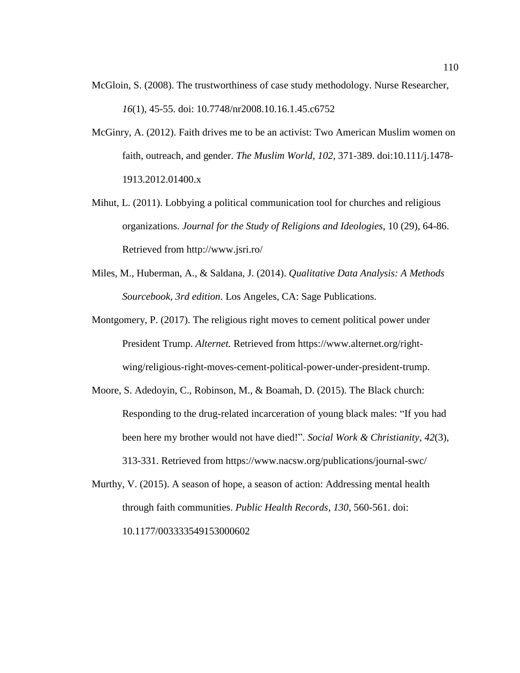- McGloin, S. (2008). The trustworthiness of case study methodology. Nurse Researcher, *16*(1), 45-55. doi: 10.7748/nr2008.10.16.1.45.c6752
- McGinry, A. (2012). Faith drives me to be an activist: Two American Muslim women on faith, outreach, and gender. *The Muslim World*, *102*, 371-389. doi:10.111/j.1478- 1913.2012.01400.x
- Mihut, L. (2011). Lobbying a political communication tool for churches and religious organizations. *Journal for the Study of Religions and Ideologies*, 10 (29), 64-86. Retrieved from http://www.jsri.ro/
- Miles, M., Huberman, A., & Saldana, J. (2014). *Qualitative Data Analysis: A Methods Sourcebook, 3rd edition*. Los Angeles, CA: Sage Publications.
- Montgomery, P. (2017). The religious right moves to cement political power under President Trump. *Alternet.* Retrieved from https://www.alternet.org/rightwing/religious-right-moves-cement-political-power-under-president-trump.
- Moore, S. Adedoyin, C., Robinson, M., & Boamah, D. (2015). The Black church: Responding to the drug-related incarceration of young black males: "If you had been here my brother would not have died!". *Social Work & Christianity*, *42*(3), 313-331. Retrieved from https://www.nacsw.org/publications/journal-swc/
- Murthy, V. (2015). A season of hope, a season of action: Addressing mental health through faith communities. *Public Health Records, 130*, 560-561. doi: 10.1177/003333549153000602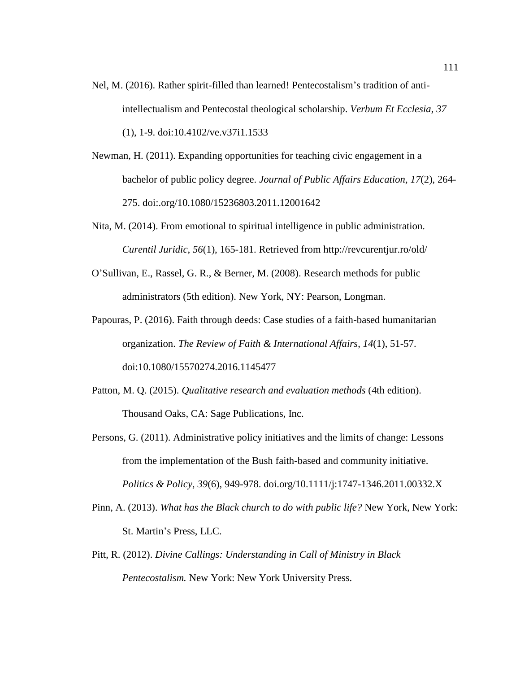- Nel, M. (2016). Rather spirit-filled than learned! Pentecostalism's tradition of antiintellectualism and Pentecostal theological scholarship. *Verbum Et Ecclesia, 37*
	- (1), 1-9. doi:10.4102/ve.v37i1.1533
- Newman, H. (2011). Expanding opportunities for teaching civic engagement in a bachelor of public policy degree. *Journal of Public Affairs Education, 17*(2), 264- 275. doi:.org/10.1080/15236803.2011.12001642
- Nita, M. (2014). From emotional to spiritual intelligence in public administration. *Curentil Juridic*, *56*(1), 165-181. Retrieved from http://revcurentjur.ro/old/
- O'Sullivan, E., Rassel, G. R., & Berner, M. (2008). Research methods for public administrators (5th edition). New York, NY: Pearson, Longman.
- Papouras, P. (2016). Faith through deeds: Case studies of a faith-based humanitarian organization. *The Review of Faith & International Affairs*, *14*(1), 51-57. doi:10.1080/15570274.2016.1145477
- Patton, M. Q. (2015). *Qualitative research and evaluation methods* (4th edition). Thousand Oaks, CA: Sage Publications, Inc.
- Persons, G. (2011). Administrative policy initiatives and the limits of change: Lessons from the implementation of the Bush faith-based and community initiative. *Politics & Policy*, *39*(6), 949-978. doi.org/10.1111/j:1747-1346.2011.00332.X
- Pinn, A. (2013). *What has the Black church to do with public life?* New York, New York: St. Martin's Press, LLC.
- Pitt, R. (2012). *Divine Callings: Understanding in Call of Ministry in Black Pentecostalism.* New York: New York University Press.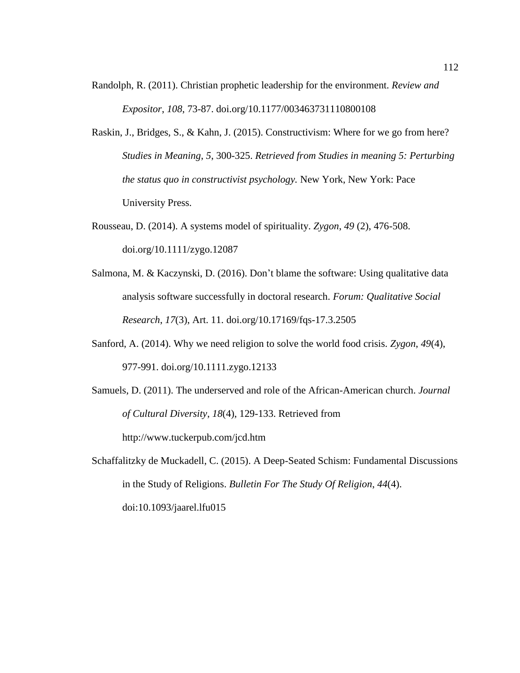- Randolph, R. (2011). Christian prophetic leadership for the environment. *Review and Expositor*, *108*, 73-87. doi.org/10.1177/003463731110800108
- Raskin, J., Bridges, S., & Kahn, J. (2015). Constructivism: Where for we go from here? *Studies in Meaning*, *5*, 300-325. *Retrieved from Studies in meaning 5: Perturbing the status quo in constructivist psychology.* New York, New York: Pace University Press.
- Rousseau, D. (2014). A systems model of spirituality. *Zygon*, *49* (2), 476-508. doi.org/10.1111/zygo.12087
- Salmona, M. & Kaczynski, D. (2016). Don't blame the software: Using qualitative data analysis software successfully in doctoral research. *Forum: Qualitative Social Research*, *17*(3), Art. 11. doi.org/10.17169/fqs-17.3.2505
- Sanford, A. (2014). Why we need religion to solve the world food crisis. *Zygon*, *49*(4), 977-991. doi.org/10.1111.zygo.12133
- Samuels, D. (2011). The underserved and role of the African-American church. *Journal of Cultural Diversity*, *18*(4), 129-133. Retrieved from http://www.tuckerpub.com/jcd.htm
- Schaffalitzky de Muckadell, C. (2015). A Deep-Seated Schism: Fundamental Discussions in the Study of Religions. *Bulletin For The Study Of Religion*, *44*(4). doi:10.1093/jaarel.lfu015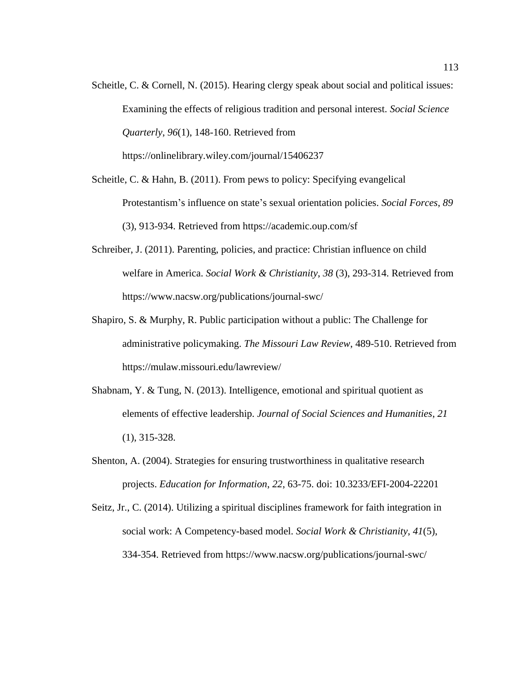Scheitle, C. & Cornell, N. (2015). Hearing clergy speak about social and political issues: Examining the effects of religious tradition and personal interest. *Social Science Quarterly*, *96*(1), 148-160. Retrieved from https://onlinelibrary.wiley.com/journal/15406237

Scheitle, C. & Hahn, B. (2011). From pews to policy: Specifying evangelical Protestantism's influence on state's sexual orientation policies. *Social Forces*, *89* (3), 913-934. Retrieved from https://academic.oup.com/sf

- Schreiber, J. (2011). Parenting, policies, and practice: Christian influence on child welfare in America. *Social Work & Christianity*, *38* (3), 293-314. Retrieved from https://www.nacsw.org/publications/journal-swc/
- Shapiro, S. & Murphy, R. Public participation without a public: The Challenge for administrative policymaking. *The Missouri Law Review*, 489-510. Retrieved from https://mulaw.missouri.edu/lawreview/
- Shabnam, Y. & Tung, N. (2013). Intelligence, emotional and spiritual quotient as elements of effective leadership. *Journal of Social Sciences and Humanities*, *21* (1), 315-328.
- Shenton, A. (2004). Strategies for ensuring trustworthiness in qualitative research projects. *Education for Information*, *22*, 63-75. doi: 10.3233/EFI-2004-22201
- Seitz, Jr., C. (2014). Utilizing a spiritual disciplines framework for faith integration in social work: A Competency-based model. *Social Work & Christianity*, *41*(5), 334-354. Retrieved from https://www.nacsw.org/publications/journal-swc/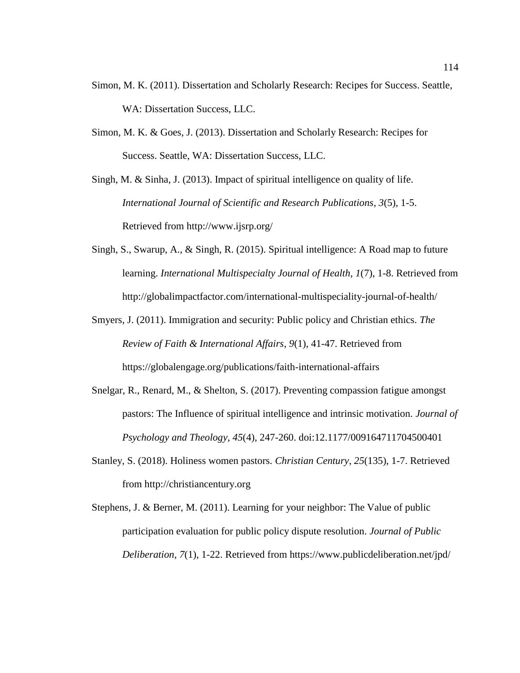- Simon, M. K. (2011). Dissertation and Scholarly Research: Recipes for Success. Seattle, WA: Dissertation Success, LLC.
- Simon, M. K. & Goes, J. (2013). Dissertation and Scholarly Research: Recipes for Success. Seattle, WA: Dissertation Success, LLC.

Singh, M. & Sinha, J. (2013). Impact of spiritual intelligence on quality of life. *International Journal of Scientific and Research Publications*, *3*(5), 1-5. Retrieved from http://www.ijsrp.org/

- Singh, S., Swarup, A., & Singh, R. (2015). Spiritual intelligence: A Road map to future learning. *International Multispecialty Journal of Health*, *1*(7), 1-8. Retrieved from http://globalimpactfactor.com/international-multispeciality-journal-of-health/
- Smyers, J. (2011). Immigration and security: Public policy and Christian ethics. *The Review of Faith & International Affairs*, *9*(1), 41-47. Retrieved from https://globalengage.org/publications/faith-international-affairs
- Snelgar, R., Renard, M., & Shelton, S. (2017). Preventing compassion fatigue amongst pastors: The Influence of spiritual intelligence and intrinsic motivation. *Journal of Psychology and Theology*, *45*(4), 247-260. doi:12.1177/009164711704500401
- Stanley, S. (2018). Holiness women pastors. *Christian Century*, *25*(135), 1-7. Retrieved from http://christiancentury.org
- Stephens, J. & Berner, M. (2011). Learning for your neighbor: The Value of public participation evaluation for public policy dispute resolution. *Journal of Public Deliberation*, *7*(1), 1-22. Retrieved from https://www.publicdeliberation.net/jpd/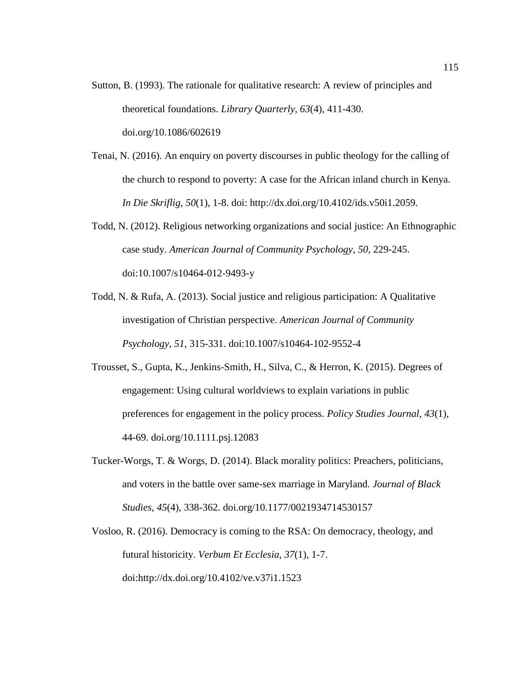- Sutton, B. (1993). The rationale for qualitative research: A review of principles and theoretical foundations. *Library Quarterly*, *63*(4), 411-430. doi.org/10.1086/602619
- Tenai, N. (2016). An enquiry on poverty discourses in public theology for the calling of the church to respond to poverty: A case for the African inland church in Kenya. *In Die Skriflig, 50*(1), 1-8. doi: http://dx.doi.org/10.4102/ids.v50i1.2059.
- Todd, N. (2012). Religious networking organizations and social justice: An Ethnographic case study. *American Journal of Community Psychology*, *50*, 229-245. doi:10.1007/s10464-012-9493-y
- Todd, N. & Rufa, A. (2013). Social justice and religious participation: A Qualitative investigation of Christian perspective. *American Journal of Community Psychology*, *51*, 315-331. doi:10.1007/s10464-102-9552-4
- Trousset, S., Gupta, K., Jenkins-Smith, H., Silva, C., & Herron, K. (2015). Degrees of engagement: Using cultural worldviews to explain variations in public preferences for engagement in the policy process. *Policy Studies Journal*, *43*(1), 44-69. doi.org/10.1111.psj.12083
- Tucker-Worgs, T. & Worgs, D. (2014). Black morality politics: Preachers, politicians, and voters in the battle over same-sex marriage in Maryland. *Journal of Black Studies*, *45*(4), 338-362. doi.org/10.1177/0021934714530157
- Vosloo, R. (2016). Democracy is coming to the RSA: On democracy, theology, and futural historicity. *Verbum Et Ecclesia, 37*(1), 1-7. doi:http://dx.doi.org/10.4102/ve.v37i1.1523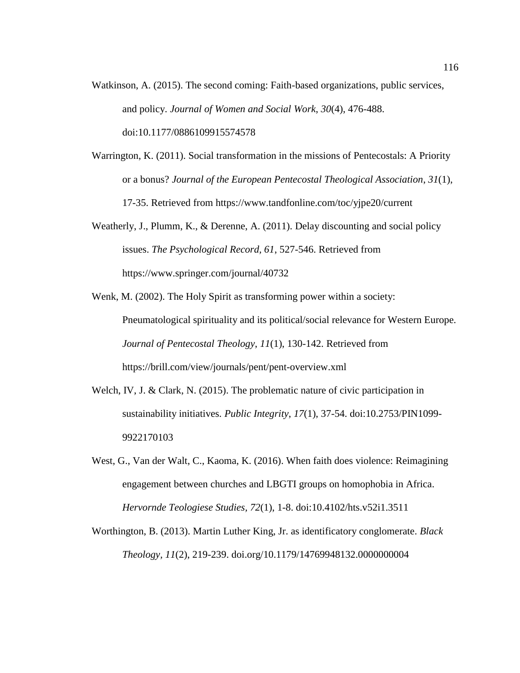- Watkinson, A. (2015). The second coming: Faith-based organizations, public services, and policy. *Journal of Women and Social Work*, *30*(4), 476-488. doi:10.1177/0886109915574578
- Warrington, K. (2011). Social transformation in the missions of Pentecostals: A Priority or a bonus? *Journal of the European Pentecostal Theological Association*, *31*(1), 17-35. Retrieved from https://www.tandfonline.com/toc/yjpe20/current
- Weatherly, J., Plumm, K., & Derenne, A. (2011). Delay discounting and social policy issues. *The Psychological Record, 61*, 527-546. Retrieved from https://www.springer.com/journal/40732
- Wenk, M. (2002). The Holy Spirit as transforming power within a society: Pneumatological spirituality and its political/social relevance for Western Europe. *Journal of Pentecostal Theology*, *11*(1), 130-142. Retrieved from https://brill.com/view/journals/pent/pent-overview.xml
- Welch, IV, J. & Clark, N. (2015). The problematic nature of civic participation in sustainability initiatives. *Public Integrity*, *17*(1), 37-54. doi:10.2753/PIN1099- 9922170103
- West, G., Van der Walt, C., Kaoma, K. (2016). When faith does violence: Reimagining engagement between churches and LBGTI groups on homophobia in Africa. *Hervornde Teologiese Studies, 72*(1), 1-8. doi:10.4102/hts.v52i1.3511
- Worthington, B. (2013). Martin Luther King, Jr. as identificatory conglomerate. *Black Theology, 11*(2), 219-239. doi.org/10.1179/14769948132.0000000004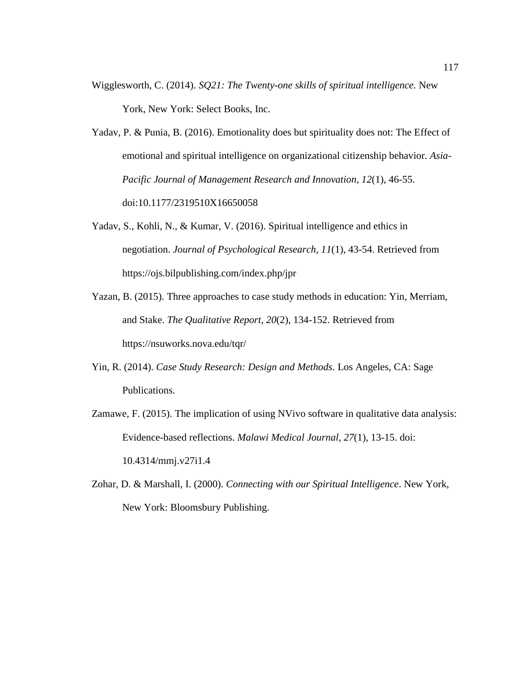- Wigglesworth, C. (2014). *SQ21: The Twenty-one skills of spiritual intelligence.* New York, New York: Select Books, Inc.
- Yadav, P. & Punia, B. (2016). Emotionality does but spirituality does not: The Effect of emotional and spiritual intelligence on organizational citizenship behavior. *Asia-Pacific Journal of Management Research and Innovation*, *12*(1), 46-55. doi:10.1177/2319510X16650058
- Yadav, S., Kohli, N., & Kumar, V. (2016). Spiritual intelligence and ethics in negotiation. *Journal of Psychological Research*, *11*(1), 43-54. Retrieved from https://ojs.bilpublishing.com/index.php/jpr
- Yazan, B. (2015). Three approaches to case study methods in education: Yin, Merriam, and Stake. *The Qualitative Report*, *20*(2), 134-152. Retrieved from https://nsuworks.nova.edu/tqr/
- Yin, R. (2014). *Case Study Research: Design and Methods.* Los Angeles, CA: Sage Publications.
- Zamawe, F. (2015). The implication of using NVivo software in qualitative data analysis: Evidence-based reflections. *Malawi Medical Journal, 27*(1), 13-15. doi: 10.4314/mmj.v27i1.4
- Zohar, D. & Marshall, I. (2000). *Connecting with our Spiritual Intelligence*. New York, New York: Bloomsbury Publishing.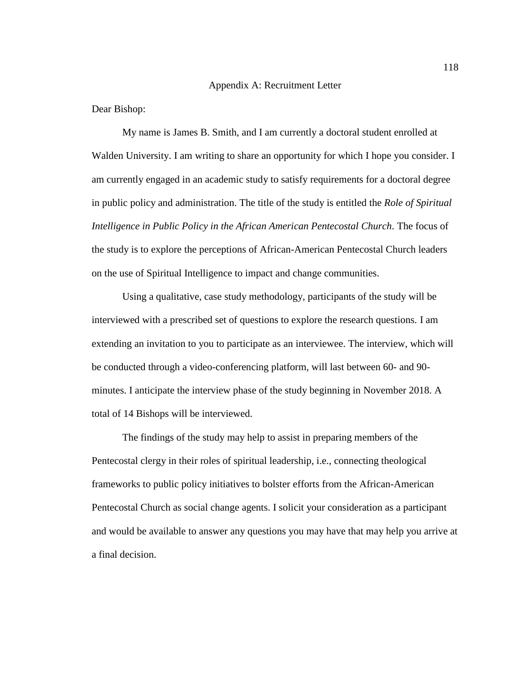## Appendix A: Recruitment Letter

Dear Bishop:

My name is James B. Smith, and I am currently a doctoral student enrolled at Walden University. I am writing to share an opportunity for which I hope you consider. I am currently engaged in an academic study to satisfy requirements for a doctoral degree in public policy and administration. The title of the study is entitled the *Role of Spiritual Intelligence in Public Policy in the African American Pentecostal Church*. The focus of the study is to explore the perceptions of African-American Pentecostal Church leaders on the use of Spiritual Intelligence to impact and change communities.

Using a qualitative, case study methodology, participants of the study will be interviewed with a prescribed set of questions to explore the research questions. I am extending an invitation to you to participate as an interviewee. The interview, which will be conducted through a video-conferencing platform, will last between 60- and 90 minutes. I anticipate the interview phase of the study beginning in November 2018. A total of 14 Bishops will be interviewed.

The findings of the study may help to assist in preparing members of the Pentecostal clergy in their roles of spiritual leadership, i.e., connecting theological frameworks to public policy initiatives to bolster efforts from the African-American Pentecostal Church as social change agents. I solicit your consideration as a participant and would be available to answer any questions you may have that may help you arrive at a final decision.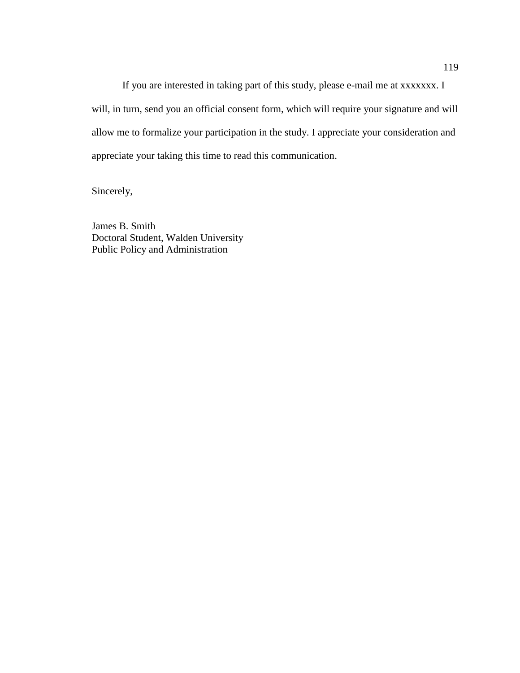If you are interested in taking part of this study, please e-mail me at xxxxxxx. I will, in turn, send you an official consent form, which will require your signature and will allow me to formalize your participation in the study. I appreciate your consideration and appreciate your taking this time to read this communication.

Sincerely,

James B. Smith Doctoral Student, Walden University Public Policy and Administration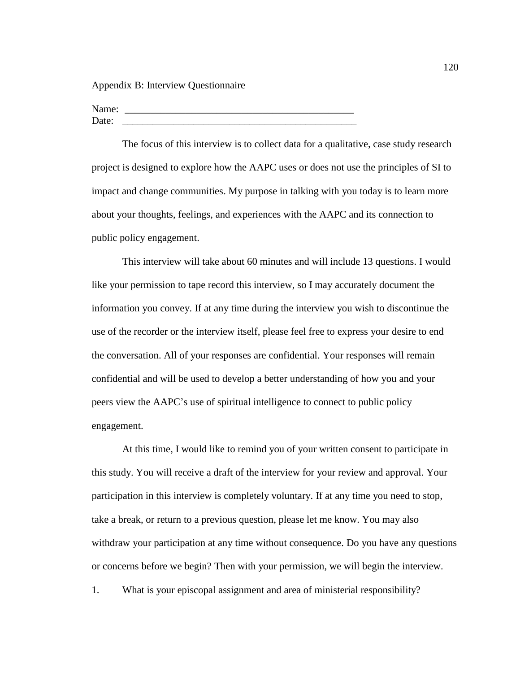Appendix B: Interview Questionnaire

Name: Date:

The focus of this interview is to collect data for a qualitative, case study research project is designed to explore how the AAPC uses or does not use the principles of SI to impact and change communities. My purpose in talking with you today is to learn more about your thoughts, feelings, and experiences with the AAPC and its connection to public policy engagement.

This interview will take about 60 minutes and will include 13 questions. I would like your permission to tape record this interview, so I may accurately document the information you convey. If at any time during the interview you wish to discontinue the use of the recorder or the interview itself, please feel free to express your desire to end the conversation. All of your responses are confidential. Your responses will remain confidential and will be used to develop a better understanding of how you and your peers view the AAPC's use of spiritual intelligence to connect to public policy engagement.

At this time, I would like to remind you of your written consent to participate in this study. You will receive a draft of the interview for your review and approval. Your participation in this interview is completely voluntary. If at any time you need to stop, take a break, or return to a previous question, please let me know. You may also withdraw your participation at any time without consequence. Do you have any questions or concerns before we begin? Then with your permission, we will begin the interview.

1. What is your episcopal assignment and area of ministerial responsibility?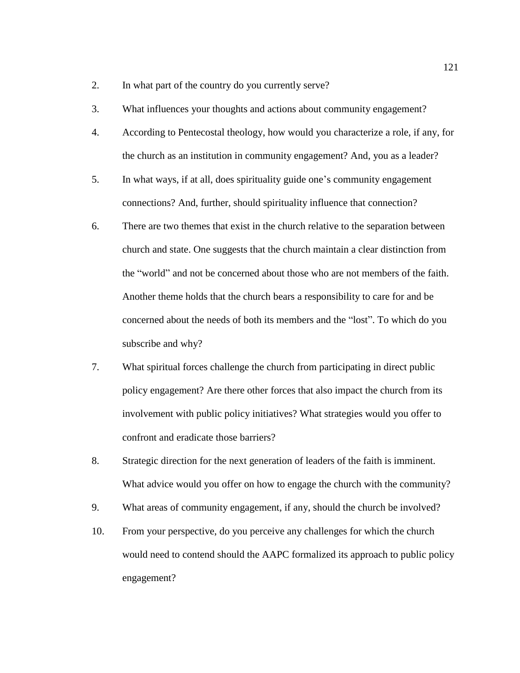- 2. In what part of the country do you currently serve?
- 3. What influences your thoughts and actions about community engagement?
- 4. According to Pentecostal theology, how would you characterize a role, if any, for the church as an institution in community engagement? And, you as a leader?
- 5. In what ways, if at all, does spirituality guide one's community engagement connections? And, further, should spirituality influence that connection?
- 6. There are two themes that exist in the church relative to the separation between church and state. One suggests that the church maintain a clear distinction from the "world" and not be concerned about those who are not members of the faith. Another theme holds that the church bears a responsibility to care for and be concerned about the needs of both its members and the "lost". To which do you subscribe and why?
- 7. What spiritual forces challenge the church from participating in direct public policy engagement? Are there other forces that also impact the church from its involvement with public policy initiatives? What strategies would you offer to confront and eradicate those barriers?
- 8. Strategic direction for the next generation of leaders of the faith is imminent. What advice would you offer on how to engage the church with the community?
- 9. What areas of community engagement, if any, should the church be involved?
- 10. From your perspective, do you perceive any challenges for which the church would need to contend should the AAPC formalized its approach to public policy engagement?